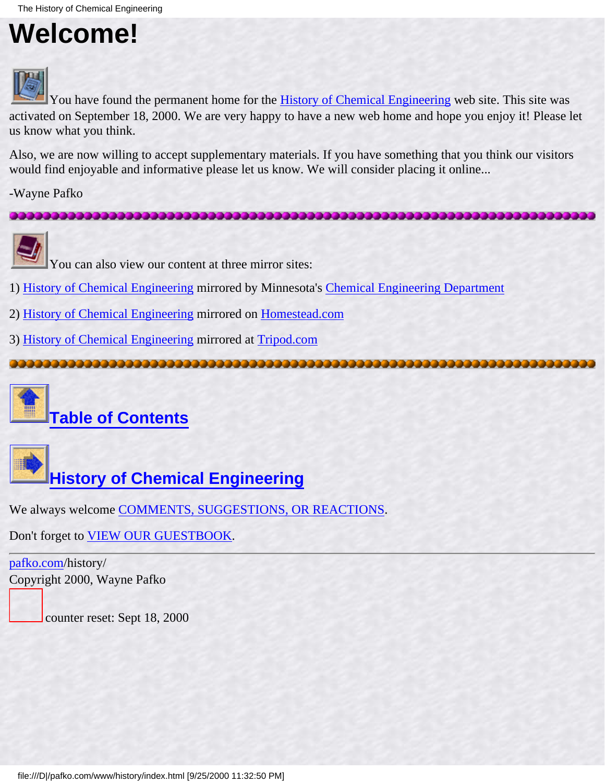### <span id="page-0-0"></span>**Welcome!**



You have found the permanent home for the **[History of Chemical Engineering](#page-1-0)** web site. This site was activated on September 18, 2000. We are very happy to have a new web home and hope you enjoy it! Please let us know what you think.

Also, we are now willing to accept supplementary materials. If you have something that you think our visitors would find enjoyable and informative please let us know. We will consider placing it online...

-Wayne Pafko





You can also view our content at three mirror sites:

- 1) [History of Chemical Engineering](http://www3.cems.umn.edu/orgs/aiche/archive/history/h_intro.html) mirrored by Minnesota's [Chemical Engineering Department](http://www.cems.umn.edu/)
- 2) [History of Chemical Engineering](http://www.homestead.com/chemicalengineering/files/h_intro.html) mirrored on [Homestead.com](http://www.homestead.com/)
- 3) [History of Chemical Engineering](http://www.members.tripod.com/historycheme/h_intro.html) mirrored at [Tripod.com](http://www.tripod.com/)



**[Table of Contents](#page-3-0)**



We always welcome [COMMENTS, SUGGESTIONS, OR REACTIONS](#page-5-0).

Don't forget to [VIEW OUR GUESTBOOK.](http://www.pafko.com/vbpro/htdocs/guestbook/history/entries.html)

[pafko.com](file:///)/history/ Copyright 2000, Wayne Pafko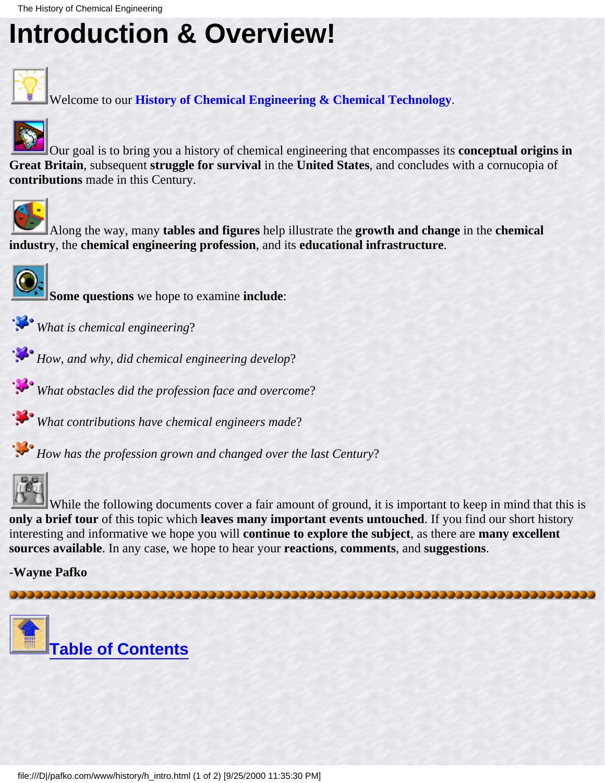### <span id="page-1-0"></span>**Introduction & Overview!**



Welcome to our **History of Chemical Engineering & Chemical Technology**.



Our goal is to bring you a history of chemical engineering that encompasses its **conceptual origins in Great Britain**, subsequent **struggle for survival** in the **United States**, and concludes with a cornucopia of **contributions** made in this Century.



Along the way, many **tables and figures** help illustrate the **growth and change** in the **chemical industry**, the **chemical engineering profession**, and its **educational infrastructure**.



**Some questions** we hope to examine **include**:

- *What is chemical engineering*?
- *How, and why, did chemical engineering develop*?
- *What obstacles did the profession face and overcome*?
- *What contributions have chemical engineers made*?

*How has the profession grown and changed over the last Century*?



While the following documents cover a fair amount of ground, it is important to keep in mind that this is **only a brief tour** of this topic which **leaves many important events untouched**. If you find our short history interesting and informative we hope you will **continue to explore the subject**, as there are **many excellent sources available**. In any case, we hope to hear your **reactions**, **comments**, and **suggestions**.

-**Wayne Pafko**

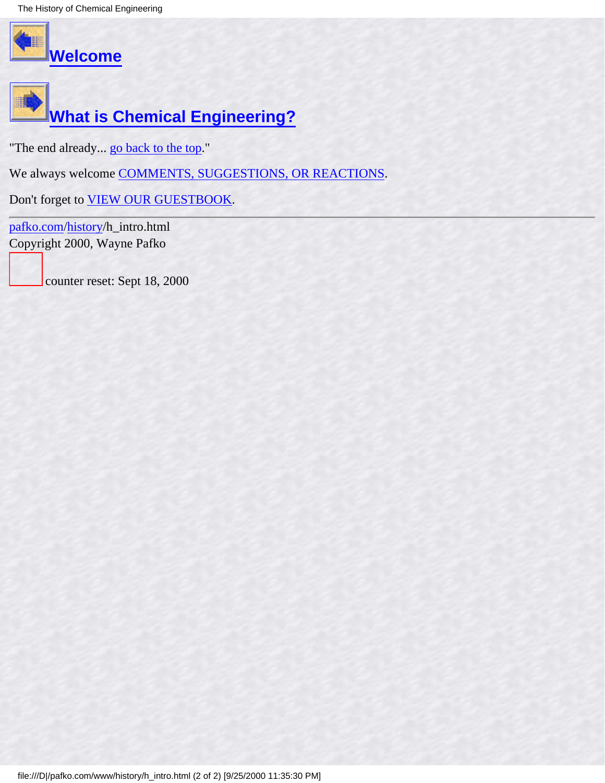The History of Chemical Engineering





"The end already... [go back to the top](#page-1-0)."

We always welcome [COMMENTS, SUGGESTIONS, OR REACTIONS](#page-5-0).

Don't forget to [VIEW OUR GUESTBOOK.](http://www.pafko.com/vbpro/htdocs/guestbook/history/entries.html)

[pafko.com](file:///)[/history](#page-0-0)/h\_intro.html Copyright 2000, Wayne Pafko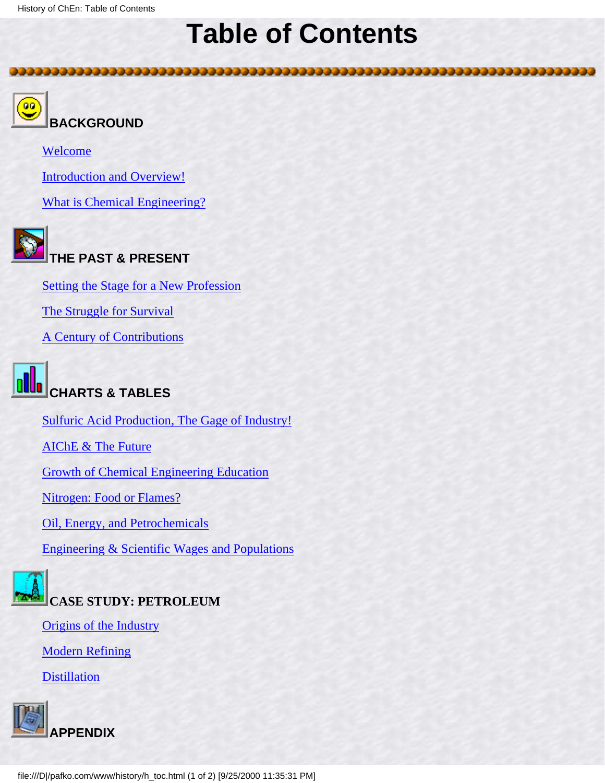### **Table of Contents**

<span id="page-3-0"></span>



**BACKGROUND**

[Welcome](#page-0-0)

[Introduction and Overview!](#page-1-0)

[What is Chemical Engineering?](#page-6-0)



### **THE PAST & PRESENT**

[Setting the Stage for a New Profession](#page-11-0)

[The Struggle for Survival](#page-18-0)

[A Century of Contributions](#page-26-0)



[Sulfuric Acid Production, The Gage of Industry!](#page-31-0)

[AIChE & The Future](#page-33-0)

[Growth of Chemical Engineering Education](#page-35-0)

[Nitrogen: Food or Flames?](#page-39-0)

[Oil, Energy, and Petrochemicals](#page-45-0)

[Engineering & Scientific Wages and Populations](#page-51-0)



[Origins of the Industry](#page-56-0)

[Modern Refining](#page-62-0)

**[Distillation](#page-70-0)** 

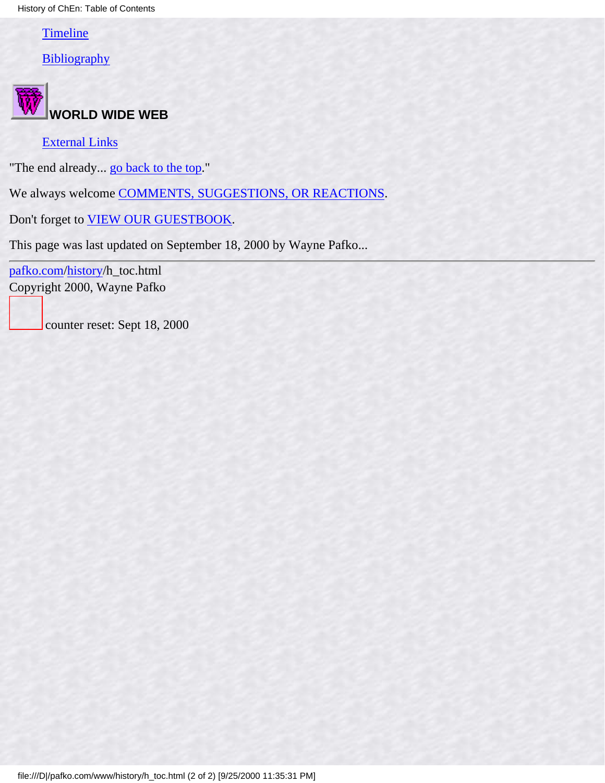History of ChEn: Table of Contents

[Timeline](#page-76-0)

**[Bibliography](#page-96-0)** 



#### [External Links](#page-102-0)

"The end already... go back to the top."

We always welcome [COMMENTS, SUGGESTIONS, OR REACTIONS](#page-5-0).

Don't forget to [VIEW OUR GUESTBOOK.](http://www.pafko.com/vbpro/htdocs/guestbook/history/entries.html)

This page was last updated on September 18, 2000 by Wayne Pafko...

[pafko.com](file:///)[/history](#page-0-0)/h\_toc.html Copyright 2000, Wayne Pafko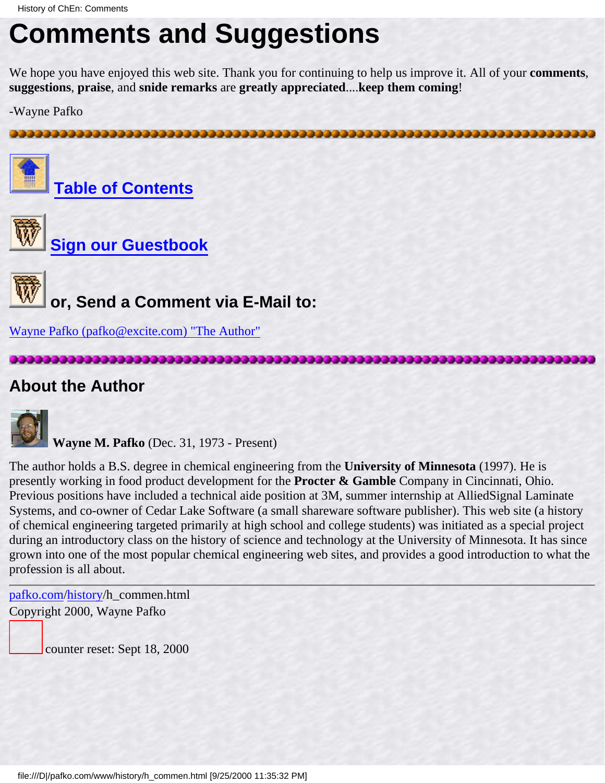### <span id="page-5-0"></span>**Comments and Suggestions**

We hope you have enjoyed this web site. Thank you for continuing to help us improve it. All of your **comments**, **suggestions**, **praise**, and **snide remarks** are **greatly appreciated**....**keep them coming**!

-Wayne Pafko



**[Table of Contents](#page-3-0)**



**[Sign our Guestbook](http://www.pafko.com/vbpro/htdocs/guestbook/history/)**



 **or, Send a Comment via E-Mail to:**

[Wayne Pafko \(pafko@excite.com\) "The Author"](mailto:pafko@excite.com)

#### **About the Author**



**Wayne M. Pafko** (Dec. 31, 1973 - Present)

The author holds a B.S. degree in chemical engineering from the **University of Minnesota** (1997). He is presently working in food product development for the **Procter & Gamble** Company in Cincinnati, Ohio. Previous positions have included a technical aide position at 3M, summer internship at AlliedSignal Laminate Systems, and co-owner of Cedar Lake Software (a small shareware software publisher). This web site (a history of chemical engineering targeted primarily at high school and college students) was initiated as a special project during an introductory class on the history of science and technology at the University of Minnesota. It has since grown into one of the most popular chemical engineering web sites, and provides a good introduction to what the profession is all about.

[pafko.com](file:///)[/history](#page-0-0)/h\_commen.html Copyright 2000, Wayne Pafko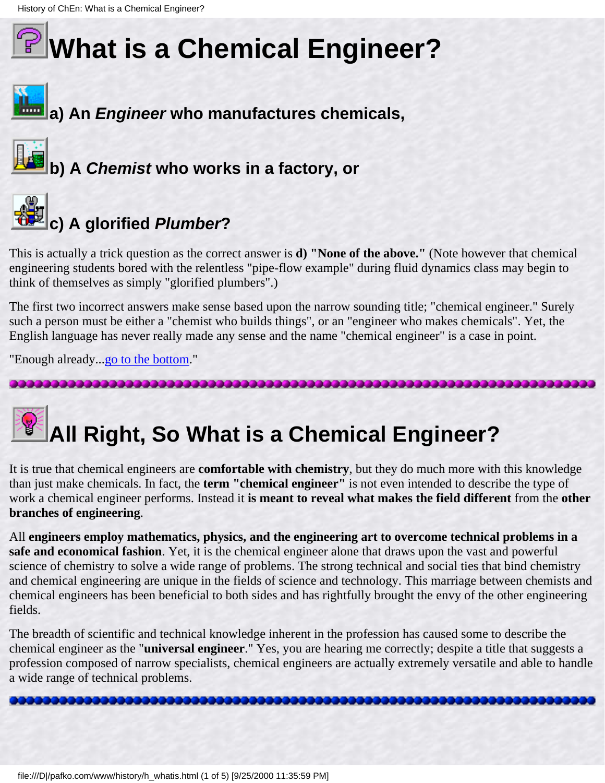## <span id="page-6-0"></span>**What is a Chemical Engineer?**



**b) A Chemist who works in a factory, or**



## **c) A glorified Plumber?**

This is actually a trick question as the correct answer is **d) "None of the above."** (Note however that chemical engineering students bored with the relentless "pipe-flow example" during fluid dynamics class may begin to think of themselves as simply "glorified plumbers".)

The first two incorrect answers make sense based upon the narrow sounding title; "chemical engineer." Surely such a person must be either a "chemist who builds things", or an "engineer who makes chemicals". Yet, the English language has never really made any sense and the name "chemical engineer" is a case in point.

"Enough already...go to the bottom."

## **All Right, So What is a Chemical Engineer?**

It is true that chemical engineers are **comfortable with chemistry**, but they do much more with this knowledge than just make chemicals. In fact, the **term "chemical engineer"** is not even intended to describe the type of work a chemical engineer performs. Instead it **is meant to reveal what makes the field different** from the **other branches of engineering**.

All **engineers employ mathematics, physics, and the engineering art to overcome technical problems in a safe and economical fashion**. Yet, it is the chemical engineer alone that draws upon the vast and powerful science of chemistry to solve a wide range of problems. The strong technical and social ties that bind chemistry and chemical engineering are unique in the fields of science and technology. This marriage between chemists and chemical engineers has been beneficial to both sides and has rightfully brought the envy of the other engineering fields.

The breadth of scientific and technical knowledge inherent in the profession has caused some to describe the chemical engineer as the "**universal engineer**." Yes, you are hearing me correctly; despite a title that suggests a profession composed of narrow specialists, chemical engineers are actually extremely versatile and able to handle a wide range of technical problems.

,,,,,,,,,,,,,,,,,,,,,,,,,,,,,,,,,,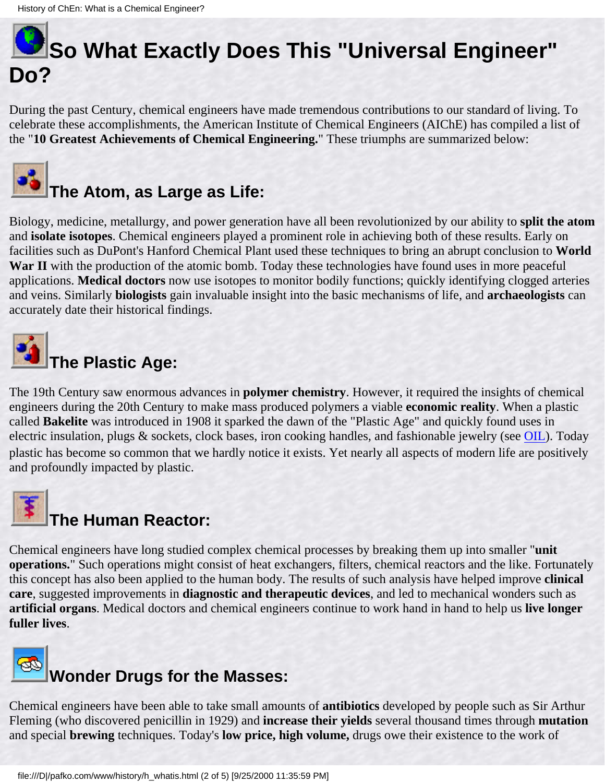

During the past Century, chemical engineers have made tremendous contributions to our standard of living. To celebrate these accomplishments, the American Institute of Chemical Engineers (AIChE) has compiled a list of the "**10 Greatest Achievements of Chemical Engineering.**" These triumphs are summarized below:



## **The Atom, as Large as Life:**

Biology, medicine, metallurgy, and power generation have all been revolutionized by our ability to **split the atom** and **isolate isotopes**. Chemical engineers played a prominent role in achieving both of these results. Early on facilities such as DuPont's Hanford Chemical Plant used these techniques to bring an abrupt conclusion to **World War II** with the production of the atomic bomb. Today these technologies have found uses in more peaceful applications. **Medical doctors** now use isotopes to monitor bodily functions; quickly identifying clogged arteries and veins. Similarly **biologists** gain invaluable insight into the basic mechanisms of life, and **archaeologists** can accurately date their historical findings.



The 19th Century saw enormous advances in **polymer chemistry**. However, it required the insights of chemical engineers during the 20th Century to make mass produced polymers a viable **economic reality**. When a plastic called **Bakelite** was introduced in 1908 it sparked the dawn of the "Plastic Age" and quickly found uses in electric insulation, plugs & sockets, clock bases, iron cooking handles, and fashionable jewelry (see [OIL](#page-45-0)). Today plastic has become so common that we hardly notice it exists. Yet nearly all aspects of modern life are positively and profoundly impacted by plastic.



### **The Human Reactor:**

Chemical engineers have long studied complex chemical processes by breaking them up into smaller "**unit operations.**" Such operations might consist of heat exchangers, filters, chemical reactors and the like. Fortunately this concept has also been applied to the human body. The results of such analysis have helped improve **clinical care**, suggested improvements in **diagnostic and therapeutic devices**, and led to mechanical wonders such as **artificial organs**. Medical doctors and chemical engineers continue to work hand in hand to help us **live longer fuller lives**.



Chemical engineers have been able to take small amounts of **antibiotics** developed by people such as Sir Arthur Fleming (who discovered penicillin in 1929) and **increase their yields** several thousand times through **mutation** and special **brewing** techniques. Today's **low price, high volume,** drugs owe their existence to the work of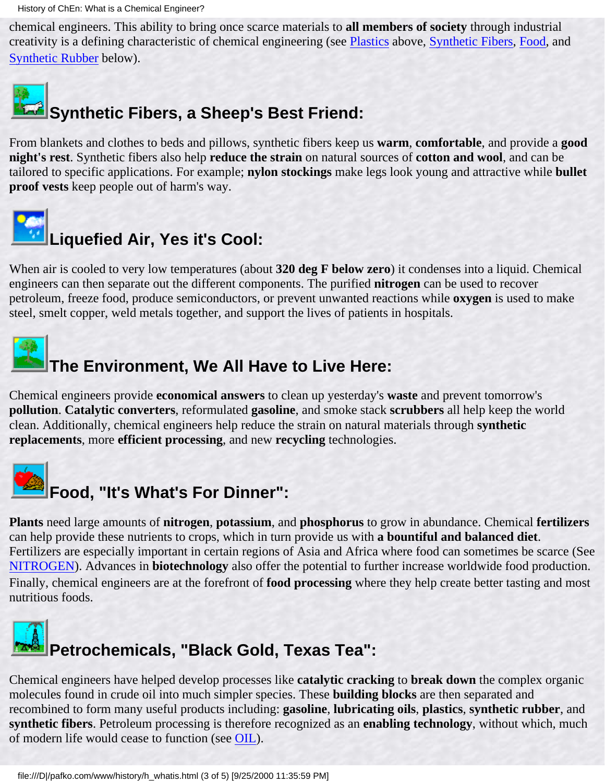History of ChEn: What is a Chemical Engineer?

chemical engineers. This ability to bring once scarce materials to **all members of society** through industrial creativity is a defining characteristic of chemical engineering (see Plastics above, Synthetic Fibers, Food, and Synthetic Rubber below).



From blankets and clothes to beds and pillows, synthetic fibers keep us **warm**, **comfortable**, and provide a **good night's rest**. Synthetic fibers also help **reduce the strain** on natural sources of **cotton and wool**, and can be tailored to specific applications. For example; **nylon stockings** make legs look young and attractive while **bullet proof vests** keep people out of harm's way.



When air is cooled to very low temperatures (about **320 deg F below zero**) it condenses into a liquid. Chemical engineers can then separate out the different components. The purified **nitrogen** can be used to recover petroleum, freeze food, produce semiconductors, or prevent unwanted reactions while **oxygen** is used to make steel, smelt copper, weld metals together, and support the lives of patients in hospitals.

### **The Environment, We All Have to Live Here:**

Chemical engineers provide **economical answers** to clean up yesterday's **waste** and prevent tomorrow's **pollution**. **Catalytic converters**, reformulated **gasoline**, and smoke stack **scrubbers** all help keep the world clean. Additionally, chemical engineers help reduce the strain on natural materials through **synthetic replacements**, more **efficient processing**, and new **recycling** technologies.



**Plants** need large amounts of **nitrogen**, **potassium**, and **phosphorus** to grow in abundance. Chemical **fertilizers** can help provide these nutrients to crops, which in turn provide us with **a bountiful and balanced diet**. Fertilizers are especially important in certain regions of Asia and Africa where food can sometimes be scarce (See [NITROGEN\)](#page-39-0). Advances in **biotechnology** also offer the potential to further increase worldwide food production. Finally, chemical engineers are at the forefront of **food processing** where they help create better tasting and most nutritious foods.



Chemical engineers have helped develop processes like **catalytic cracking** to **break down** the complex organic molecules found in crude oil into much simpler species. These **building blocks** are then separated and recombined to form many useful products including: **gasoline**, **lubricating oils**, **plastics**, **synthetic rubber**, and **synthetic fibers**. Petroleum processing is therefore recognized as an **enabling technology**, without which, much of modern life would cease to function (see [OIL](#page-45-0)).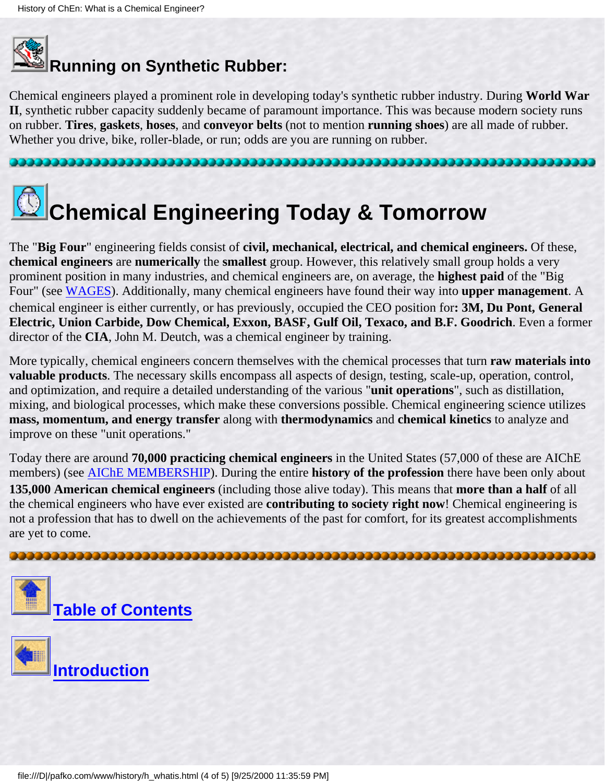## **Running on Synthetic Rubber:**

Chemical engineers played a prominent role in developing today's synthetic rubber industry. During **World War II**, synthetic rubber capacity suddenly became of paramount importance. This was because modern society runs on rubber. **Tires**, **gaskets**, **hoses**, and **conveyor belts** (not to mention **running shoes**) are all made of rubber. Whether you drive, bike, roller-blade, or run; odds are you are running on rubber.



The "**Big Four**" engineering fields consist of **civil, mechanical, electrical, and chemical engineers.** Of these, **chemical engineers** are **numerically** the **smallest** group. However, this relatively small group holds a very prominent position in many industries, and chemical engineers are, on average, the **highest paid** of the "Big Four" (see [WAGES\)](#page-51-0). Additionally, many chemical engineers have found their way into **upper management**. A chemical engineer is either currently, or has previously, occupied the CEO position for**: 3M, Du Pont, General Electric, Union Carbide, Dow Chemical, Exxon, BASF, Gulf Oil, Texaco, and B.F. Goodrich**. Even a former director of the **CIA**, John M. Deutch, was a chemical engineer by training.

More typically, chemical engineers concern themselves with the chemical processes that turn **raw materials into valuable products**. The necessary skills encompass all aspects of design, testing, scale-up, operation, control, and optimization, and require a detailed understanding of the various "**unit operations**", such as distillation, mixing, and biological processes, which make these conversions possible. Chemical engineering science utilizes **mass, momentum, and energy transfer** along with **thermodynamics** and **chemical kinetics** to analyze and improve on these "unit operations."

Today there are around **70,000 practicing chemical engineers** in the United States (57,000 of these are AIChE members) (see [AIChE MEMBERSHIP\)](#page-33-0). During the entire **history of the profession** there have been only about **135,000 American chemical engineers** (including those alive today). This means that **more than a half** of all the chemical engineers who have ever existed are **contributing to society right now**! Chemical engineering is not a profession that has to dwell on the achievements of the past for comfort, for its greatest accomplishments are yet to come.



**[Introduction](#page-1-0)**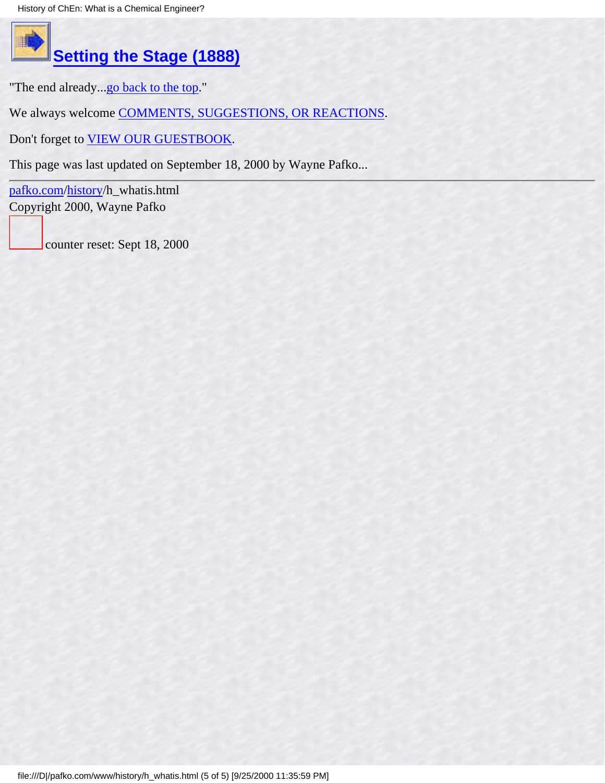

### **[Setting the Stage \(1888\)](#page-11-0)**

"The end already...[go back to the top.](#page-6-0)"

We always welcome [COMMENTS, SUGGESTIONS, OR REACTIONS](#page-5-0).

Don't forget to [VIEW OUR GUESTBOOK.](http://www.pafko.com/vbpro/htdocs/guestbook/history/entries.html)

This page was last updated on September 18, 2000 by Wayne Pafko...

[pafko.com](file:///)[/history](#page-0-0)/h\_whatis.html Copyright 2000, Wayne Pafko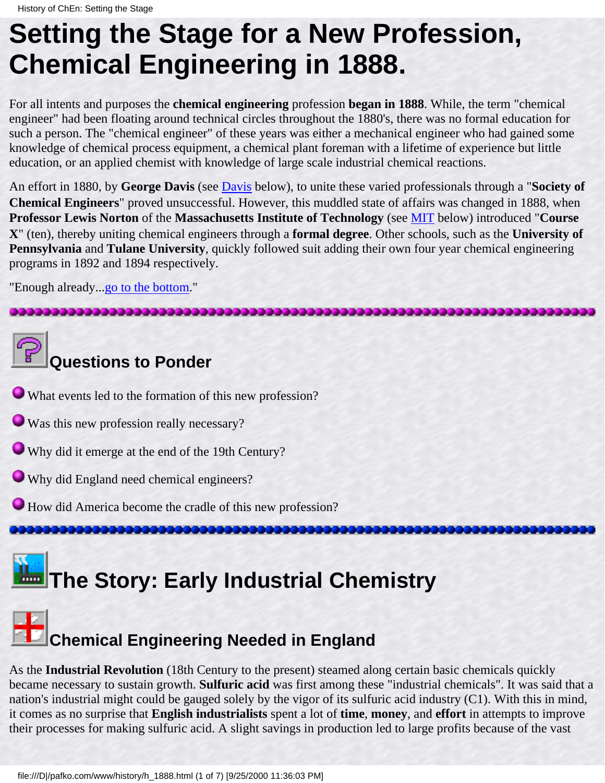### <span id="page-11-1"></span><span id="page-11-0"></span>**Setting the Stage for a New Profession, Chemical Engineering in 1888.**

For all intents and purposes the **chemical engineering** profession **began in 1888**. While, the term "chemical engineer" had been floating around technical circles throughout the 1880's, there was no formal education for such a person. The "chemical engineer" of these years was either a mechanical engineer who had gained some knowledge of chemical process equipment, a chemical plant foreman with a lifetime of experience but little education, or an applied chemist with knowledge of large scale industrial chemical reactions.

An effort in 1880, by **George Davis** (see [Davis](#page-13-0) below), to unite these varied professionals through a "**Society of Chemical Engineers**" proved unsuccessful. However, this muddled state of affairs was changed in 1888, when **Professor Lewis Norton** of the **Massachusetts Institute of Technology** (see [MIT](#page-14-0) below) introduced "**Course X**" (ten), thereby uniting chemical engineers through a **formal degree**. Other schools, such as the **University of Pennsylvania** and **Tulane University**, quickly followed suit adding their own four year chemical engineering programs in 1892 and 1894 respectively.

"Enough already..[.go to the bottom.](#page-17-0)"



### **Questions to Ponder**

What events led to the formation of this new profession?

Was this new profession really necessary?

Why did it emerge at the end of the 19th Century?

Why did England need chemical engineers?

How did America become the cradle of this new profession?

### **The Story: Early Industrial Chemistry**



As the **Industrial Revolution** (18th Century to the present) steamed along certain basic chemicals quickly became necessary to sustain growth. **Sulfuric acid** was first among these "industrial chemicals". It was said that a nation's industrial might could be gauged solely by the vigor of its sulfuric acid industry (C1). With this in mind, it comes as no surprise that **English industrialists** spent a lot of **time**, **money**, and **effort** in attempts to improve their processes for making sulfuric acid. A slight savings in production led to large profits because of the vast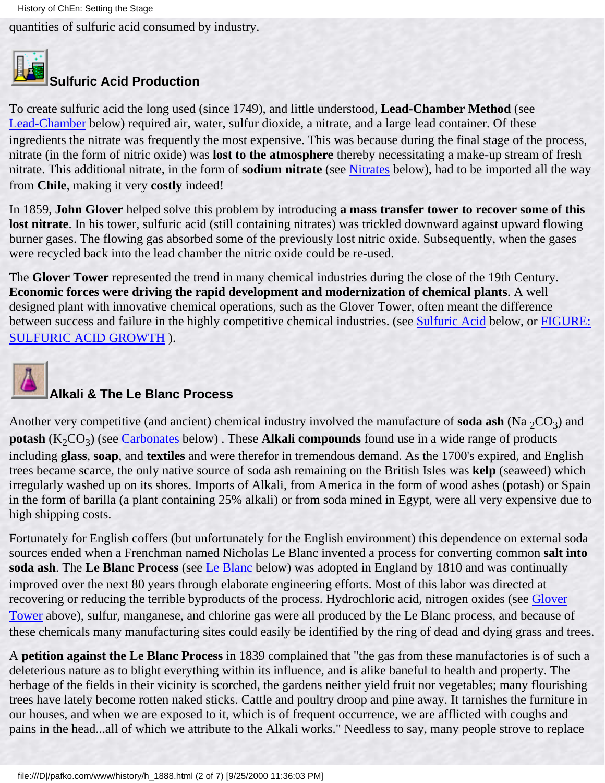quantities of sulfuric acid consumed by industry.

<span id="page-12-1"></span>

#### **Sulfuric Acid Production**

To create sulfuric acid the long used (since 1749), and little understood, **Lead-Chamber Method** (see [Lead-Chamber](#page-16-0) below) required air, water, sulfur dioxide, a nitrate, and a large lead container. Of these ingredients the nitrate was frequently the most expensive. This was because during the final stage of the process, nitrate (in the form of nitric oxide) was **lost to the atmosphere** thereby necessitating a make-up stream of fresh nitrate. This additional nitrate, in the form of **sodium nitrate** (see [Nitrates](#page-16-1) below), had to be imported all the way from **Chile**, making it very **costly** indeed!

<span id="page-12-0"></span>In 1859, **John Glover** helped solve this problem by introducing **a mass transfer tower to recover some of this lost nitrate**. In his tower, sulfuric acid (still containing nitrates) was trickled downward against upward flowing burner gases. The flowing gas absorbed some of the previously lost nitric oxide. Subsequently, when the gases were recycled back into the lead chamber the nitric oxide could be re-used.

The **Glover Tower** represented the trend in many chemical industries during the close of the 19th Century. **Economic forces were driving the rapid development and modernization of chemical plants**. A well designed plant with innovative chemical operations, such as the Glover Tower, often meant the difference between success and failure in the highly competitive chemical industries. (see [Sulfuric Acid](#page-16-2) below, or [FIGURE:](#page-31-0) [SULFURIC ACID GROWTH](#page-31-0) ).

<span id="page-12-2"></span>

#### **Alkali & The Le Blanc Process**

Another very competitive (and ancient) chemical industry involved the manufacture of **soda ash** (Na  $_2CO_3$ ) and **potash**  $(K_2CO_3)$  (see [Carbonates](#page-16-3) below). These **Alkali compounds** found use in a wide range of products including **glass**, **soap**, and **textiles** and were therefor in tremendous demand. As the 1700's expired, and English trees became scarce, the only native source of soda ash remaining on the British Isles was **kelp** (seaweed) which irregularly washed up on its shores. Imports of Alkali, from America in the form of wood ashes (potash) or Spain in the form of barilla (a plant containing 25% alkali) or from soda mined in Egypt, were all very expensive due to high shipping costs.

Fortunately for English coffers (but unfortunately for the English environment) this dependence on external soda sources ended when a Frenchman named Nicholas Le Blanc invented a process for converting common **salt into soda ash**. The **Le Blanc Process** (see [Le Blanc](#page-16-4) below) was adopted in England by 1810 and was continually improved over the next 80 years through elaborate engineering efforts. Most of this labor was directed at recovering or reducing the terrible byproducts of the process. Hydrochloric acid, nitrogen oxides (see [Glover](#page-12-0) [Tower](#page-12-0) above), sulfur, manganese, and chlorine gas were all produced by the Le Blanc process, and because of these chemicals many manufacturing sites could easily be identified by the ring of dead and dying grass and trees.

A **petition against the Le Blanc Process** in 1839 complained that "the gas from these manufactories is of such a deleterious nature as to blight everything within its influence, and is alike baneful to health and property. The herbage of the fields in their vicinity is scorched, the gardens neither yield fruit nor vegetables; many flourishing trees have lately become rotten naked sticks. Cattle and poultry droop and pine away. It tarnishes the furniture in our houses, and when we are exposed to it, which is of frequent occurrence, we are afflicted with coughs and pains in the head...all of which we attribute to the Alkali works." Needless to say, many people strove to replace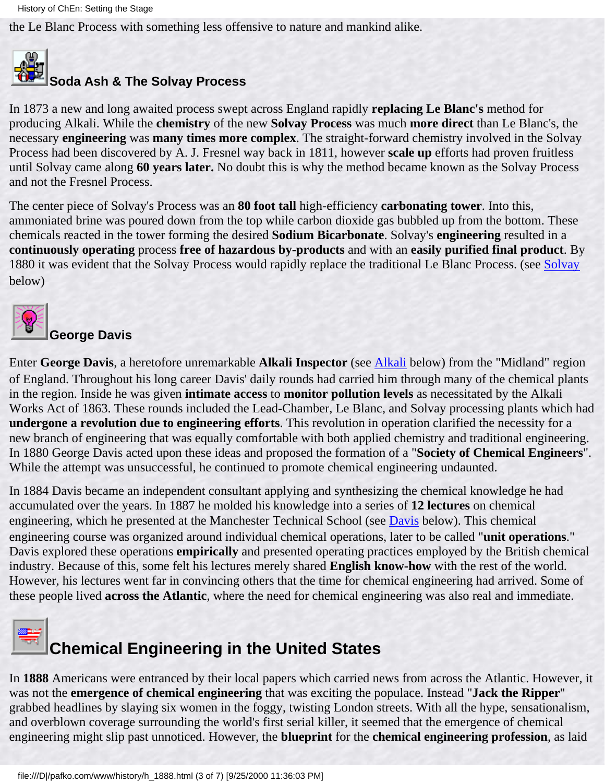the Le Blanc Process with something less offensive to nature and mankind alike.

### <span id="page-13-1"></span>**Soda Ash & The Solvay Process**

In 1873 a new and long awaited process swept across England rapidly **replacing Le Blanc's** method for producing Alkali. While the **chemistry** of the new **Solvay Process** was much **more direct** than Le Blanc's, the necessary **engineering** was **many times more complex**. The straight-forward chemistry involved in the Solvay Process had been discovered by A. J. Fresnel way back in 1811, however **scale up** efforts had proven fruitless until Solvay came along **60 years later.** No doubt this is why the method became known as the Solvay Process and not the Fresnel Process.

The center piece of Solvay's Process was an **80 foot tall** high-efficiency **carbonating tower**. Into this, ammoniated brine was poured down from the top while carbon dioxide gas bubbled up from the bottom. These chemicals reacted in the tower forming the desired **Sodium Bicarbonate**. Solvay's **engineering** resulted in a **continuously operating** process **free of hazardous by-products** and with an **easily purified final product**. By 1880 it was evident that the [Solvay](#page-17-1) Process would rapidly replace the traditional Le Blanc Process. (see Solvay below)

<span id="page-13-0"></span>

#### **George Davis**

Enter **George Davis**, a heretofore unremarkable **Alkali Inspector** (see [Alkali](#page-16-5) below) from the "Midland" region of England. Throughout his long career Davis' daily rounds had carried him through many of the chemical plants in the region. Inside he was given **intimate access** to **monitor pollution levels** as necessitated by the Alkali Works Act of 1863. These rounds included the Lead-Chamber, Le Blanc, and Solvay processing plants which had **undergone a revolution due to engineering efforts**. This revolution in operation clarified the necessity for a new branch of engineering that was equally comfortable with both applied chemistry and traditional engineering. In 1880 George Davis acted upon these ideas and proposed the formation of a "**Society of Chemical Engineers**". While the attempt was unsuccessful, he continued to promote chemical engineering undaunted.

In 1884 Davis became an independent consultant applying and synthesizing the chemical knowledge he had accumulated over the years. In 1887 he molded his knowledge into a series of **12 lectures** on chemical engineering, which he presented at the Manchester Technical School (see **[Davis](#page-14-1)** below). This chemical engineering course was organized around individual chemical operations, later to be called "**unit operations**." Davis explored these operations **empirically** and presented operating practices employed by the British chemical industry. Because of this, some felt his lectures merely shared **English know-how** with the rest of the world. However, his lectures went far in convincing others that the time for chemical engineering had arrived. Some of these people lived **across the Atlantic**, where the need for chemical engineering was also real and immediate.



### **Chemical Engineering in the United States**

In **1888** Americans were entranced by their local papers which carried news from across the Atlantic. However, it was not the **emergence of chemical engineering** that was exciting the populace. Instead "**Jack the Ripper**" grabbed headlines by slaying six women in the foggy, twisting London streets. With all the hype, sensationalism, and overblown coverage surrounding the world's first serial killer, it seemed that the emergence of chemical engineering might slip past unnoticed. However, the **blueprint** for the **chemical engineering profession**, as laid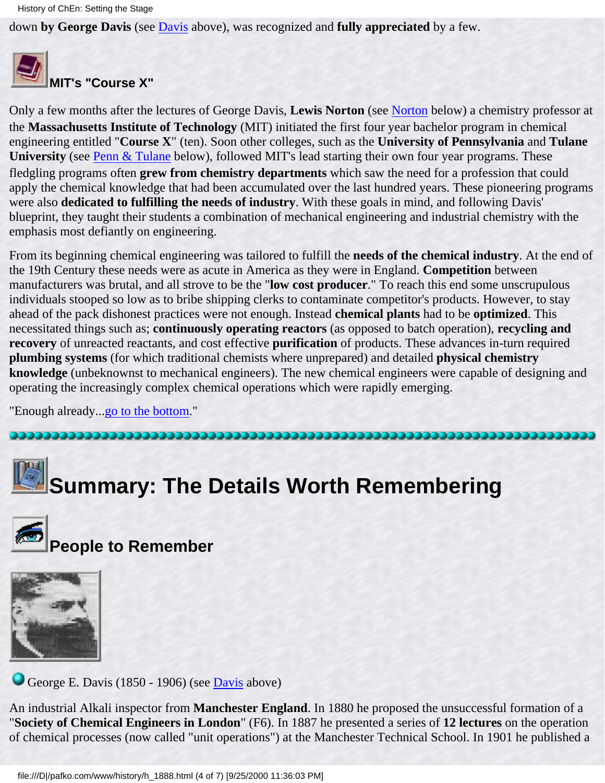down **by George Davis** (see [Davis](#page-14-1) above), was recognized and **fully appreciated** by a few.

<span id="page-14-0"></span>

#### **MIT's "Course X"**

Only a few months after the lectures of George Davis, **Lewis Norton** (see [Norton](#page-15-0) below) a chemistry professor at the **Massachusetts Institute of Technology** (MIT) initiated the first four year bachelor program in chemical engineering entitled "**Course X**" (ten). Soon other colleges, such as the **University of Pennsylvania** and **Tulane University** (see [Penn & Tulane](#page-15-1) below), followed MIT's lead starting their own four year programs. These fledgling programs often **grew from chemistry departments** which saw the need for a profession that could apply the chemical knowledge that had been accumulated over the last hundred years. These pioneering programs were also **dedicated to fulfilling the needs of industry**. With these goals in mind, and following Davis' blueprint, they taught their students a combination of mechanical engineering and industrial chemistry with the emphasis most defiantly on engineering.

From its beginning chemical engineering was tailored to fulfill the **needs of the chemical industry**. At the end of the 19th Century these needs were as acute in America as they were in England. **Competition** between manufacturers was brutal, and all strove to be the "**low cost producer**." To reach this end some unscrupulous individuals stooped so low as to bribe shipping clerks to contaminate competitor's products. However, to stay ahead of the pack dishonest practices were not enough. Instead **chemical plants** had to be **optimized**. This necessitated things such as; **continuously operating reactors** (as opposed to batch operation), **recycling and recovery** of unreacted reactants, and cost effective **purification** of products. These advances in-turn required **plumbing systems** (for which traditional chemists where unprepared) and detailed **physical chemistry knowledge** (unbeknownst to mechanical engineers). The new chemical engineers were capable of designing and operating the increasingly complex chemical operations which were rapidly emerging.

"Enough already..[.go to the bottom.](#page-17-0)"

# **Summary: The Details Worth Remembering**



### **People to Remember**



<span id="page-14-1"></span>George E. [Davis](#page-13-0) (1850 - 1906) (see Davis above)

An industrial Alkali inspector from **Manchester England**. In 1880 he proposed the unsuccessful formation of a "**Society of Chemical Engineers in London**" (F6). In 1887 he presented a series of **12 lectures** on the operation of chemical processes (now called "unit operations") at the Manchester Technical School. In 1901 he published a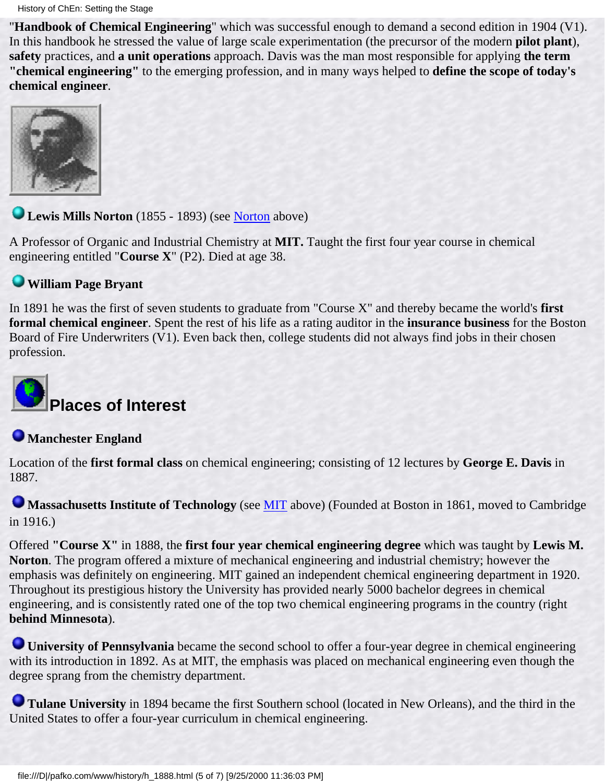"**Handbook of Chemical Engineering**" which was successful enough to demand a second edition in 1904 (V1). In this handbook he stressed the value of large scale experimentation (the precursor of the modern **pilot plant**), **safety** practices, and **a unit operations** approach. Davis was the man most responsible for applying **the term "chemical engineering"** to the emerging profession, and in many ways helped to **define the scope of today's chemical engineer**.



<span id="page-15-0"></span>**Lewis Mills Norton** (1855 - 1893) (see [Norton](#page-14-0) above)

A Professor of Organic and Industrial Chemistry at **MIT.** Taught the first four year course in chemical engineering entitled "**Course X**" (P2). Died at age 38.

#### **William Page Bryant**

In 1891 he was the first of seven students to graduate from "Course X" and thereby became the world's **first formal chemical engineer**. Spent the rest of his life as a rating auditor in the **insurance business** for the Boston Board of Fire Underwriters (V1). Even back then, college students did not always find jobs in their chosen profession.

## **Places of Interest**

#### **Manchester England**

Location of the **first formal class** on chemical engineering; consisting of 12 lectures by **George E. Davis** in 1887.

**Massachusetts Institute of Technology** (see [MIT](#page-14-0) above) (Founded at Boston in 1861, moved to Cambridge in 1916.)

Offered **"Course X"** in 1888, the **first four year chemical engineering degree** which was taught by **Lewis M. Norton**. The program offered a mixture of mechanical engineering and industrial chemistry; however the emphasis was definitely on engineering. MIT gained an independent chemical engineering department in 1920. Throughout its prestigious history the University has provided nearly 5000 bachelor degrees in chemical engineering, and is consistently rated one of the top two chemical engineering programs in the country (right **behind Minnesota**).

<span id="page-15-1"></span>**University of Pennsylvania** became the second school to offer a four-year degree in chemical engineering with its introduction in 1892. As at MIT, the emphasis was placed on mechanical engineering even though the degree sprang from the chemistry department.

**Tulane University** in 1894 became the first Southern school (located in New Orleans), and the third in the United States to offer a four-year curriculum in chemical engineering.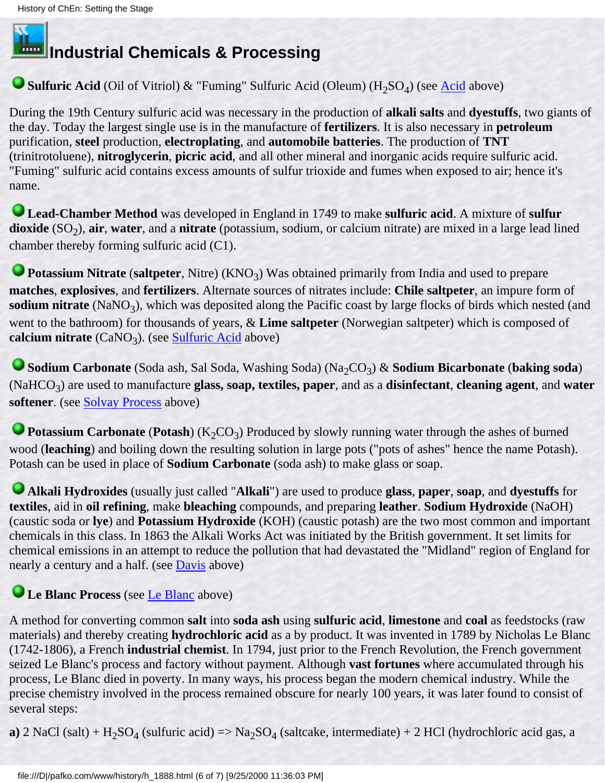### **Industrial Chemicals & Processing**

#### <span id="page-16-2"></span>■ **Sulfuric [Acid](#page-12-1)** (Oil of Vitriol) & "Fuming" Sulfuric Acid (Oleum) (H<sub>2</sub>SO<sub>4</sub>) (see <u>Acid</u> above)

During the 19th Century sulfuric acid was necessary in the production of **alkali salts** and **dyestuffs**, two giants of the day. Today the largest single use is in the manufacture of **fertilizers**. It is also necessary in **petroleum** purification, **steel** production, **electroplating**, and **automobile batteries**. The production of **TNT** (trinitrotoluene), **nitroglycerin**, **picric acid**, and all other mineral and inorganic acids require sulfuric acid. "Fuming" sulfuric acid contains excess amounts of sulfur trioxide and fumes when exposed to air; hence it's name.

<span id="page-16-0"></span>**Lead-Chamber Method** was developed in England in 1749 to make **sulfuric acid**. A mixture of **sulfur**  $divide(SO<sub>2</sub>)$ , air, water, and a nitrate (potassium, sodium, or calcium nitrate) are mixed in a large lead lined chamber thereby forming sulfuric acid (C1).

<span id="page-16-1"></span>**Potassium Nitrate** (**saltpeter**, Nitre) (KNO<sub>3</sub>) Was obtained primarily from India and used to prepare **matches**, **explosives**, and **fertilizers**. Alternate sources of nitrates include: **Chile saltpeter**, an impure form of **sodium nitrate** (NaNO<sub>3</sub>), which was deposited along the Pacific coast by large flocks of birds which nested (and went to the bathroom) for thousands of years, & **Lime saltpeter** (Norwegian saltpeter) which is composed of calcium nitrate  $(CaNO_3)$ . (see [Sulfuric Acid](#page-16-2) above)

<span id="page-16-3"></span>Godium Carbonate (Soda ash, Sal Soda, Washing Soda) (Na<sub>2</sub>CO<sub>3</sub>) & Sodium Bicarbonate (baking soda) (NaHCO3) are used to manufacture **glass, soap, textiles, paper**, and as a **disinfectant**, **cleaning agent**, and **water softener**. (see [Solvay Process](#page-13-1) above)

**Potassium Carbonate** (Potash) (K<sub>2</sub>CO<sub>3</sub>) Produced by slowly running water through the ashes of burned wood (**leaching**) and boiling down the resulting solution in large pots ("pots of ashes" hence the name Potash). Potash can be used in place of **Sodium Carbonate** (soda ash) to make glass or soap.

<span id="page-16-5"></span>**Alkali Hydroxides** (usually just called "**Alkali**") are used to produce **glass**, **paper**, **soap**, and **dyestuffs** for **textiles**, aid in **oil refining**, make **bleaching** compounds, and preparing **leather**. **Sodium Hydroxide** (NaOH) (caustic soda or **lye**) and **Potassium Hydroxide** (KOH) (caustic potash) are the two most common and important chemicals in this class. In 1863 the Alkali Works Act was initiated by the British government. It set limits for chemical emissions in an attempt to reduce the pollution that had devastated the "Midland" region of England for nearly a century and a half. (see [Davis](#page-13-0) above)

#### <span id="page-16-4"></span>**Le Blanc Process** (see [Le Blanc](#page-12-2) above)

A method for converting common **salt** into **soda ash** using **sulfuric acid**, **limestone** and **coal** as feedstocks (raw materials) and thereby creating **hydrochloric acid** as a by product. It was invented in 1789 by Nicholas Le Blanc (1742-1806), a French **industrial chemist**. In 1794, just prior to the French Revolution, the French government seized Le Blanc's process and factory without payment. Although **vast fortunes** where accumulated through his process, Le Blanc died in poverty. In many ways, his process began the modern chemical industry. While the precise chemistry involved in the process remained obscure for nearly 100 years, it was later found to consist of several steps:

**a**) 2 NaCl (salt) +  $H_2SO_4$  (sulfuric acid) => Na<sub>2</sub>SO<sub>4</sub> (saltcake, intermediate) + 2 HCl (hydrochloric acid gas, a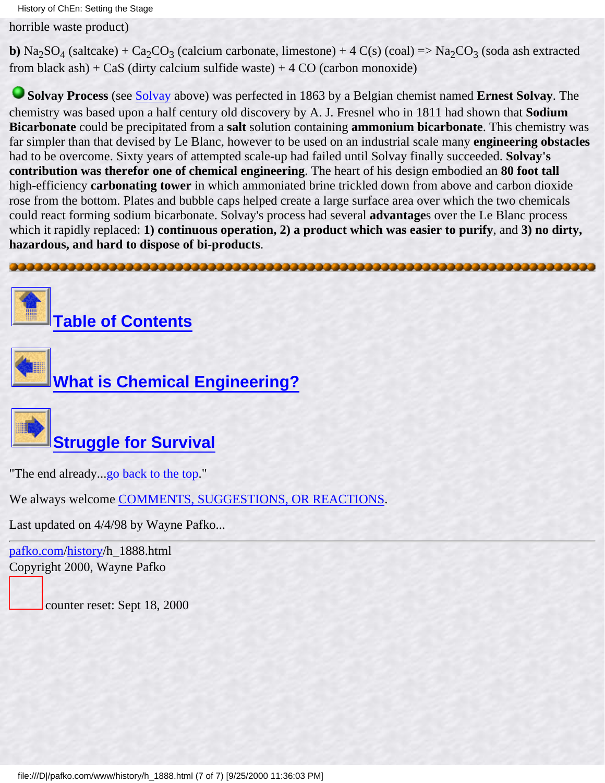horrible waste product)

**b**) Na<sub>2</sub>SO<sub>4</sub> (saltcake) + Ca<sub>2</sub>CO<sub>3</sub> (calcium carbonate, limestone) + 4 C(s) (coal) => Na<sub>2</sub>CO<sub>3</sub> (soda ash extracted from black ash) +  $CaS$  (dirty calcium sulfide waste) + 4 CO (carbon monoxide)

<span id="page-17-1"></span>**Solvay Process** (see [Solvay](#page-13-1) above) was perfected in 1863 by a Belgian chemist named **Ernest Solvay**. The chemistry was based upon a half century old discovery by A. J. Fresnel who in 1811 had shown that **Sodium Bicarbonate** could be precipitated from a **salt** solution containing **ammonium bicarbonate**. This chemistry was far simpler than that devised by Le Blanc, however to be used on an industrial scale many **engineering obstacles** had to be overcome. Sixty years of attempted scale-up had failed until Solvay finally succeeded. **Solvay's contribution was therefor one of chemical engineering**. The heart of his design embodied an **80 foot tall** high-efficiency **carbonating tower** in which ammoniated brine trickled down from above and carbon dioxide rose from the bottom. Plates and bubble caps helped create a large surface area over which the two chemicals could react forming sodium bicarbonate. Solvay's process had several **advantage**s over the Le Blanc process which it rapidly replaced: **1) continuous operation, 2) a product which was easier to purify**, and **3) no dirty, hazardous, and hard to dispose of bi-products**.

<span id="page-17-0"></span>



**[Table of Contents](#page-3-0)**





"The end already...[go back to the top.](#page-11-1)"

We always welcome [COMMENTS, SUGGESTIONS, OR REACTIONS](#page-5-0).

Last updated on 4/4/98 by Wayne Pafko...

[pafko.com](file:///)[/history](#page-0-0)/h\_1888.html Copyright 2000, Wayne Pafko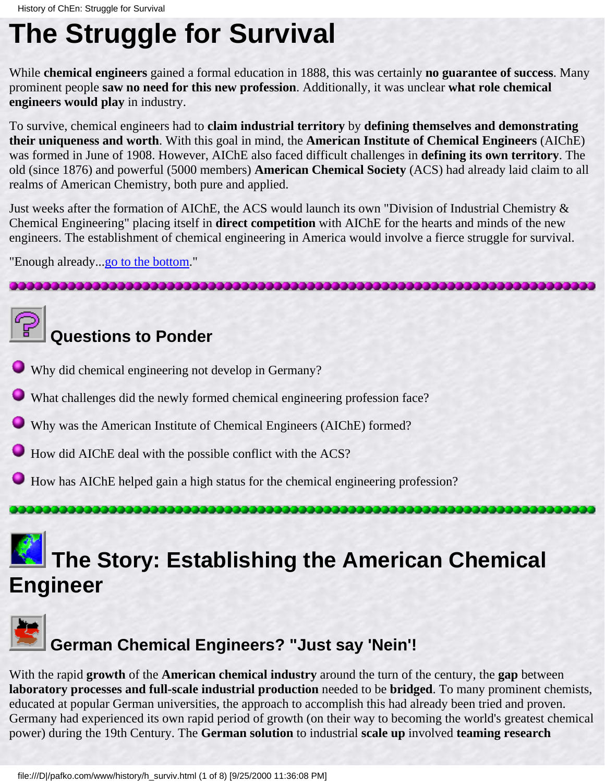### <span id="page-18-0"></span>**The Struggle for Survival**

While **chemical engineers** gained a formal education in 1888, this was certainly **no guarantee of success**. Many prominent people **saw no need for this new profession**. Additionally, it was unclear **what role chemical engineers would play** in industry.

To survive, chemical engineers had to **claim industrial territory** by **defining themselves and demonstrating their uniqueness and worth**. With this goal in mind, the **American Institute of Chemical Engineers** (AIChE) was formed in June of 1908. However, AIChE also faced difficult challenges in **defining its own territory**. The old (since 1876) and powerful (5000 members) **American Chemical Society** (ACS) had already laid claim to all realms of American Chemistry, both pure and applied.

Just weeks after the formation of AIChE, the ACS would launch its own "Division of Industrial Chemistry & Chemical Engineering" placing itself in **direct competition** with AIChE for the hearts and minds of the new engineers. The establishment of chemical engineering in America would involve a fierce struggle for survival.

"Enough already...go to the bottom."

### **Questions to Ponder**

- Why did chemical engineering not develop in Germany?
- What challenges did the newly formed chemical engineering profession face?
- Why was the American Institute of Chemical Engineers (AIChE) formed?
- How did AIChE deal with the possible conflict with the ACS?

,,,,,,,,,,,,,,,,,,,,,,,,,,,,,,,,,,,,,,

How has AIChE helped gain a high status for the chemical engineering profession?

### **The Story: Establishing the American Chemical Engineer**



### **German Chemical Engineers? "Just say 'Nein'!**

With the rapid **growth** of the **American chemical industry** around the turn of the century, the **gap** between **laboratory processes and full-scale industrial production** needed to be **bridged**. To many prominent chemists, educated at popular German universities, the approach to accomplish this had already been tried and proven. Germany had experienced its own rapid period of growth (on their way to becoming the world's greatest chemical power) during the 19th Century. The **German solution** to industrial **scale up** involved **teaming research**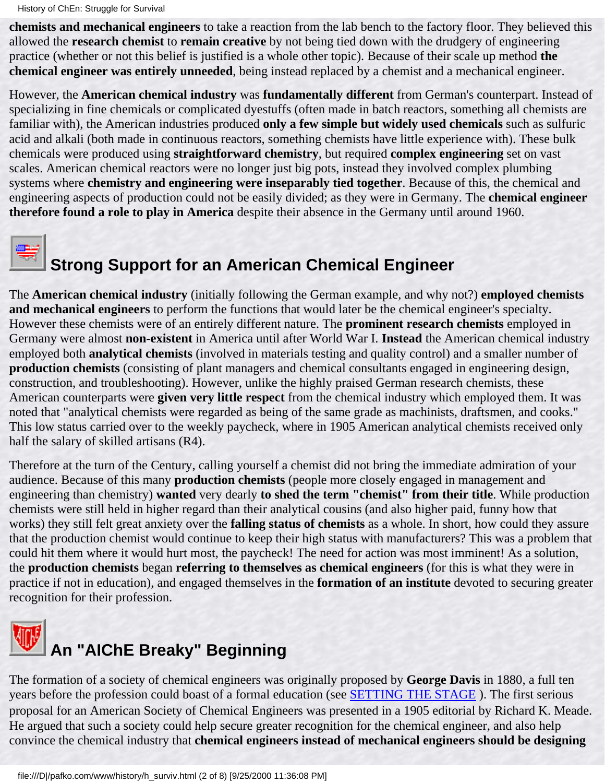History of ChEn: Struggle for Survival

**chemists and mechanical engineers** to take a reaction from the lab bench to the factory floor. They believed this allowed the **research chemist** to **remain creative** by not being tied down with the drudgery of engineering practice (whether or not this belief is justified is a whole other topic). Because of their scale up method **the chemical engineer was entirely unneeded**, being instead replaced by a chemist and a mechanical engineer.

However, the **American chemical industry** was **fundamentally different** from German's counterpart. Instead of specializing in fine chemicals or complicated dyestuffs (often made in batch reactors, something all chemists are familiar with), the American industries produced **only a few simple but widely used chemicals** such as sulfuric acid and alkali (both made in continuous reactors, something chemists have little experience with). These bulk chemicals were produced using **straightforward chemistry**, but required **complex engineering** set on vast scales. American chemical reactors were no longer just big pots, instead they involved complex plumbing systems where **chemistry and engineering were inseparably tied together**. Because of this, the chemical and engineering aspects of production could not be easily divided; as they were in Germany. The **chemical engineer therefore found a role to play in America** despite their absence in the Germany until around 1960.



# **Strong Support for an American Chemical Engineer**

The **American chemical industry** (initially following the German example, and why not?) **employed chemists and mechanical engineers** to perform the functions that would later be the chemical engineer's specialty. However these chemists were of an entirely different nature. The **prominent research chemists** employed in Germany were almost **non-existent** in America until after World War I. **Instead** the American chemical industry employed both **analytical chemists** (involved in materials testing and quality control) and a smaller number of **production chemists** (consisting of plant managers and chemical consultants engaged in engineering design, construction, and troubleshooting). However, unlike the highly praised German research chemists, these American counterparts were **given very little respect** from the chemical industry which employed them. It was noted that "analytical chemists were regarded as being of the same grade as machinists, draftsmen, and cooks." This low status carried over to the weekly paycheck, where in 1905 American analytical chemists received only half the salary of skilled artisans (R4).

Therefore at the turn of the Century, calling yourself a chemist did not bring the immediate admiration of your audience. Because of this many **production chemists** (people more closely engaged in management and engineering than chemistry) **wanted** very dearly **to shed the term "chemist" from their title**. While production chemists were still held in higher regard than their analytical cousins (and also higher paid, funny how that works) they still felt great anxiety over the **falling status of chemists** as a whole. In short, how could they assure that the production chemist would continue to keep their high status with manufacturers? This was a problem that could hit them where it would hurt most, the paycheck! The need for action was most imminent! As a solution, the **production chemists** began **referring to themselves as chemical engineers** (for this is what they were in practice if not in education), and engaged themselves in the **formation of an institute** devoted to securing greater recognition for their profession.



The formation of a society of chemical engineers was originally proposed by **George Davis** in 1880, a full ten years before the profession could boast of a formal education (see [SETTING THE STAGE](#page-11-0) ). The first serious proposal for an American Society of Chemical Engineers was presented in a 1905 editorial by Richard K. Meade. He argued that such a society could help secure greater recognition for the chemical engineer, and also help convince the chemical industry that **chemical engineers instead of mechanical engineers should be designing**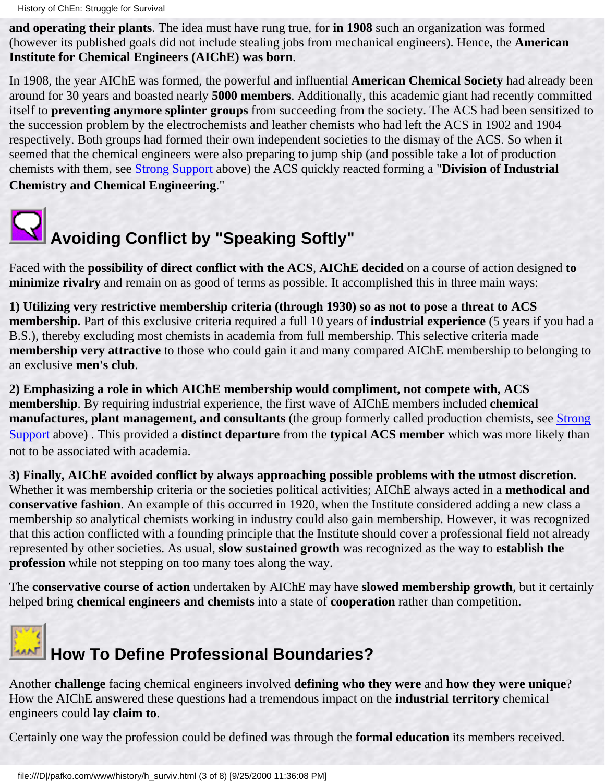**and operating their plants**. The idea must have rung true, for **in 1908** such an organization was formed (however its published goals did not include stealing jobs from mechanical engineers). Hence, the **American Institute for Chemical Engineers (AIChE) was born**.

In 1908, the year AIChE was formed, the powerful and influential **American Chemical Society** had already been around for 30 years and boasted nearly **5000 members**. Additionally, this academic giant had recently committed itself to **preventing anymore splinter groups** from succeeding from the society. The ACS had been sensitized to the succession problem by the electrochemists and leather chemists who had left the ACS in 1902 and 1904 respectively. Both groups had formed their own independent societies to the dismay of the ACS. So when it seemed that the chemical engineers were also preparing to jump ship (and possible take a lot of production chemists with them, see Strong Support above) the ACS quickly reacted forming a "**Division of Industrial Chemistry and Chemical Engineering**."



Faced with the **possibility of direct conflict with the ACS**, **AIChE decided** on a course of action designed **to minimize rivalry** and remain on as good of terms as possible. It accomplished this in three main ways:

**1) Utilizing very restrictive membership criteria (through 1930) so as not to pose a threat to ACS membership.** Part of this exclusive criteria required a full 10 years of **industrial experience** (5 years if you had a B.S.), thereby excluding most chemists in academia from full membership. This selective criteria made **membership very attractive** to those who could gain it and many compared AIChE membership to belonging to an exclusive **men's club**.

**2) Emphasizing a role in which AIChE membership would compliment, not compete with, ACS membership**. By requiring industrial experience, the first wave of AIChE members included **chemical manufactures, plant management, and consultants** (the group formerly called production chemists, see Strong Support above) . This provided a **distinct departure** from the **typical ACS member** which was more likely than not to be associated with academia.

**3) Finally, AIChE avoided conflict by always approaching possible problems with the utmost discretion.** Whether it was membership criteria or the societies political activities; AIChE always acted in a **methodical and conservative fashion**. An example of this occurred in 1920, when the Institute considered adding a new class a membership so analytical chemists working in industry could also gain membership. However, it was recognized that this action conflicted with a founding principle that the Institute should cover a professional field not already represented by other societies. As usual, **slow sustained growth** was recognized as the way to **establish the profession** while not stepping on too many toes along the way.

The **conservative course of action** undertaken by AIChE may have **slowed membership growth**, but it certainly helped bring **chemical engineers and chemists** into a state of **cooperation** rather than competition.



Another **challenge** facing chemical engineers involved **defining who they were** and **how they were unique**? How the AIChE answered these questions had a tremendous impact on the **industrial territory** chemical engineers could **lay claim to**.

Certainly one way the profession could be defined was through the **formal education** its members received.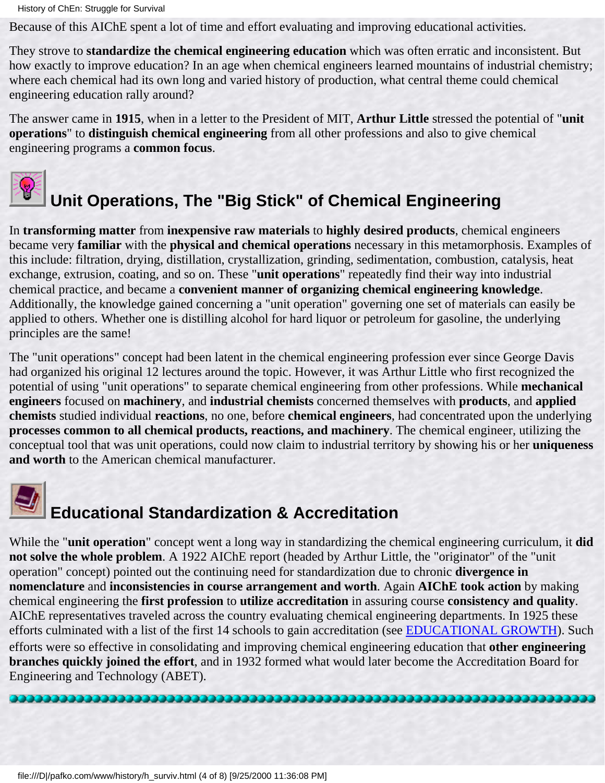History of ChEn: Struggle for Survival

Because of this AIChE spent a lot of time and effort evaluating and improving educational activities.

They strove to **standardize the chemical engineering education** which was often erratic and inconsistent. But how exactly to improve education? In an age when chemical engineers learned mountains of industrial chemistry; where each chemical had its own long and varied history of production, what central theme could chemical engineering education rally around?

The answer came in **1915**, when in a letter to the President of MIT, **Arthur Little** stressed the potential of "**unit operations**" to **distinguish chemical engineering** from all other professions and also to give chemical engineering programs a **common focus**.



## **Unit Operations, The "Big Stick" of Chemical Engineering**

In **transforming matter** from **inexpensive raw materials** to **highly desired products**, chemical engineers became very **familiar** with the **physical and chemical operations** necessary in this metamorphosis. Examples of this include: filtration, drying, distillation, crystallization, grinding, sedimentation, combustion, catalysis, heat exchange, extrusion, coating, and so on. These "**unit operations**" repeatedly find their way into industrial chemical practice, and became a **convenient manner of organizing chemical engineering knowledge**. Additionally, the knowledge gained concerning a "unit operation" governing one set of materials can easily be applied to others. Whether one is distilling alcohol for hard liquor or petroleum for gasoline, the underlying principles are the same!

The "unit operations" concept had been latent in the chemical engineering profession ever since George Davis had organized his original 12 lectures around the topic. However, it was Arthur Little who first recognized the potential of using "unit operations" to separate chemical engineering from other professions. While **mechanical engineers** focused on **machinery**, and **industrial chemists** concerned themselves with **products**, and **applied chemists** studied individual **reactions**, no one, before **chemical engineers**, had concentrated upon the underlying **processes common to all chemical products, reactions, and machinery**. The chemical engineer, utilizing the conceptual tool that was unit operations, could now claim to industrial territory by showing his or her **uniqueness and worth** to the American chemical manufacturer.



## **Educational Standardization & Accreditation**

While the "**unit operation**" concept went a long way in standardizing the chemical engineering curriculum, it **did not solve the whole problem**. A 1922 AIChE report (headed by Arthur Little, the "originator" of the "unit operation" concept) pointed out the continuing need for standardization due to chronic **divergence in nomenclature** and **inconsistencies in course arrangement and worth**. Again **AIChE took action** by making chemical engineering the **first profession** to **utilize accreditation** in assuring course **consistency and quality**. AIChE representatives traveled across the country evaluating chemical engineering departments. In 1925 these efforts culminated with a list of the first 14 schools to gain accreditation (see [EDUCATIONAL GROWTH](#page-35-0)). Such efforts were so effective in consolidating and improving chemical engineering education that **other engineering branches quickly joined the effort**, and in 1932 formed what would later become the Accreditation Board for Engineering and Technology (ABET).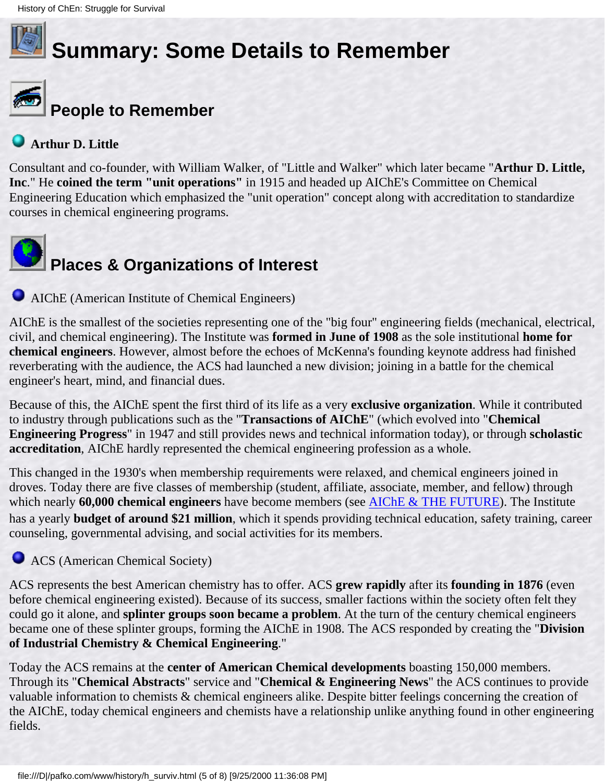

# **Summary: Some Details to Remember**



### **People to Remember**

#### **Arthur D. Little**

Consultant and co-founder, with William Walker, of "Little and Walker" which later became "**Arthur D. Little, Inc**." He **coined the term "unit operations"** in 1915 and headed up AIChE's Committee on Chemical Engineering Education which emphasized the "unit operation" concept along with accreditation to standardize courses in chemical engineering programs.



AIChE (American Institute of Chemical Engineers)

AIChE is the smallest of the societies representing one of the "big four" engineering fields (mechanical, electrical, civil, and chemical engineering). The Institute was **formed in June of 1908** as the sole institutional **home for chemical engineers**. However, almost before the echoes of McKenna's founding keynote address had finished reverberating with the audience, the ACS had launched a new division; joining in a battle for the chemical engineer's heart, mind, and financial dues.

Because of this, the AIChE spent the first third of its life as a very **exclusive organization**. While it contributed to industry through publications such as the "**Transactions of AIChE**" (which evolved into "**Chemical Engineering Progress**" in 1947 and still provides news and technical information today), or through **scholastic accreditation**, AIChE hardly represented the chemical engineering profession as a whole.

This changed in the 1930's when membership requirements were relaxed, and chemical engineers joined in droves. Today there are five classes of membership (student, affiliate, associate, member, and fellow) through which nearly **60,000 chemical engineers** have become members (see [AIChE & THE FUTURE\)](#page-33-0). The Institute has a yearly **budget of around \$21 million**, which it spends providing technical education, safety training, career counseling, governmental advising, and social activities for its members.

#### **ACS** (American Chemical Society)

ACS represents the best American chemistry has to offer. ACS **grew rapidly** after its **founding in 1876** (even before chemical engineering existed). Because of its success, smaller factions within the society often felt they could go it alone, and **splinter groups soon became a problem**. At the turn of the century chemical engineers became one of these splinter groups, forming the AIChE in 1908. The ACS responded by creating the "**Division of Industrial Chemistry & Chemical Engineering**."

Today the ACS remains at the **center of American Chemical developments** boasting 150,000 members. Through its "**Chemical Abstracts**" service and "**Chemical & Engineering News**" the ACS continues to provide valuable information to chemists & chemical engineers alike. Despite bitter feelings concerning the creation of the AIChE, today chemical engineers and chemists have a relationship unlike anything found in other engineering fields.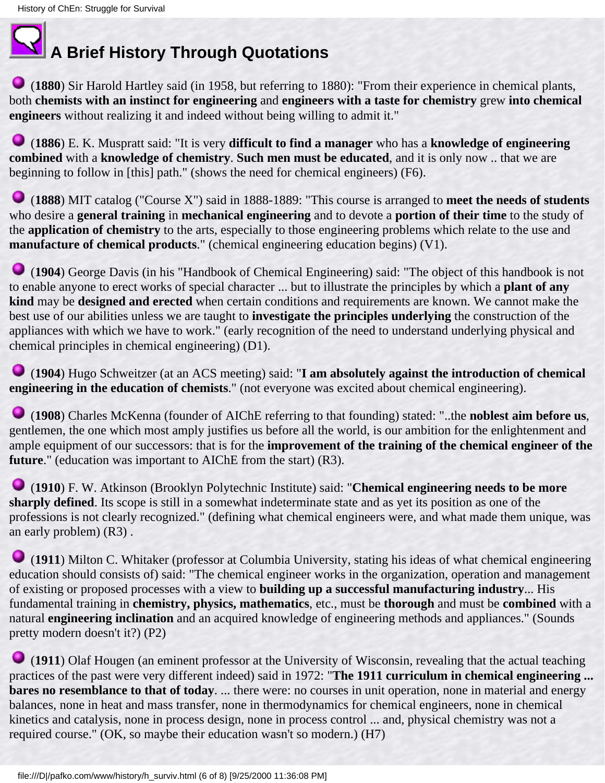### **A Brief History Through Quotations**

 (**1880**) Sir Harold Hartley said (in 1958, but referring to 1880): "From their experience in chemical plants, both **chemists with an instinct for engineering** and **engineers with a taste for chemistry** grew **into chemical engineers** without realizing it and indeed without being willing to admit it."

 (**1886**) E. K. Muspratt said: "It is very **difficult to find a manager** who has a **knowledge of engineering combined** with a **knowledge of chemistry**. **Such men must be educated**, and it is only now .. that we are beginning to follow in [this] path." (shows the need for chemical engineers) (F6).

 (**1888**) MIT catalog ("Course X") said in 1888-1889: "This course is arranged to **meet the needs of students** who desire a **general training** in **mechanical engineering** and to devote a **portion of their time** to the study of the **application of chemistry** to the arts, especially to those engineering problems which relate to the use and **manufacture of chemical products**." (chemical engineering education begins) (V1).

 (**1904**) George Davis (in his "Handbook of Chemical Engineering) said: "The object of this handbook is not to enable anyone to erect works of special character ... but to illustrate the principles by which a **plant of any kind** may be **designed and erected** when certain conditions and requirements are known. We cannot make the best use of our abilities unless we are taught to **investigate the principles underlying** the construction of the appliances with which we have to work." (early recognition of the need to understand underlying physical and chemical principles in chemical engineering) (D1).

 (**1904**) Hugo Schweitzer (at an ACS meeting) said: "**I am absolutely against the introduction of chemical engineering in the education of chemists**." (not everyone was excited about chemical engineering).

 (**1908**) Charles McKenna (founder of AIChE referring to that founding) stated: "..the **noblest aim before us**, gentlemen, the one which most amply justifies us before all the world, is our ambition for the enlightenment and ample equipment of our successors: that is for the **improvement of the training of the chemical engineer of the future**." (education was important to AIChE from the start) (R3).

 (**1910**) F. W. Atkinson (Brooklyn Polytechnic Institute) said: "**Chemical engineering needs to be more sharply defined**. Its scope is still in a somewhat indeterminate state and as yet its position as one of the professions is not clearly recognized." (defining what chemical engineers were, and what made them unique, was an early problem) (R3) .

 (**1911**) Milton C. Whitaker (professor at Columbia University, stating his ideas of what chemical engineering education should consists of) said: "The chemical engineer works in the organization, operation and management of existing or proposed processes with a view to **building up a successful manufacturing industry**... His fundamental training in **chemistry, physics, mathematics**, etc., must be **thorough** and must be **combined** with a natural **engineering inclination** and an acquired knowledge of engineering methods and appliances." (Sounds pretty modern doesn't it?) (P2)

 (**1911**) Olaf Hougen (an eminent professor at the University of Wisconsin, revealing that the actual teaching practices of the past were very different indeed) said in 1972: "**The 1911 curriculum in chemical engineering ... bares no resemblance to that of today**. ... there were: no courses in unit operation, none in material and energy balances, none in heat and mass transfer, none in thermodynamics for chemical engineers, none in chemical kinetics and catalysis, none in process design, none in process control ... and, physical chemistry was not a required course." (OK, so maybe their education wasn't so modern.) (H7)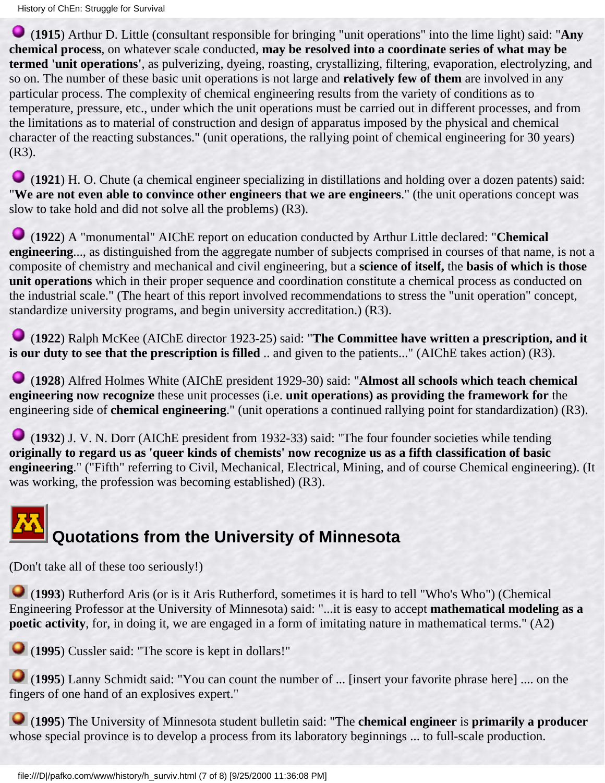(**1915**) Arthur D. Little (consultant responsible for bringing "unit operations" into the lime light) said: "**Any chemical process**, on whatever scale conducted, **may be resolved into a coordinate series of what may be termed 'unit operations'**, as pulverizing, dyeing, roasting, crystallizing, filtering, evaporation, electrolyzing, and so on. The number of these basic unit operations is not large and **relatively few of them** are involved in any particular process. The complexity of chemical engineering results from the variety of conditions as to temperature, pressure, etc., under which the unit operations must be carried out in different processes, and from the limitations as to material of construction and design of apparatus imposed by the physical and chemical character of the reacting substances." (unit operations, the rallying point of chemical engineering for 30 years) (R3).

 (**1921**) H. O. Chute (a chemical engineer specializing in distillations and holding over a dozen patents) said: "**We are not even able to convince other engineers that we are engineers**." (the unit operations concept was slow to take hold and did not solve all the problems) (R3).

 (**1922**) A "monumental" AIChE report on education conducted by Arthur Little declared: "**Chemical engineering**..., as distinguished from the aggregate number of subjects comprised in courses of that name, is not a composite of chemistry and mechanical and civil engineering, but a **science of itself,** the **basis of which is those unit operations** which in their proper sequence and coordination constitute a chemical process as conducted on the industrial scale." (The heart of this report involved recommendations to stress the "unit operation" concept, standardize university programs, and begin university accreditation.) (R3).

 (**1922**) Ralph McKee (AIChE director 1923-25) said: "**The Committee have written a prescription, and it is our duty to see that the prescription is filled** .. and given to the patients..." (AIChE takes action) (R3).

 (**1928**) Alfred Holmes White (AIChE president 1929-30) said: "**Almost all schools which teach chemical engineering now recognize** these unit processes (i.e. **unit operations) as providing the framework for** the engineering side of **chemical engineering**." (unit operations a continued rallying point for standardization) (R3).

 (**1932**) J. V. N. Dorr (AIChE president from 1932-33) said: "The four founder societies while tending **originally to regard us as 'queer kinds of chemists' now recognize us as a fifth classification of basic engineering**." ("Fifth" referring to Civil, Mechanical, Electrical, Mining, and of course Chemical engineering). (It was working, the profession was becoming established) (R3).

## **Quotations from the University of Minnesota**

(Don't take all of these too seriously!)

 (**1993**) Rutherford Aris (or is it Aris Rutherford, sometimes it is hard to tell "Who's Who") (Chemical Engineering Professor at the University of Minnesota) said: "...it is easy to accept **mathematical modeling as a poetic activity**, for, in doing it, we are engaged in a form of imitating nature in mathematical terms." (A2)

(**1995**) Cussler said: "The score is kept in dollars!"

 (**1995**) Lanny Schmidt said: "You can count the number of ... [insert your favorite phrase here] .... on the fingers of one hand of an explosives expert."

 (**1995**) The University of Minnesota student bulletin said: "The **chemical engineer** is **primarily a producer** whose special province is to develop a process from its laboratory beginnings ... to full-scale production.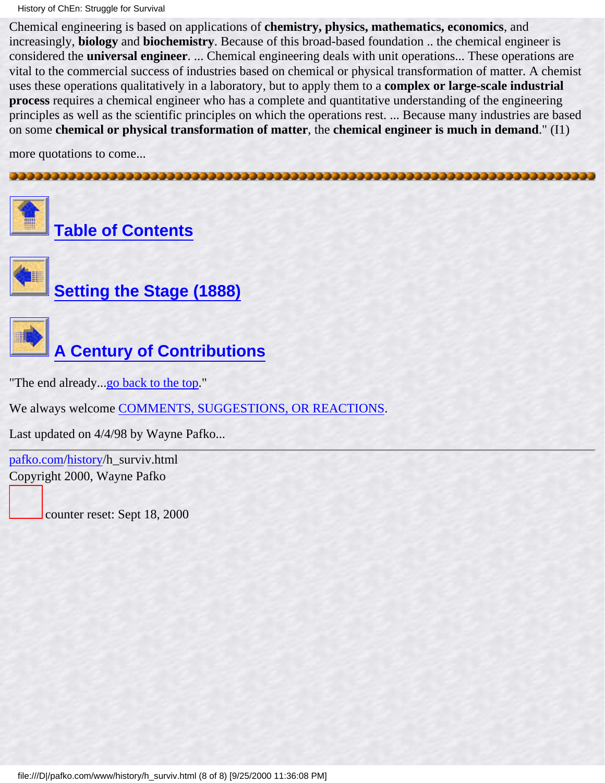History of ChEn: Struggle for Survival

Chemical engineering is based on applications of **chemistry, physics, mathematics, economics**, and increasingly, **biology** and **biochemistry**. Because of this broad-based foundation .. the chemical engineer is considered the **universal engineer**. ... Chemical engineering deals with unit operations... These operations are vital to the commercial success of industries based on chemical or physical transformation of matter. A chemist uses these operations qualitatively in a laboratory, but to apply them to a **complex or large-scale industrial process** requires a chemical engineer who has a complete and quantitative understanding of the engineering principles as well as the scientific principles on which the operations rest. ... Because many industries are based on some **chemical or physical transformation of matter**, the **chemical engineer is much in demand**." (I1)

more quotations to come...



**[Table of Contents](#page-3-0)**



**[Setting the Stage \(1888\)](#page-11-0)**



**[A Century of Contributions](#page-26-0)**

"The end already...[go back to the top.](#page-18-0)"

We always welcome [COMMENTS, SUGGESTIONS, OR REACTIONS](#page-5-0).

Last updated on 4/4/98 by Wayne Pafko...

[pafko.com](file:///)[/history](#page-0-0)/h\_surviv.html Copyright 2000, Wayne Pafko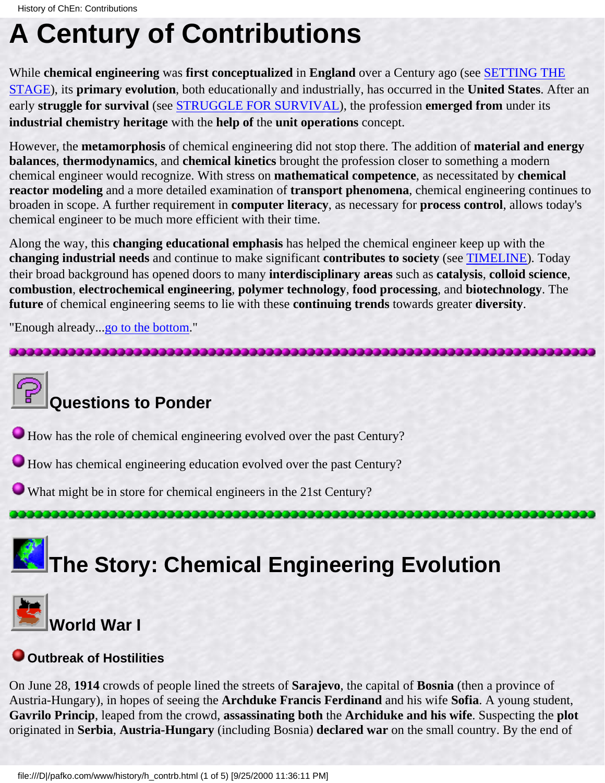### <span id="page-26-1"></span><span id="page-26-0"></span>**A Century of Contributions**

While **chemical engineering** was **first conceptualized** in **England** over a Century ago (see [SETTING THE](#page-11-0) [STAGE](#page-11-0)), its **primary evolution**, both educationally and industrially, has occurred in the **United States**. After an early **struggle for survival** (see [STRUGGLE FOR SURVIVAL\)](#page-18-0), the profession **emerged from** under its **industrial chemistry heritage** with the **help of** the **unit operations** concept.

However, the **metamorphosis** of chemical engineering did not stop there. The addition of **material and energy balances**, **thermodynamics**, and **chemical kinetics** brought the profession closer to something a modern chemical engineer would recognize. With stress on **mathematical competence**, as necessitated by **chemical reactor modeling** and a more detailed examination of **transport phenomena**, chemical engineering continues to broaden in scope. A further requirement in **computer literacy**, as necessary for **process control**, allows today's chemical engineer to be much more efficient with their time.

Along the way, this **changing educational emphasis** has helped the chemical engineer keep up with the **changing industrial needs** and continue to make significant **contributes to society** (see [TIMELINE\)](#page-76-0). Today their broad background has opened doors to many **interdisciplinary areas** such as **catalysis**, **colloid science**, **combustion**, **electrochemical engineering**, **polymer technology**, **food processing**, and **biotechnology**. The **future** of chemical engineering seems to lie with these **continuing trends** towards greater **diversity**.

"Enough already..[.go to the bottom.](#page-30-0)"



### **World War I**

#### **Outbreak of Hostilities**

On June 28, **1914** crowds of people lined the streets of **Sarajevo**, the capital of **Bosnia** (then a province of Austria-Hungary), in hopes of seeing the **Archduke Francis Ferdinand** and his wife **Sofia**. A young student, **Gavrilo Princip**, leaped from the crowd, **assassinating both** the **Archiduke and his wife**. Suspecting the **plot** originated in **Serbia**, **Austria-Hungary** (including Bosnia) **declared war** on the small country. By the end of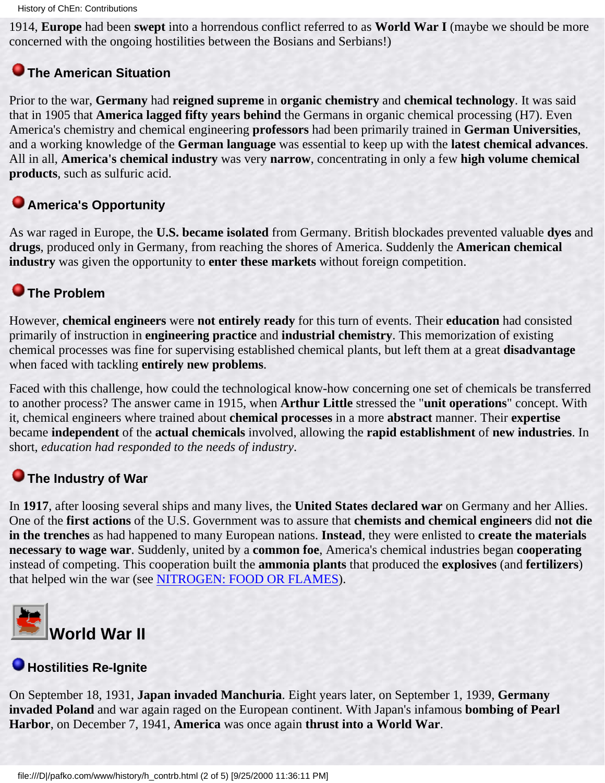1914, **Europe** had been **swept** into a horrendous conflict referred to as **World War I** (maybe we should be more concerned with the ongoing hostilities between the Bosians and Serbians!)

#### **The American Situation**

Prior to the war, **Germany** had **reigned supreme** in **organic chemistry** and **chemical technology**. It was said that in 1905 that **America lagged fifty years behind** the Germans in organic chemical processing (H7). Even America's chemistry and chemical engineering **professors** had been primarily trained in **German Universities**, and a working knowledge of the **German language** was essential to keep up with the **latest chemical advances**. All in all, **America's chemical industry** was very **narrow**, concentrating in only a few **high volume chemical products**, such as sulfuric acid.

#### **America's Opportunity**

As war raged in Europe, the **U.S. became isolated** from Germany. British blockades prevented valuable **dyes** and **drugs**, produced only in Germany, from reaching the shores of America. Suddenly the **American chemical industry** was given the opportunity to **enter these markets** without foreign competition.

#### **The Problem**

However, **chemical engineers** were **not entirely ready** for this turn of events. Their **education** had consisted primarily of instruction in **engineering practice** and **industrial chemistry**. This memorization of existing chemical processes was fine for supervising established chemical plants, but left them at a great **disadvantage** when faced with tackling **entirely new problems**.

Faced with this challenge, how could the technological know-how concerning one set of chemicals be transferred to another process? The answer came in 1915, when **Arthur Little** stressed the "**unit operations**" concept. With it, chemical engineers where trained about **chemical processes** in a more **abstract** manner. Their **expertise** became **independent** of the **actual chemicals** involved, allowing the **rapid establishment** of **new industries**. In short, *education had responded to the needs of industry*.

### **O** The Industry of War

In **1917**, after loosing several ships and many lives, the **United States declared war** on Germany and her Allies. One of the **first actions** of the U.S. Government was to assure that **chemists and chemical engineers** did **not die in the trenches** as had happened to many European nations. **Instead**, they were enlisted to **create the materials necessary to wage war**. Suddenly, united by a **common foe**, America's chemical industries began **cooperating** instead of competing. This cooperation built the **ammonia plants** that produced the **explosives** (and **fertilizers**) that helped win the war (see [NITROGEN: FOOD OR FLAMES\)](#page-39-0).



#### **Hostilities Re-Ignite**

On September 18, 1931, **Japan invaded Manchuria**. Eight years later, on September 1, 1939, **Germany invaded Poland** and war again raged on the European continent. With Japan's infamous **bombing of Pearl Harbor**, on December 7, 1941, **America** was once again **thrust into a World War**.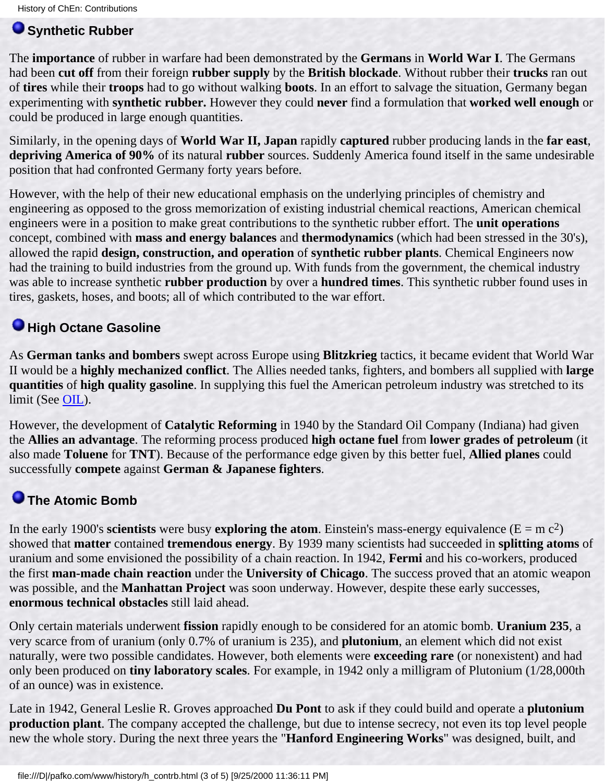#### **Synthetic Rubber**

The **importance** of rubber in warfare had been demonstrated by the **Germans** in **World War I**. The Germans had been **cut off** from their foreign **rubber supply** by the **British blockade**. Without rubber their **trucks** ran out of **tires** while their **troops** had to go without walking **boots**. In an effort to salvage the situation, Germany began experimenting with **synthetic rubber.** However they could **never** find a formulation that **worked well enough** or could be produced in large enough quantities.

Similarly, in the opening days of **World War II, Japan** rapidly **captured** rubber producing lands in the **far east**, **depriving America of 90%** of its natural **rubber** sources. Suddenly America found itself in the same undesirable position that had confronted Germany forty years before.

However, with the help of their new educational emphasis on the underlying principles of chemistry and engineering as opposed to the gross memorization of existing industrial chemical reactions, American chemical engineers were in a position to make great contributions to the synthetic rubber effort. The **unit operations** concept, combined with **mass and energy balances** and **thermodynamics** (which had been stressed in the 30's), allowed the rapid **design, construction, and operation** of **synthetic rubber plants**. Chemical Engineers now had the training to build industries from the ground up. With funds from the government, the chemical industry was able to increase synthetic **rubber production** by over a **hundred times**. This synthetic rubber found uses in tires, gaskets, hoses, and boots; all of which contributed to the war effort.

#### **High Octane Gasoline**

As **German tanks and bombers** swept across Europe using **Blitzkrieg** tactics, it became evident that World War II would be a **highly mechanized conflict**. The Allies needed tanks, fighters, and bombers all supplied with **large quantities** of **high quality gasoline**. In supplying this fuel the American petroleum industry was stretched to its limit (See [OIL\)](#page-45-0).

However, the development of **Catalytic Reforming** in 1940 by the Standard Oil Company (Indiana) had given the **Allies an advantage**. The reforming process produced **high octane fuel** from **lower grades of petroleum** (it also made **Toluene** for **TNT**). Because of the performance edge given by this better fuel, **Allied planes** could successfully **compete** against **German & Japanese fighters**.

#### <span id="page-28-0"></span>**The Atomic Bomb**

In the early 1900's **scientists** were busy **exploring the atom**. Einstein's mass-energy equivalence ( $E = mc^2$ ) showed that **matter** contained **tremendous energy**. By 1939 many scientists had succeeded in **splitting atoms** of uranium and some envisioned the possibility of a chain reaction. In 1942, **Fermi** and his co-workers, produced the first **man-made chain reaction** under the **University of Chicago**. The success proved that an atomic weapon was possible, and the **Manhattan Project** was soon underway. However, despite these early successes, **enormous technical obstacles** still laid ahead.

Only certain materials underwent **fission** rapidly enough to be considered for an atomic bomb. **Uranium 235**, a very scarce from of uranium (only 0.7% of uranium is 235), and **plutonium**, an element which did not exist naturally, were two possible candidates. However, both elements were **exceeding rare** (or nonexistent) and had only been produced on **tiny laboratory scales**. For example, in 1942 only a milligram of Plutonium (1/28,000th of an ounce) was in existence.

Late in 1942, General Leslie R. Groves approached **Du Pont** to ask if they could build and operate a **plutonium production plant**. The company accepted the challenge, but due to intense secrecy, not even its top level people new the whole story. During the next three years the "**Hanford Engineering Works**" was designed, built, and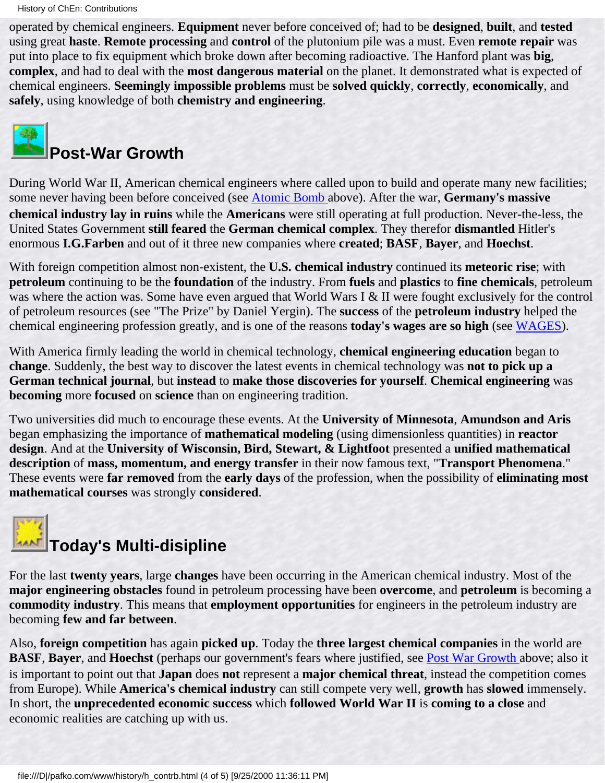operated by chemical engineers. **Equipment** never before conceived of; had to be **designed**, **built**, and **tested** using great **haste**. **Remote processing** and **control** of the plutonium pile was a must. Even **remote repair** was put into place to fix equipment which broke down after becoming radioactive. The Hanford plant was **big**, **complex**, and had to deal with the **most dangerous material** on the planet. It demonstrated what is expected of chemical engineers. **Seemingly impossible problems** must be **solved quickly**, **correctly**, **economically**, and **safely**, using knowledge of both **chemistry and engineering**.

<span id="page-29-0"></span>

### **Post-War Growth**

During World War II, American chemical engineers where called upon to build and operate many new facilities; some never having been before conceived (see [Atomic Bomb](#page-28-0) above). After the war, **Germany's massive chemical industry lay in ruins** while the **Americans** were still operating at full production. Never-the-less, the United States Government **still feared** the **German chemical complex**. They therefor **dismantled** Hitler's enormous **I.G.Farben** and out of it three new companies where **created**; **BASF**, **Bayer**, and **Hoechst**.

With foreign competition almost non-existent, the **U.S. chemical industry** continued its **meteoric rise**; with **petroleum** continuing to be the **foundation** of the industry. From **fuels** and **plastics** to **fine chemicals**, petroleum was where the action was. Some have even argued that World Wars I & II were fought exclusively for the control of petroleum resources (see "The Prize" by Daniel Yergin). The **success** of the **petroleum industry** helped the chemical engineering profession greatly, and is one of the reasons **today's wages are so high** (see [WAGES](#page-51-0)).

With America firmly leading the world in chemical technology, **chemical engineering education** began to **change**. Suddenly, the best way to discover the latest events in chemical technology was **not to pick up a German technical journal**, but **instead** to **make those discoveries for yourself**. **Chemical engineering** was **becoming** more **focused** on **science** than on engineering tradition.

Two universities did much to encourage these events. At the **University of Minnesota**, **Amundson and Aris** began emphasizing the importance of **mathematical modeling** (using dimensionless quantities) in **reactor design**. And at the **University of Wisconsin, Bird, Stewart, & Lightfoot** presented a **unified mathematical description** of **mass, momentum, and energy transfer** in their now famous text, "**Transport Phenomena**." These events were **far removed** from the **early days** of the profession, when the possibility of **eliminating most mathematical courses** was strongly **considered**.

# **Today's Multi-disipline**

For the last **twenty years**, large **changes** have been occurring in the American chemical industry. Most of the **major engineering obstacles** found in petroleum processing have been **overcome**, and **petroleum** is becoming a **commodity industry**. This means that **employment opportunities** for engineers in the petroleum industry are becoming **few and far between**.

Also, **foreign competition** has again **picked up**. Today the **three largest chemical companies** in the world are **BASF**, **Bayer**, and **Hoechst** (perhaps our government's fears where justified, see [Post War Growth](#page-29-0) above; also it is important to point out that **Japan** does **not** represent a **major chemical threat**, instead the competition comes from Europe). While **America's chemical industry** can still compete very well, **growth** has **slowed** immensely. In short, the **unprecedented economic success** which **followed World War II** is **coming to a close** and economic realities are catching up with us.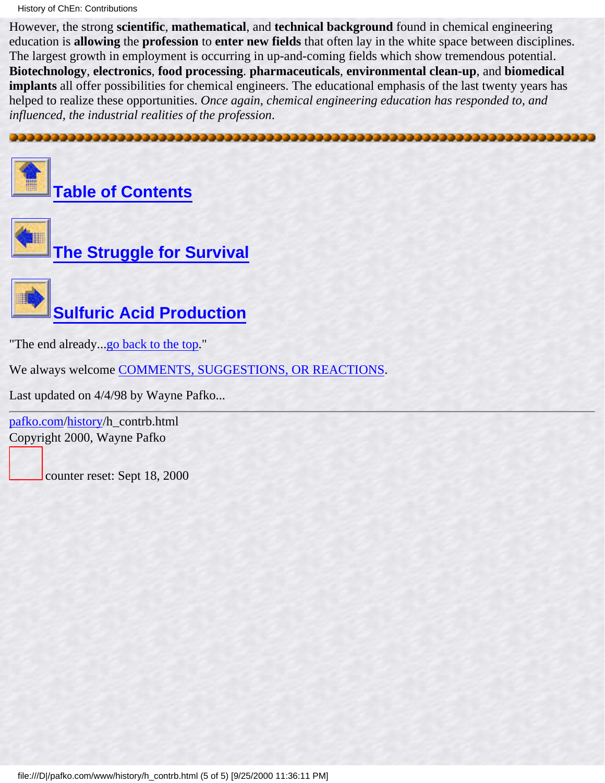History of ChEn: Contributions

However, the strong **scientific**, **mathematical**, and **technical background** found in chemical engineering education is **allowing** the **profession** to **enter new fields** that often lay in the white space between disciplines. The largest growth in employment is occurring in up-and-coming fields which show tremendous potential. **Biotechnology**, **electronics**, **food processing**. **pharmaceuticals**, **environmental clean-up**, and **biomedical implants** all offer possibilities for chemical engineers. The educational emphasis of the last twenty years has helped to realize these opportunities. *Once again, chemical engineering education has responded to, and influenced, the industrial realities of the profession*.

<span id="page-30-0"></span>



**[Table of Contents](#page-3-0)**





"The end already...[go back to the top.](#page-26-1)"

We always welcome [COMMENTS, SUGGESTIONS, OR REACTIONS](#page-5-0).

Last updated on 4/4/98 by Wayne Pafko...

[pafko.com](file:///)[/history](#page-0-0)/h\_contrb.html Copyright 2000, Wayne Pafko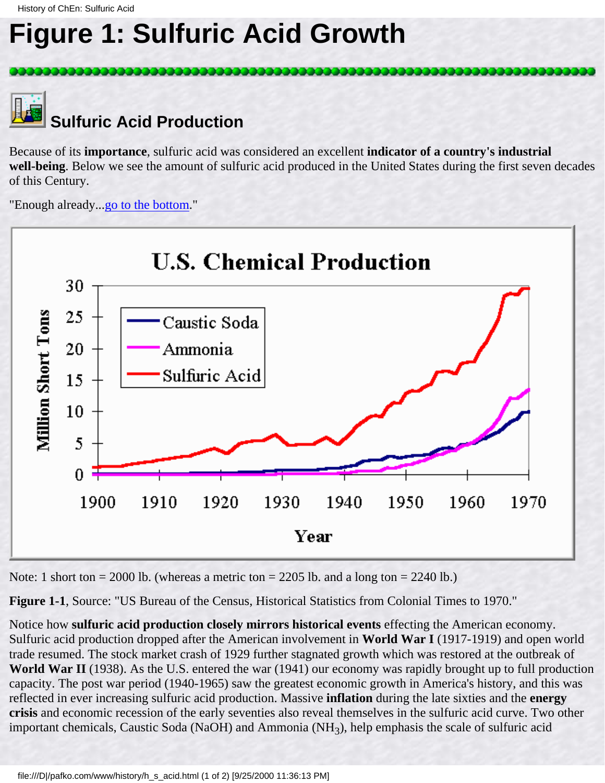### <span id="page-31-0"></span>**Figure 1: Sulfuric Acid Growth**



Because of its **importance**, sulfuric acid was considered an excellent **indicator of a country's industrial well-being**. Below we see the amount of sulfuric acid produced in the United States during the first seven decades of this Century.

"Enough already...go to the bottom."



Note: 1 short ton = 2000 lb. (whereas a metric ton = 2205 lb. and a long ton = 2240 lb.)

**Figure 1-1**, Source: "US Bureau of the Census, Historical Statistics from Colonial Times to 1970."

Notice how **sulfuric acid production closely mirrors historical events** effecting the American economy. Sulfuric acid production dropped after the American involvement in **World War I** (1917-1919) and open world trade resumed. The stock market crash of 1929 further stagnated growth which was restored at the outbreak of **World War II** (1938). As the U.S. entered the war (1941) our economy was rapidly brought up to full production capacity. The post war period (1940-1965) saw the greatest economic growth in America's history, and this was reflected in ever increasing sulfuric acid production. Massive **inflation** during the late sixties and the **energy crisis** and economic recession of the early seventies also reveal themselves in the sulfuric acid curve. Two other important chemicals, Caustic Soda (NaOH) and Ammonia (NH<sub>3</sub>), help emphasis the scale of sulfuric acid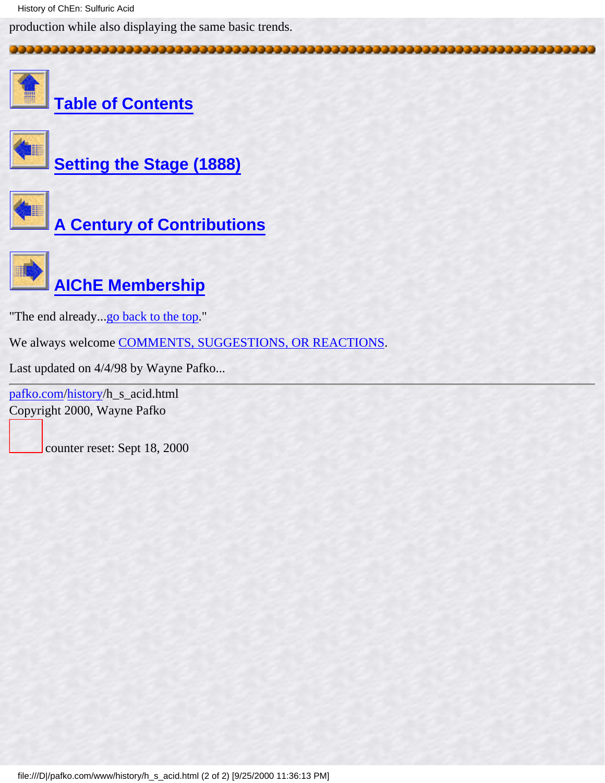History of ChEn: Sulfuric Acid

production while also displaying the same basic trends.



**[Table of Contents](#page-3-0)**



**[Setting the Stage \(1888\)](#page-11-0)**



**[A Century of Contributions](#page-26-0)**



"The end already...go back to the top."

We always welcome [COMMENTS, SUGGESTIONS, OR REACTIONS](#page-5-0).

Last updated on 4/4/98 by Wayne Pafko...

[pafko.com](file:///)[/history](#page-0-0)/h\_s\_acid.html Copyright 2000, Wayne Pafko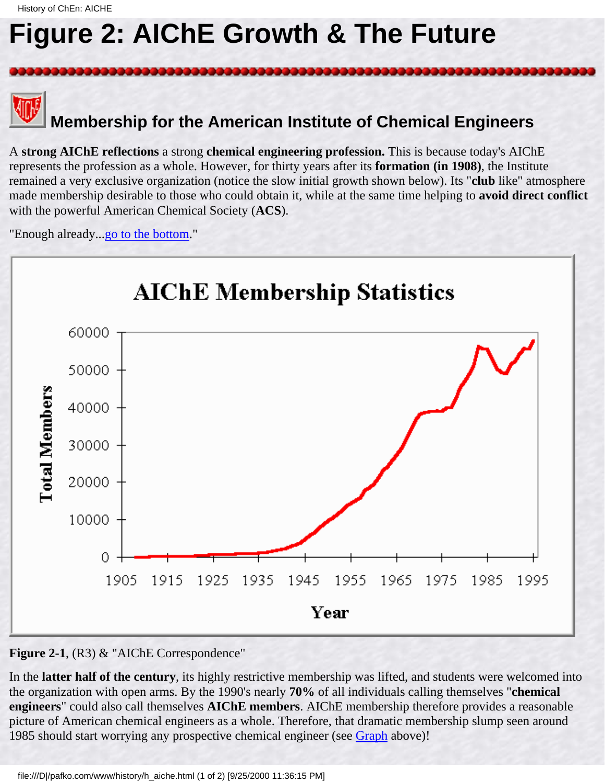### <span id="page-33-0"></span>**Figure 2: AIChE Growth & The Future**



 **Membership for the American Institute of Chemical Engineers**

A **strong AIChE reflections** a strong **chemical engineering profession.** This is because today's AIChE represents the profession as a whole. However, for thirty years after its **formation (in 1908)**, the Institute remained a very exclusive organization (notice the slow initial growth shown below). Its "**club** like" atmosphere made membership desirable to those who could obtain it, while at the same time helping to **avoid direct conflict** with the powerful American Chemical Society (**ACS**).

"Enough already...go to the bottom."



#### **Figure 2-1**, (R3) & "AIChE Correspondence"

In the **latter half of the century**, its highly restrictive membership was lifted, and students were welcomed into the organization with open arms. By the 1990's nearly **70%** of all individuals calling themselves "**chemical engineers**" could also call themselves **AIChE members**. AIChE membership therefore provides a reasonable picture of American chemical engineers as a whole. Therefore, that dramatic membership slump seen around 1985 should start worrying any prospective chemical engineer (see Graph above)!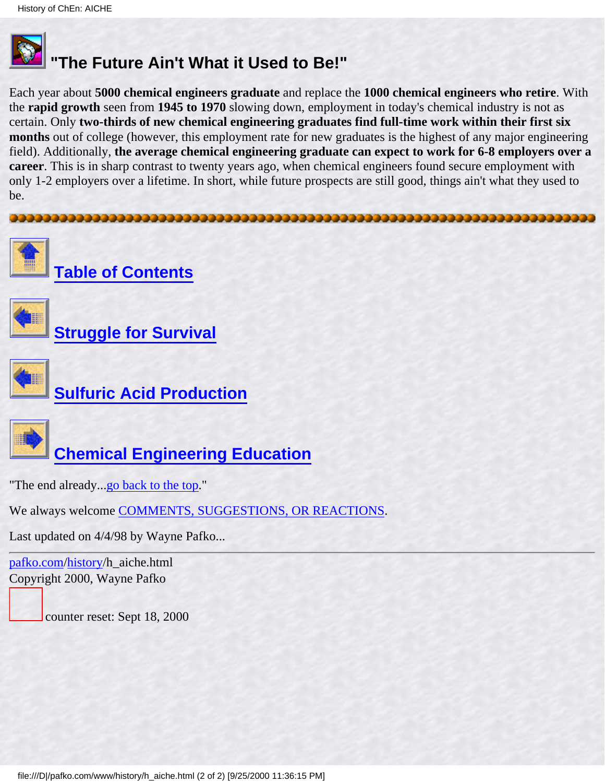

### **"The Future Ain't What it Used to Be!"**

Each year about **5000 chemical engineers graduate** and replace the **1000 chemical engineers who retire**. With the **rapid growth** seen from **1945 to 1970** slowing down, employment in today's chemical industry is not as certain. Only **two-thirds of new chemical engineering graduates find full-time work within their first six months** out of college (however, this employment rate for new graduates is the highest of any major engineering field). Additionally, **the average chemical engineering graduate can expect to work for 6-8 employers over a career**. This is in sharp contrast to twenty years ago, when chemical engineers found secure employment with only 1-2 employers over a lifetime. In short, while future prospects are still good, things ain't what they used to be.



We always welcome [COMMENTS, SUGGESTIONS, OR REACTIONS](#page-5-0).

Last updated on 4/4/98 by Wayne Pafko...

[pafko.com](file:///)[/history](#page-0-0)/h\_aiche.html Copyright 2000, Wayne Pafko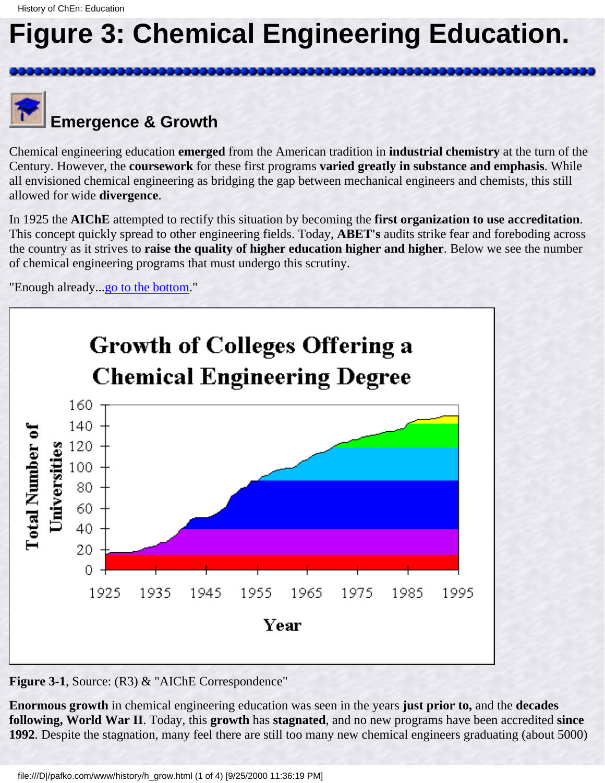### <span id="page-35-0"></span>**Figure 3: Chemical Engineering Education.**



### **Emergence & Growth**

Chemical engineering education **emerged** from the American tradition in **industrial chemistry** at the turn of the Century. However, the **coursework** for these first programs **varied greatly in substance and emphasis**. While all envisioned chemical engineering as bridging the gap between mechanical engineers and chemists, this still allowed for wide **divergence**.

In 1925 the **AIChE** attempted to rectify this situation by becoming the **first organization to use accreditation**. This concept quickly spread to other engineering fields. Today, **ABET's** audits strike fear and foreboding across the country as it strives to **raise the quality of higher education higher and higher**. Below we see the number of chemical engineering programs that must undergo this scrutiny.

"Enough already...go to the bottom."



**Figure 3-1, Source: (R3) & "AIChE Correspondence"** 

**Enormous growth** in chemical engineering education was seen in the years **just prior to,** and the **decades following, World War II**. Today, this **growth** has **stagnated**, and no new programs have been accredited **since 1992**. Despite the stagnation, many feel there are still too many new chemical engineers graduating (about 5000)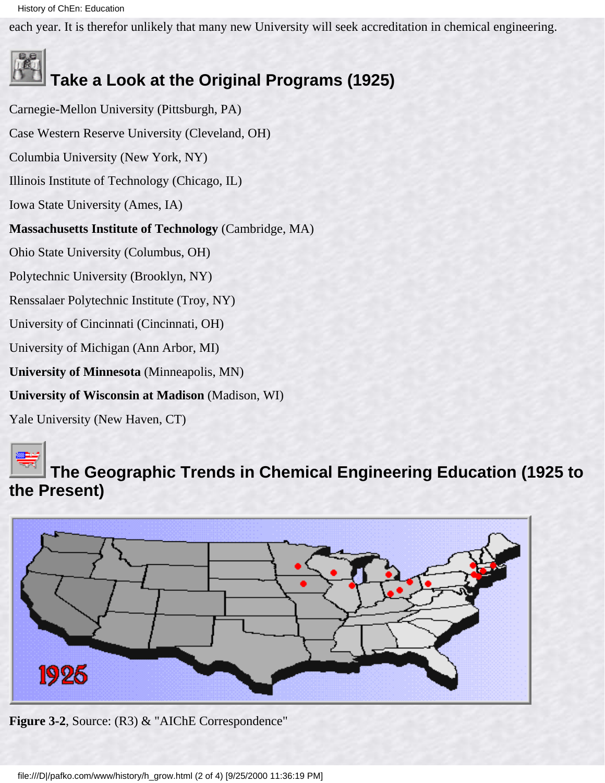History of ChEn: Education

each year. It is therefor unlikely that many new University will seek accreditation in chemical engineering.

# **Take a Look at the Original Programs (1925)**

Carnegie-Mellon University (Pittsburgh, PA) Case Western Reserve University (Cleveland, OH) Columbia University (New York, NY) Illinois Institute of Technology (Chicago, IL) Iowa State University (Ames, IA) **Massachusetts Institute of Technology** (Cambridge, MA) Ohio State University (Columbus, OH) Polytechnic University (Brooklyn, NY) Renssalaer Polytechnic Institute (Troy, NY) University of Cincinnati (Cincinnati, OH) University of Michigan (Ann Arbor, MI) **University of Minnesota** (Minneapolis, MN) **University of Wisconsin at Madison** (Madison, WI)

Yale University (New Haven, CT)



### **The Geographic Trends in Chemical Engineering Education (1925 to the Present)**



**Figure 3-2**, Source: (R3) & "AIChE Correspondence"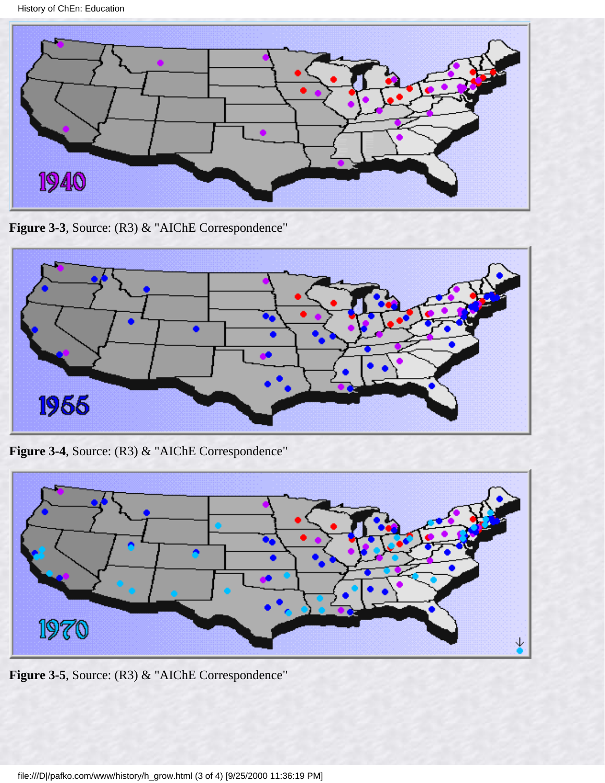History of ChEn: Education



Figure 3-3, Source: (R3) & "AIChE Correspondence"



**Figure 3-4**, Source: (R3) & "AIChE Correspondence"



**Figure 3-5**, Source: (R3) & "AIChE Correspondence"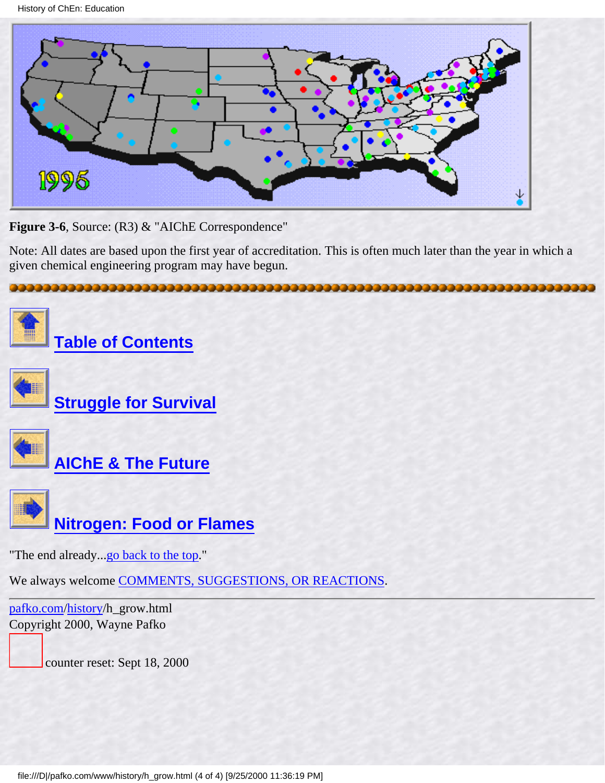History of ChEn: Education



Figure 3-6, Source: (R3) & "AIChE Correspondence"

Note: All dates are based upon the first year of accreditation. This is often much later than the year in which a given chemical engineering program may have begun.

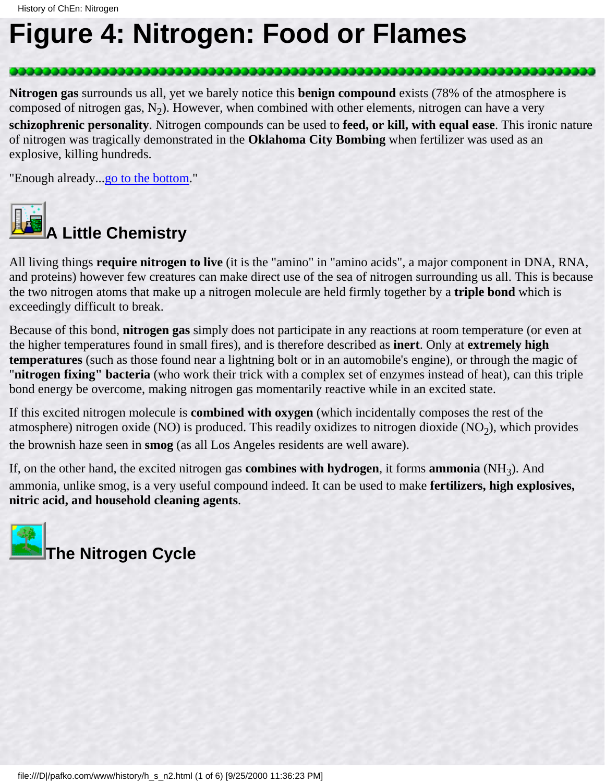### <span id="page-39-0"></span>**Figure 4: Nitrogen: Food or Flames**

**Nitrogen gas** surrounds us all, yet we barely notice this **benign compound** exists (78% of the atmosphere is composed of nitrogen gas,  $N_2$ ). However, when combined with other elements, nitrogen can have a very **schizophrenic personality**. Nitrogen compounds can be used to **feed, or kill, with equal ease**. This ironic nature of nitrogen was tragically demonstrated in the **Oklahoma City Bombing** when fertilizer was used as an explosive, killing hundreds.

,,,,,,,,,,,,,,,,,,,,,,,,,,,,

"Enough already...go to the bottom."



All living things **require nitrogen to live** (it is the "amino" in "amino acids", a major component in DNA, RNA, and proteins) however few creatures can make direct use of the sea of nitrogen surrounding us all. This is because the two nitrogen atoms that make up a nitrogen molecule are held firmly together by a **triple bond** which is exceedingly difficult to break.

Because of this bond, **nitrogen gas** simply does not participate in any reactions at room temperature (or even at the higher temperatures found in small fires), and is therefore described as **inert**. Only at **extremely high temperatures** (such as those found near a lightning bolt or in an automobile's engine), or through the magic of "**nitrogen fixing" bacteria** (who work their trick with a complex set of enzymes instead of heat), can this triple bond energy be overcome, making nitrogen gas momentarily reactive while in an excited state.

If this excited nitrogen molecule is **combined with oxygen** (which incidentally composes the rest of the atmosphere) nitrogen oxide (NO) is produced. This readily oxidizes to nitrogen dioxide (NO<sub>2</sub>), which provides the brownish haze seen in **smog** (as all Los Angeles residents are well aware).

If, on the other hand, the excited nitrogen gas **combines with hydrogen**, it forms **ammonia** (NH3). And ammonia, unlike smog, is a very useful compound indeed. It can be used to make **fertilizers, high explosives, nitric acid, and household cleaning agents**.

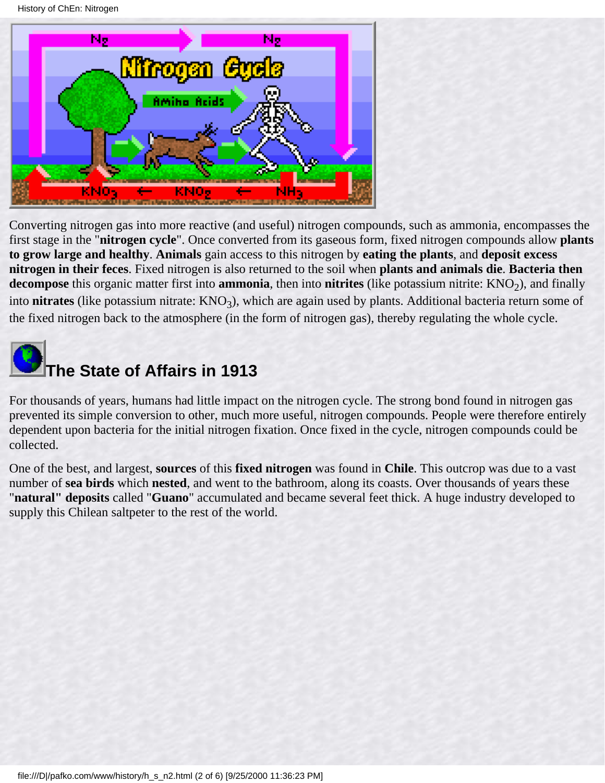

Converting nitrogen gas into more reactive (and useful) nitrogen compounds, such as ammonia, encompasses the first stage in the "**nitrogen cycle**". Once converted from its gaseous form, fixed nitrogen compounds allow **plants to grow large and healthy**. **Animals** gain access to this nitrogen by **eating the plants**, and **deposit excess nitrogen in their feces**. Fixed nitrogen is also returned to the soil when **plants and animals die**. **Bacteria then decompose** this organic matter first into **ammonia**, then into **nitrites** (like potassium nitrite:  $KNO<sub>2</sub>$ ), and finally into **nitrates** (like potassium nitrate:  $KNO_3$ ), which are again used by plants. Additional bacteria return some of the fixed nitrogen back to the atmosphere (in the form of nitrogen gas), thereby regulating the whole cycle.



For thousands of years, humans had little impact on the nitrogen cycle. The strong bond found in nitrogen gas prevented its simple conversion to other, much more useful, nitrogen compounds. People were therefore entirely dependent upon bacteria for the initial nitrogen fixation. Once fixed in the cycle, nitrogen compounds could be collected.

One of the best, and largest, **sources** of this **fixed nitrogen** was found in **Chile**. This outcrop was due to a vast number of **sea birds** which **nested**, and went to the bathroom, along its coasts. Over thousands of years these "**natural" deposits** called "**Guano**" accumulated and became several feet thick. A huge industry developed to supply this Chilean saltpeter to the rest of the world.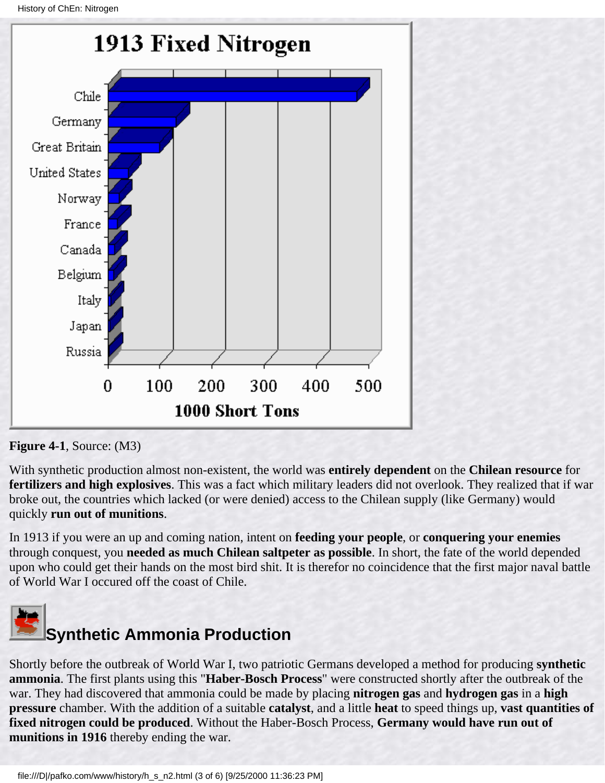

**Figure 4-1**, Source: (M3)

With synthetic production almost non-existent, the world was **entirely dependent** on the **Chilean resource** for **fertilizers and high explosives**. This was a fact which military leaders did not overlook. They realized that if war broke out, the countries which lacked (or were denied) access to the Chilean supply (like Germany) would quickly **run out of munitions**.

In 1913 if you were an up and coming nation, intent on **feeding your people**, or **conquering your enemies** through conquest, you **needed as much Chilean saltpeter as possible**. In short, the fate of the world depended upon who could get their hands on the most bird shit. It is therefor no coincidence that the first major naval battle of World War I occured off the coast of Chile.



Shortly before the outbreak of World War I, two patriotic Germans developed a method for producing **synthetic ammonia**. The first plants using this "**Haber-Bosch Process**" were constructed shortly after the outbreak of the war. They had discovered that ammonia could be made by placing **nitrogen gas** and **hydrogen gas** in a **high pressure** chamber. With the addition of a suitable **catalyst**, and a little **heat** to speed things up, **vast quantities of fixed nitrogen could be produced**. Without the Haber-Bosch Process, **Germany would have run out of munitions in 1916** thereby ending the war.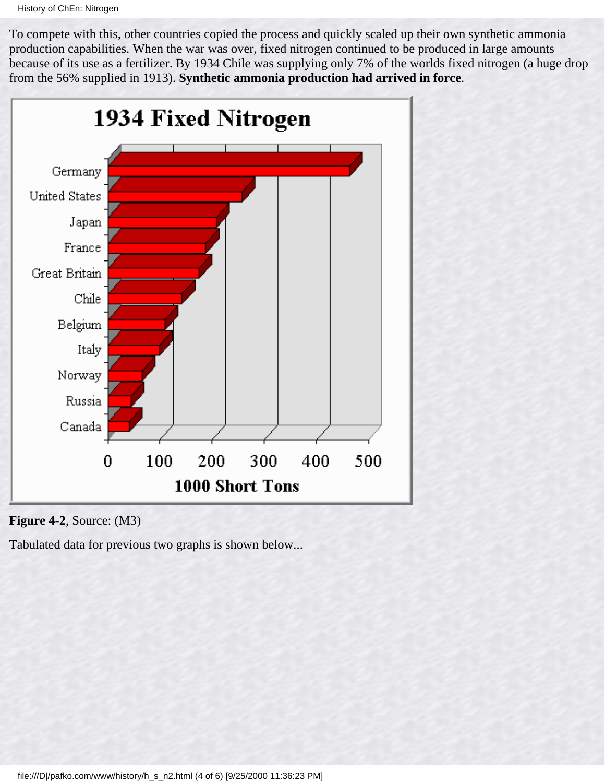To compete with this, other countries copied the process and quickly scaled up their own synthetic ammonia production capabilities. When the war was over, fixed nitrogen continued to be produced in large amounts because of its use as a fertilizer. By 1934 Chile was supplying only 7% of the worlds fixed nitrogen (a huge drop from the 56% supplied in 1913). **Synthetic ammonia production had arrived in force**.





Tabulated data for previous two graphs is shown below...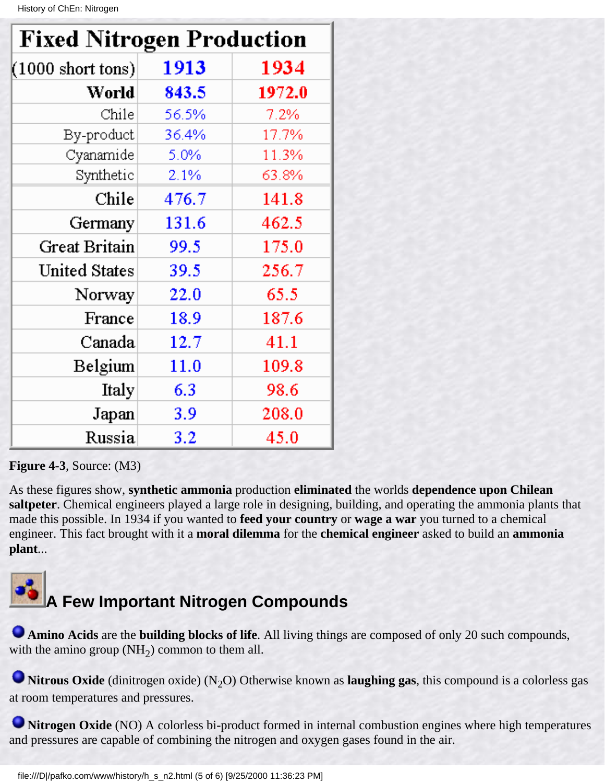| <b>Fixed Nitrogen Production</b> |       |        |
|----------------------------------|-------|--------|
| $(1000 \text{ short tons})$      | 1913  | 1934   |
| World                            | 843.5 | 1972.0 |
| Chile                            | 56.5% | 7.2%   |
| By-product                       | 36.4% | 17.7%  |
| Cyanamide                        | 5.0%  | 11.3%  |
| Synthetic                        | 2.1%  | 63.8%  |
| Chile                            | 476.7 | 141.8  |
| Germany                          | 131.6 | 462.5  |
| Great Britain                    | 99.5  | 175.0  |
| <b>United States</b>             | 39.5  | 256.7  |
| Norway                           | 22.0  | 65.5   |
| France                           | 18.9  | 187.6  |
| Canada                           | 12.7  | 41.1   |
| Belgium                          | 11.0  | 109.8  |
| Italy                            | 6.3   | 98.6   |
| Japan                            | 3.9   | 208.0  |
| Russia                           | 3.2   | 45.0   |

#### **Figure 4-3**, Source: (M3)

As these figures show, **synthetic ammonia** production **eliminated** the worlds **dependence upon Chilean saltpeter**. Chemical engineers played a large role in designing, building, and operating the ammonia plants that made this possible. In 1934 if you wanted to **feed your country** or **wage a war** you turned to a chemical engineer. This fact brought with it a **moral dilemma** for the **chemical engineer** asked to build an **ammonia plant**...



### **A Few Important Nitrogen Compounds**

**Amino Acids** are the **building blocks of life**. All living things are composed of only 20 such compounds, with the amino group  $(NH<sub>2</sub>)$  common to them all.

**Nitrous Oxide** (dinitrogen oxide) (N<sub>2</sub>O) Otherwise known as **laughing gas**, this compound is a colorless gas at room temperatures and pressures.

**Nitrogen Oxide** (NO) A colorless bi-product formed in internal combustion engines where high temperatures and pressures are capable of combining the nitrogen and oxygen gases found in the air.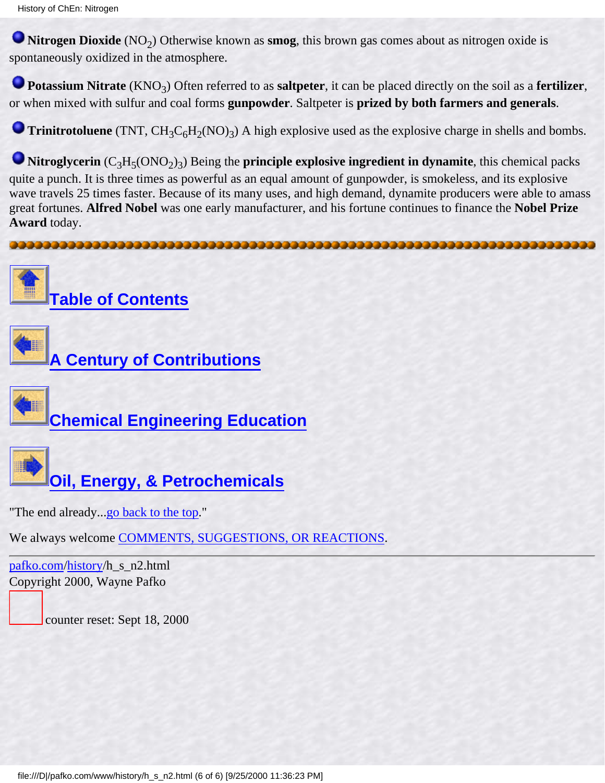**Nitrogen Dioxide** (NO<sub>2</sub>) Otherwise known as **smog**, this brown gas comes about as nitrogen oxide is spontaneously oxidized in the atmosphere.

**Potassium Nitrate** (KNO<sub>3</sub>) Often referred to as **saltpeter**, it can be placed directly on the soil as a **fertilizer**, or when mixed with sulfur and coal forms **gunpowder**. Saltpeter is **prized by both farmers and generals**.

**Trinitrotoluene** (TNT,  $CH_3C_6H_2(NO)_3$ ) A high explosive used as the explosive charge in shells and bombs.

**Nitroglycerin**  $(C_3H_5(ONO_2)_3)$  Being the **principle explosive ingredient in dynamite**, this chemical packs quite a punch. It is three times as powerful as an equal amount of gunpowder, is smokeless, and its explosive wave travels 25 times faster. Because of its many uses, and high demand, dynamite producers were able to amass great fortunes. **Alfred Nobel** was one early manufacturer, and his fortune continues to finance the **Nobel Prize Award** today.





**[A Century of Contributions](#page-26-0)**

**[Chemical Engineering Education](#page-35-0)**



**[Oil, Energy, & Petrochemicals](#page-45-0)**

"The end already...go back to the top."

We always welcome [COMMENTS, SUGGESTIONS, OR REACTIONS](#page-5-0).

[pafko.com](file:///)[/history](#page-0-0)/h\_s\_n2.html Copyright 2000, Wayne Pafko

counter reset: Sept 18, 2000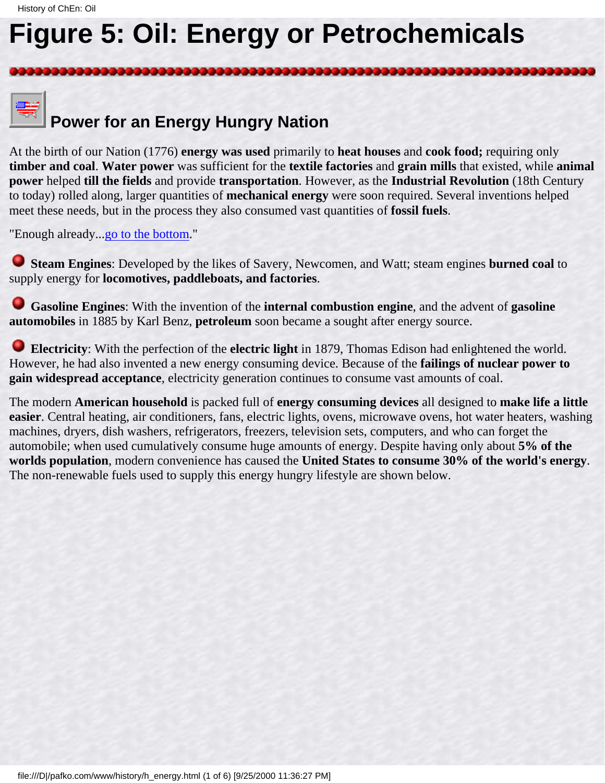# <span id="page-45-1"></span><span id="page-45-0"></span>**Figure 5: Oil: Energy or Petrochemicals**

# **Power for an Energy Hungry Nation**

At the birth of our Nation (1776) **energy was used** primarily to **heat houses** and **cook food;** requiring only **timber and coal**. **Water power** was sufficient for the **textile factories** and **grain mills** that existed, while **animal power** helped **till the fields** and provide **transportation**. However, as the **Industrial Revolution** (18th Century to today) rolled along, larger quantities of **mechanical energy** were soon required. Several inventions helped meet these needs, but in the process they also consumed vast quantities of **fossil fuels**.

"Enough already..[.go to the bottom.](#page-49-0)"

 **Steam Engines**: Developed by the likes of Savery, Newcomen, and Watt; steam engines **burned coal** to supply energy for **locomotives, paddleboats, and factories**.

 **Gasoline Engines**: With the invention of the **internal combustion engine**, and the advent of **gasoline automobiles** in 1885 by Karl Benz, **petroleum** soon became a sought after energy source.

 **Electricity**: With the perfection of the **electric light** in 1879, Thomas Edison had enlightened the world. However, he had also invented a new energy consuming device. Because of the **failings of nuclear power to gain widespread acceptance**, electricity generation continues to consume vast amounts of coal.

The modern **American household** is packed full of **energy consuming devices** all designed to **make life a little easier**. Central heating, air conditioners, fans, electric lights, ovens, microwave ovens, hot water heaters, washing machines, dryers, dish washers, refrigerators, freezers, television sets, computers, and who can forget the automobile; when used cumulatively consume huge amounts of energy. Despite having only about **5% of the worlds population**, modern convenience has caused the **United States to consume 30% of the world's energy**. The non-renewable fuels used to supply this energy hungry lifestyle are shown below.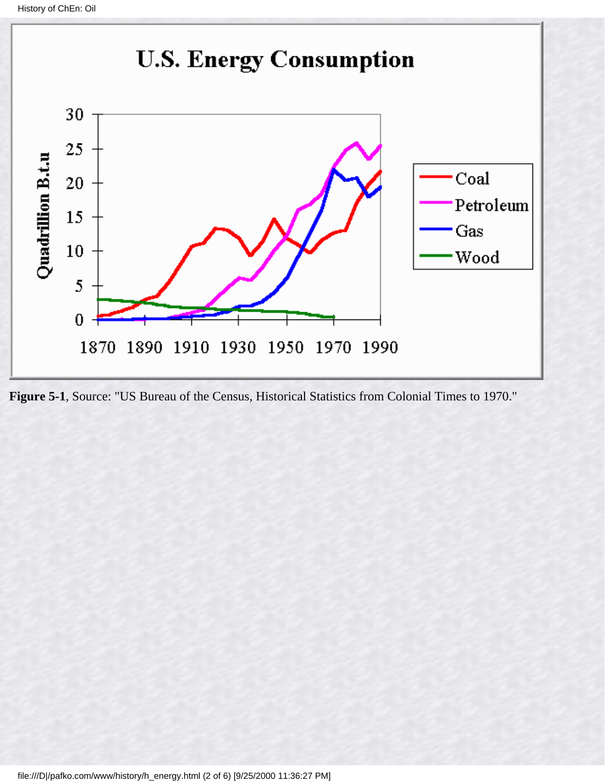

**Figure 5-1**, Source: "US Bureau of the Census, Historical Statistics from Colonial Times to 1970."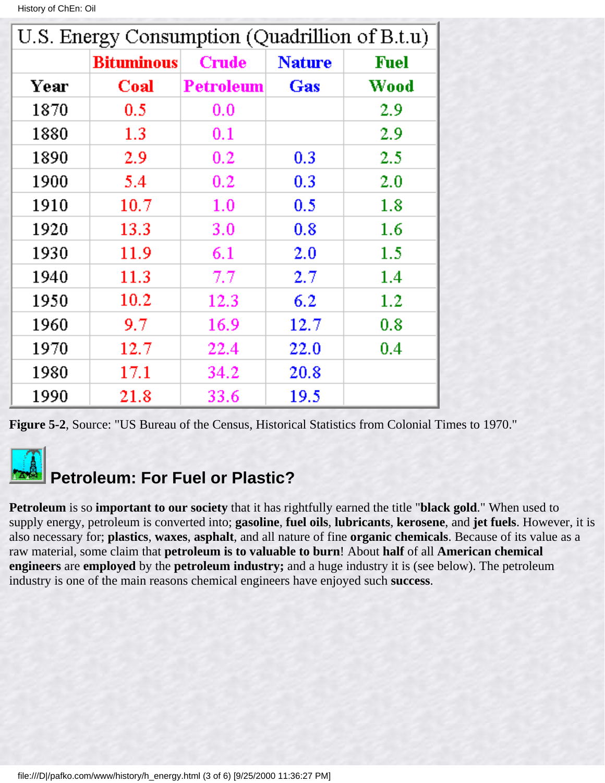|  | History of ChEn: Oil |
|--|----------------------|
|--|----------------------|

| U.S. Energy Consumption (Quadrillion of B.t.u) |                   |                  |               |             |
|------------------------------------------------|-------------------|------------------|---------------|-------------|
|                                                | <b>Bituminous</b> | <b>Crude</b>     | <b>Nature</b> | <b>Fuel</b> |
| Year                                           | Coal              | <b>Petroleum</b> | Gas           | Wood        |
| 1870                                           | 0.5               | 0.0              |               | 2.9         |
| 1880                                           | 1.3               | 0.1              |               | 2.9         |
| 1890                                           | 2.9               | 0.2              | 0.3           | 2.5         |
| 1900                                           | 5.4               | 0.2              | 0.3           | 2.0         |
| 1910                                           | 10.7              | 1.0              | 0.5           | 1.8         |
| 1920                                           | 13.3              | 3.0              | 0.8           | 1.6         |
| 1930                                           | 11.9              | 6.1              | 2.0           | $1.5\,$     |
| 1940                                           | 11.3              | 7.7              | 2.7           | $1.4\,$     |
| 1950                                           | 10.2              | 12.3             | 6.2           | $1.2\,$     |
| 1960                                           | 9.7               | 16.9             | 12.7          | 0.8         |
| 1970                                           | 12.7              | 22.4             | 22.0          | 0.4         |
| 1980                                           | 17.1              | 34.2             | 20.8          |             |
| 1990                                           | 21.8              | 33.6             | 19.5          |             |

**Figure 5-2**, Source: "US Bureau of the Census, Historical Statistics from Colonial Times to 1970."

### **Petroleum: For Fuel or Plastic?**

**Petroleum** is so **important to our society** that it has rightfully earned the title "**black gold**." When used to supply energy, petroleum is converted into; **gasoline**, **fuel oils**, **lubricants**, **kerosene**, and **jet fuels**. However, it is also necessary for; **plastics**, **waxes**, **asphalt**, and all nature of fine **organic chemicals**. Because of its value as a raw material, some claim that **petroleum is to valuable to burn**! About **half** of all **American chemical engineers** are **employed** by the **petroleum industry;** and a huge industry it is (see below). The petroleum industry is one of the main reasons chemical engineers have enjoyed such **success**.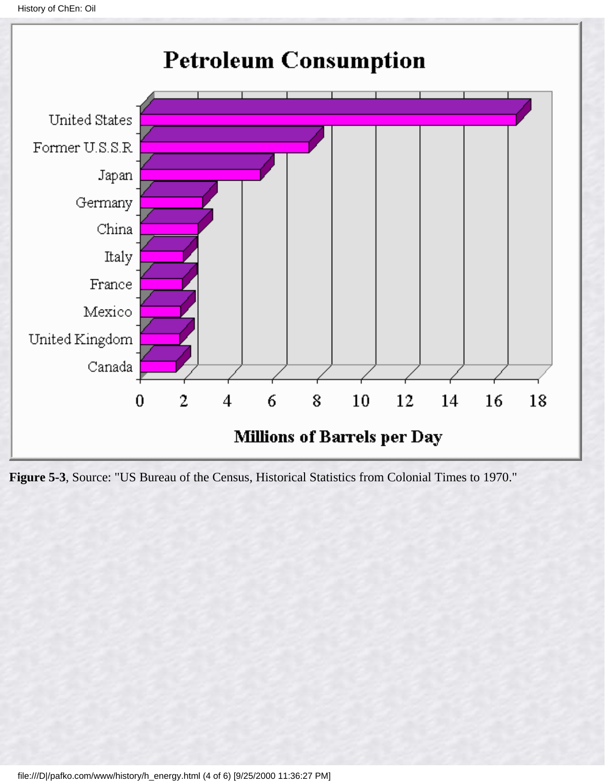```
History of ChEn: Oil
```


**Figure 5-3**, Source: "US Bureau of the Census, Historical Statistics from Colonial Times to 1970."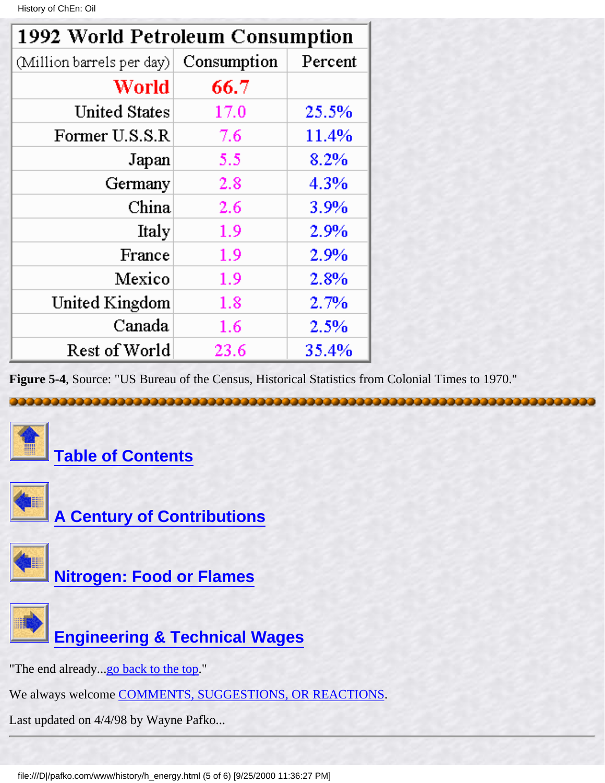History of ChEn: Oil

| 1992 World Petroleum Consumption |             |         |
|----------------------------------|-------------|---------|
| (Million barrels per day)        | Consumption | Percent |
| World                            | 66.7        |         |
| <b>United States</b>             | 17.0        | 25.5%   |
| Former U.S.S.R                   | 7.6         | 11.4%   |
| Japan                            | 5.5         | 8.2%    |
| Germany                          | 2.8         | 4.3%    |
| China                            | 2.6         | 3.9%    |
| Italy                            | 1.9         | 2.9%    |
| France                           | 1.9         | 2.9%    |
| Mexico                           | 1.9         | 2.8%    |
| United Kingdom                   | 1.8         | 2.7%    |
| Canada                           | 1.6         | 2.5%    |
| Rest of World                    | 23.6        | 35.4%   |

**Figure 5-4**, Source: "US Bureau of the Census, Historical Statistics from Colonial Times to 1970."

<span id="page-49-0"></span>





**[A Century of Contributions](#page-26-0)**



**[Nitrogen: Food or Flames](#page-39-0)**



**[Engineering & Technical Wages](#page-51-0)**

"The end already...[go back to the top.](#page-45-1)"

We always welcome [COMMENTS, SUGGESTIONS, OR REACTIONS](#page-5-0).

Last updated on 4/4/98 by Wayne Pafko...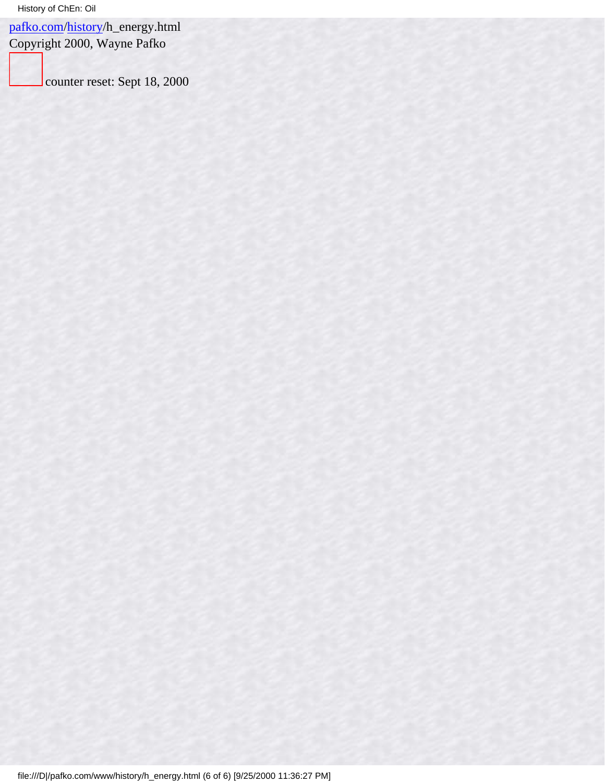[pafko.com](file:///)[/history](#page-0-0)/h\_energy.html

Copyright 2000, Wayne Pafko

counter reset: Sept 18, 2000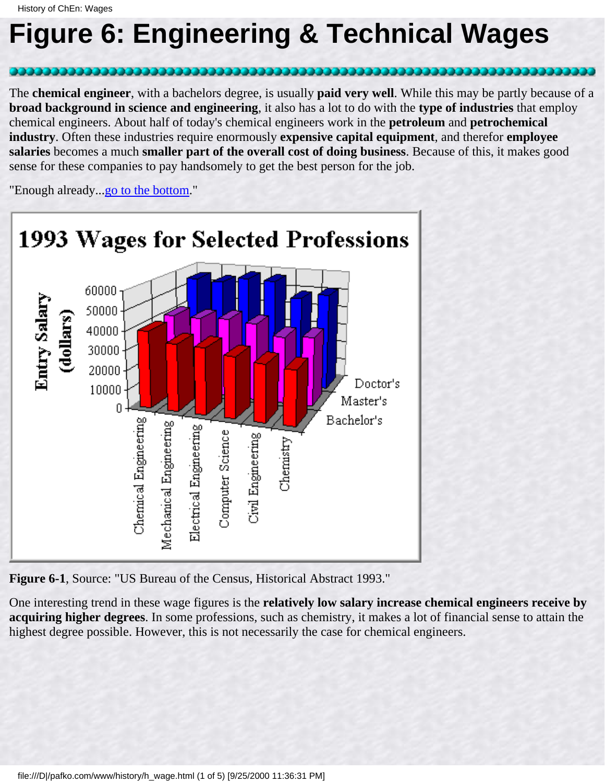## <span id="page-51-0"></span>**Figure 6: Engineering & Technical Wages**

The **chemical engineer**, with a bachelors degree, is usually **paid very well**. While this may be partly because of a **broad background in science and engineering**, it also has a lot to do with the **type of industries** that employ chemical engineers. About half of today's chemical engineers work in the **petroleum** and **petrochemical industry**. Often these industries require enormously **expensive capital equipment**, and therefor **employee salaries** becomes a much **smaller part of the overall cost of doing business**. Because of this, it makes good sense for these companies to pay handsomely to get the best person for the job.

"Enough already...go to the bottom."



**Figure 6-1**, Source: "US Bureau of the Census, Historical Abstract 1993."

One interesting trend in these wage figures is the **relatively low salary increase chemical engineers receive by acquiring higher degrees**. In some professions, such as chemistry, it makes a lot of financial sense to attain the highest degree possible. However, this is not necessarily the case for chemical engineers.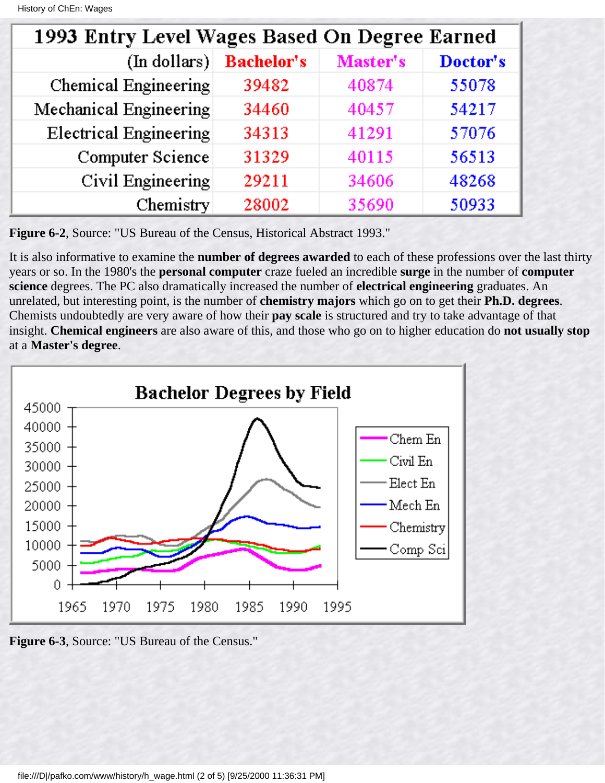| 1993 Entry Level Wages Based On Degree Earned |                   |          |          |
|-----------------------------------------------|-------------------|----------|----------|
| (In dollars)                                  | <b>Bachelor's</b> | Master's | Doctor's |
| Chemical Engineering                          | 39482             | 40874    | 55078    |
| Mechanical Engineering                        | 34460             | 40457    | 54217    |
| Electrical Engineering                        | 34313             | 41291    | 57076    |
| Computer Science                              | 31329             | 40115    | 56513    |
| Civil Engineering                             | 29211             | 34606    | 48268    |
| Chemistry                                     | 28002             | 35690    | 50933    |

**Figure 6-2**, Source: "US Bureau of the Census, Historical Abstract 1993."

It is also informative to examine the **number of degrees awarded** to each of these professions over the last thirty years or so. In the 1980's the **personal computer** craze fueled an incredible **surge** in the number of **computer science** degrees. The PC also dramatically increased the number of **electrical engineering** graduates. An unrelated, but interesting point, is the number of **chemistry majors** which go on to get their **Ph.D. degrees**. Chemists undoubtedly are very aware of how their **pay scale** is structured and try to take advantage of that insight. **Chemical engineers** are also aware of this, and those who go on to higher education do **not usually stop** at a **Master's degree**.



**Figure 6-3**, Source: "US Bureau of the Census."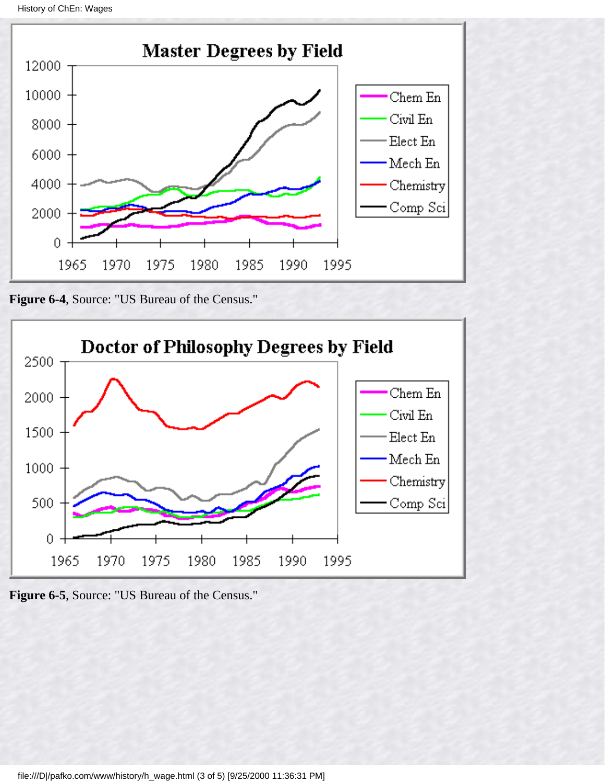History of ChEn: Wages



**Figure 6-4**, Source: "US Bureau of the Census."



**Figure 6-5**, Source: "US Bureau of the Census."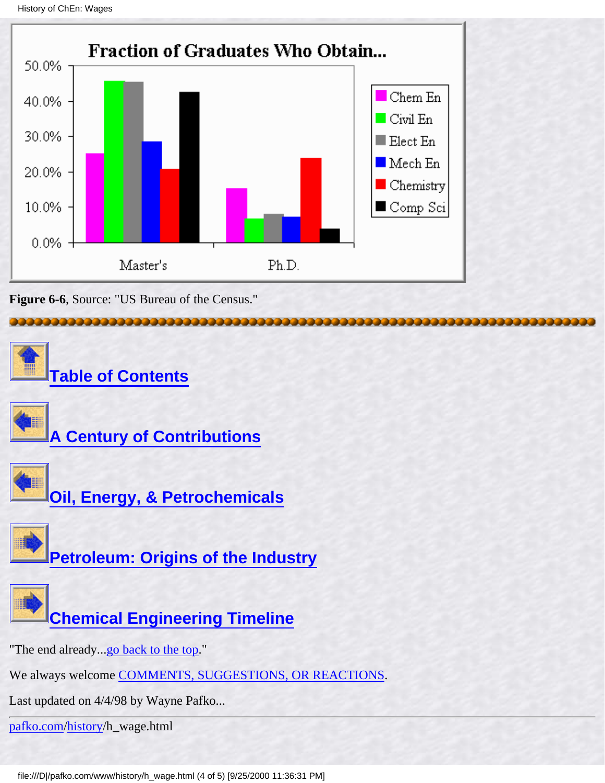```
History of ChEn: Wages
```


**Figure 6-6**, Source: "US Bureau of the Census."



file:///D|/pafko.com/www/history/h\_wage.html (4 of 5) [9/25/2000 11:36:31 PM]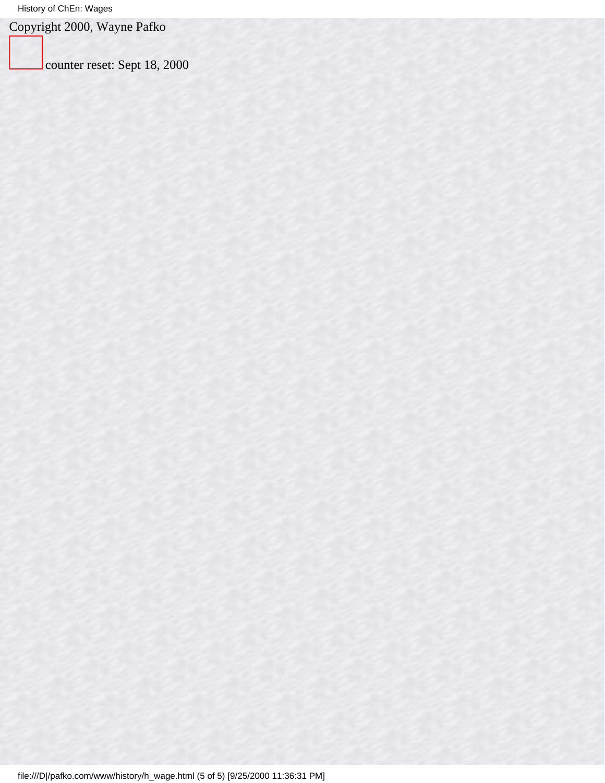Copyright 2000, Wayne Pafko

counter reset: Sept 18, 2000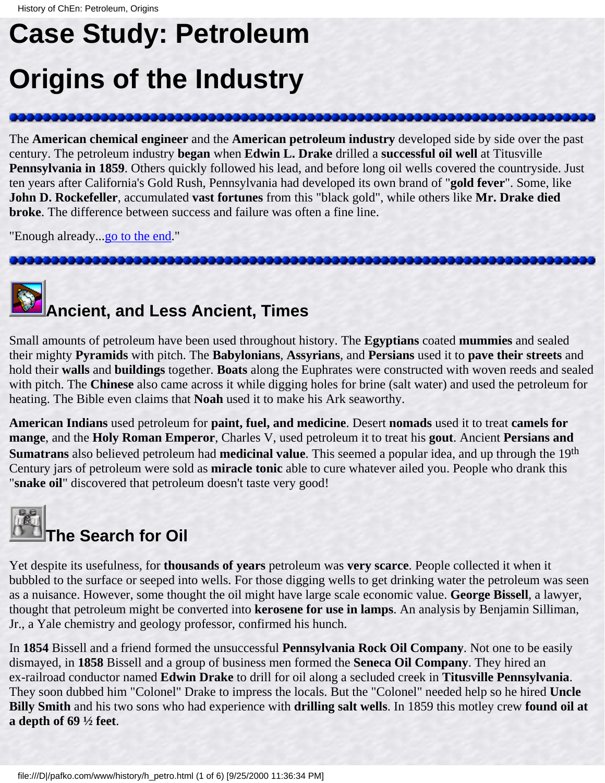# <span id="page-56-1"></span><span id="page-56-0"></span>**Case Study: Petroleum**

## **Origins of the Industry**

The **American chemical engineer** and the **American petroleum industry** developed side by side over the past century. The petroleum industry **began** when **Edwin L. Drake** drilled a **successful oil well** at Titusville **Pennsylvania in 1859**. Others quickly followed his lead, and before long oil wells covered the countryside. Just ten years after California's Gold Rush, Pennsylvania had developed its own brand of "**gold fever**". Some, like **John D. Rockefeller**, accumulated **vast fortunes** from this "black gold", while others like **Mr. Drake died broke**. The difference between success and failure was often a fine line.

"Enough already..[.go to the end.](#page-61-0)"

122222222222222

# **Ancient, and Less Ancient, Times**

Small amounts of petroleum have been used throughout history. The **Egyptians** coated **mummies** and sealed their mighty **Pyramids** with pitch. The **Babylonians**, **Assyrians**, and **Persians** used it to **pave their streets** and hold their **walls** and **buildings** together. **Boats** along the Euphrates were constructed with woven reeds and sealed with pitch. The **Chinese** also came across it while digging holes for brine (salt water) and used the petroleum for heating. The Bible even claims that **Noah** used it to make his Ark seaworthy.

**American Indians** used petroleum for **paint, fuel, and medicine**. Desert **nomads** used it to treat **camels for mange**, and the **Holy Roman Emperor**, Charles V, used petroleum it to treat his **gout**. Ancient **Persians and Sumatrans** also believed petroleum had **medicinal value**. This seemed a popular idea, and up through the 19th Century jars of petroleum were sold as **miracle tonic** able to cure whatever ailed you. People who drank this "**snake oil**" discovered that petroleum doesn't taste very good!



Yet despite its usefulness, for **thousands of years** petroleum was **very scarce**. People collected it when it bubbled to the surface or seeped into wells. For those digging wells to get drinking water the petroleum was seen as a nuisance. However, some thought the oil might have large scale economic value. **George Bissell**, a lawyer, thought that petroleum might be converted into **kerosene for use in lamps**. An analysis by Benjamin Silliman, Jr., a Yale chemistry and geology professor, confirmed his hunch.

In **1854** Bissell and a friend formed the unsuccessful **Pennsylvania Rock Oil Company**. Not one to be easily dismayed, in **1858** Bissell and a group of business men formed the **Seneca Oil Company**. They hired an ex-railroad conductor named **Edwin Drake** to drill for oil along a secluded creek in **Titusville Pennsylvania**. They soon dubbed him "Colonel" Drake to impress the locals. But the "Colonel" needed help so he hired **Uncle Billy Smith** and his two sons who had experience with **drilling salt wells**. In 1859 this motley crew **found oil at a depth of 69 ½ feet**.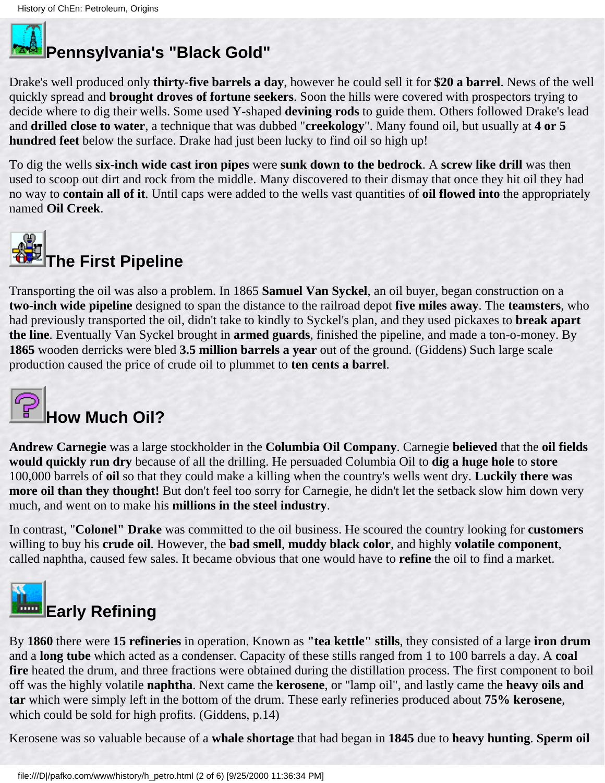

### **Pennsylvania's "Black Gold"**

Drake's well produced only **thirty-five barrels a day**, however he could sell it for **\$20 a barrel**. News of the well quickly spread and **brought droves of fortune seekers**. Soon the hills were covered with prospectors trying to decide where to dig their wells. Some used Y-shaped **devining rods** to guide them. Others followed Drake's lead and **drilled close to water**, a technique that was dubbed "**creekology**". Many found oil, but usually at **4 or 5 hundred feet** below the surface. Drake had just been lucky to find oil so high up!

To dig the wells **six-inch wide cast iron pipes** were **sunk down to the bedrock**. A **screw like drill** was then used to scoop out dirt and rock from the middle. Many discovered to their dismay that once they hit oil they had no way to **contain all of it**. Until caps were added to the wells vast quantities of **oil flowed into** the appropriately named **Oil Creek**.



Transporting the oil was also a problem. In 1865 **Samuel Van Syckel**, an oil buyer, began construction on a **two-inch wide pipeline** designed to span the distance to the railroad depot **five miles away**. The **teamsters**, who had previously transported the oil, didn't take to kindly to Syckel's plan, and they used pickaxes to **break apart the line**. Eventually Van Syckel brought in **armed guards**, finished the pipeline, and made a ton-o-money. By **1865** wooden derricks were bled **3.5 million barrels a year** out of the ground. (Giddens) Such large scale production caused the price of crude oil to plummet to **ten cents a barrel**.



### **How Much Oil?**

**Andrew Carnegie** was a large stockholder in the **Columbia Oil Company**. Carnegie **believed** that the **oil fields would quickly run dry** because of all the drilling. He persuaded Columbia Oil to **dig a huge hole** to **store** 100,000 barrels of **oil** so that they could make a killing when the country's wells went dry. **Luckily there was more oil than they thought!** But don't feel too sorry for Carnegie, he didn't let the setback slow him down very much, and went on to make his **millions in the steel industry**.

In contrast, "**Colonel" Drake** was committed to the oil business. He scoured the country looking for **customers** willing to buy his **crude oil**. However, the **bad smell**, **muddy black color**, and highly **volatile component**, called naphtha, caused few sales. It became obvious that one would have to **refine** the oil to find a market.



By **1860** there were **15 refineries** in operation. Known as **"tea kettle" stills**, they consisted of a large **iron drum** and a **long tube** which acted as a condenser. Capacity of these stills ranged from 1 to 100 barrels a day. A **coal fire** heated the drum, and three fractions were obtained during the distillation process. The first component to boil off was the highly volatile **naphtha**. Next came the **kerosene**, or "lamp oil", and lastly came the **heavy oils and tar** which were simply left in the bottom of the drum. These early refineries produced about **75% kerosene**, which could be sold for high profits. (Giddens, p.14)

Kerosene was so valuable because of a **whale shortage** that had began in **1845** due to **heavy hunting**. **Sperm oil**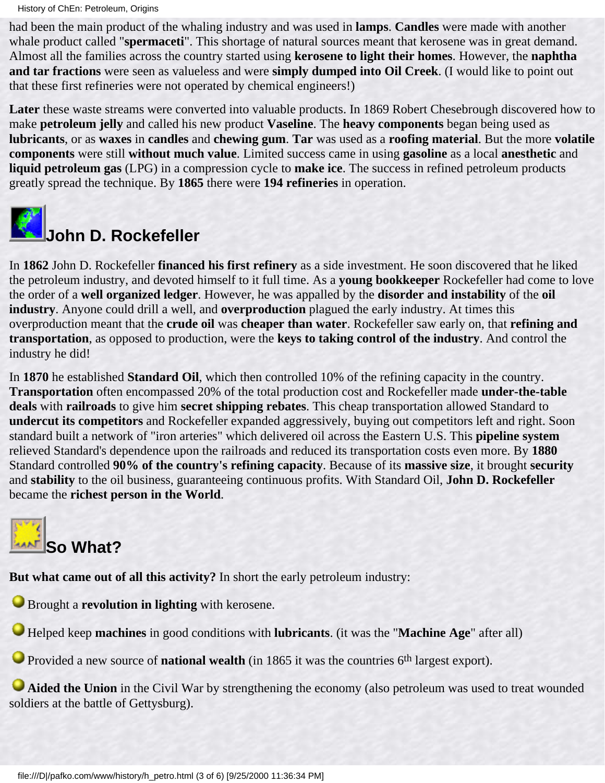History of ChEn: Petroleum, Origins

had been the main product of the whaling industry and was used in **lamps**. **Candles** were made with another whale product called "**spermaceti**". This shortage of natural sources meant that kerosene was in great demand. Almost all the families across the country started using **kerosene to light their homes**. However, the **naphtha and tar fractions** were seen as valueless and were **simply dumped into Oil Creek**. (I would like to point out that these first refineries were not operated by chemical engineers!)

**Later** these waste streams were converted into valuable products. In 1869 Robert Chesebrough discovered how to make **petroleum jelly** and called his new product **Vaseline**. The **heavy components** began being used as **lubricants**, or as **waxes** in **candles** and **chewing gum**. **Tar** was used as a **roofing material**. But the more **volatile components** were still **without much value**. Limited success came in using **gasoline** as a local **anesthetic** and **liquid petroleum gas** (LPG) in a compression cycle to **make ice**. The success in refined petroleum products greatly spread the technique. By **1865** there were **194 refineries** in operation.



# **John D. Rockefeller**

In **1862** John D. Rockefeller **financed his first refinery** as a side investment. He soon discovered that he liked the petroleum industry, and devoted himself to it full time. As a **young bookkeeper** Rockefeller had come to love the order of a **well organized ledger**. However, he was appalled by the **disorder and instability** of the **oil industry**. Anyone could drill a well, and **overproduction** plagued the early industry. At times this overproduction meant that the **crude oil** was **cheaper than water**. Rockefeller saw early on, that **refining and transportation**, as opposed to production, were the **keys to taking control of the industry**. And control the industry he did!

In **1870** he established **Standard Oil**, which then controlled 10% of the refining capacity in the country. **Transportation** often encompassed 20% of the total production cost and Rockefeller made **under-the-table deals** with **railroads** to give him **secret shipping rebates**. This cheap transportation allowed Standard to **undercut its competitors** and Rockefeller expanded aggressively, buying out competitors left and right. Soon standard built a network of "iron arteries" which delivered oil across the Eastern U.S. This **pipeline system** relieved Standard's dependence upon the railroads and reduced its transportation costs even more. By **1880** Standard controlled **90% of the country's refining capacity**. Because of its **massive size**, it brought **security** and **stability** to the oil business, guaranteeing continuous profits. With Standard Oil, **John D. Rockefeller** became the **richest person in the World**.



**But what came out of all this activity?** In short the early petroleum industry:

**Brought a revolution in lighting** with kerosene.

Helped keep **machines** in good conditions with **lubricants**. (it was the "**Machine Age**" after all)

**O** Provided a new source of **national wealth** (in 1865 it was the countries 6<sup>th</sup> largest export).

**Aided the Union** in the Civil War by strengthening the economy (also petroleum was used to treat wounded soldiers at the battle of Gettysburg).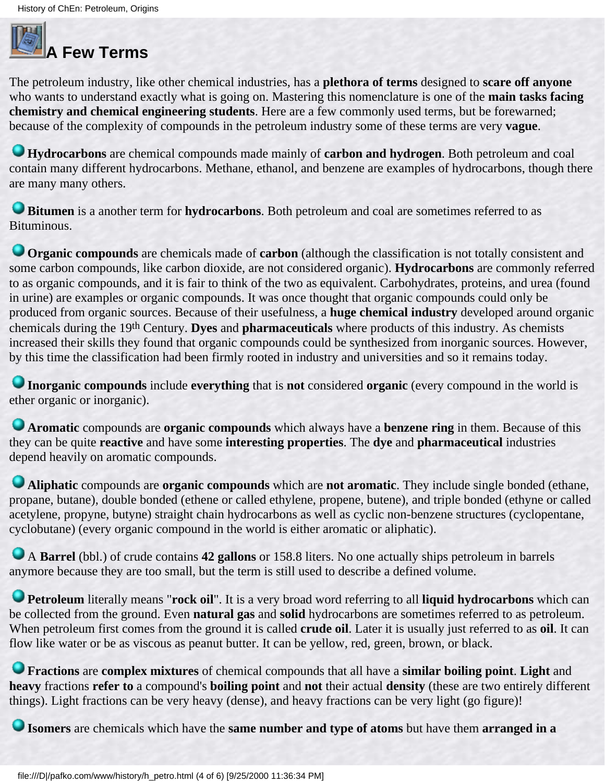# **A Few Terms**

The petroleum industry, like other chemical industries, has a **plethora of terms** designed to **scare off anyone** who wants to understand exactly what is going on. Mastering this nomenclature is one of the **main tasks facing chemistry and chemical engineering students**. Here are a few commonly used terms, but be forewarned; because of the complexity of compounds in the petroleum industry some of these terms are very **vague**.

**Hydrocarbons** are chemical compounds made mainly of **carbon and hydrogen**. Both petroleum and coal contain many different hydrocarbons. Methane, ethanol, and benzene are examples of hydrocarbons, though there are many many others.

**Bitumen** is a another term for **hydrocarbons**. Both petroleum and coal are sometimes referred to as Bituminous.

**Organic compounds** are chemicals made of **carbon** (although the classification is not totally consistent and some carbon compounds, like carbon dioxide, are not considered organic). **Hydrocarbons** are commonly referred to as organic compounds, and it is fair to think of the two as equivalent. Carbohydrates, proteins, and urea (found in urine) are examples or organic compounds. It was once thought that organic compounds could only be produced from organic sources. Because of their usefulness, a **huge chemical industry** developed around organic chemicals during the 19th Century. **Dyes** and **pharmaceuticals** where products of this industry. As chemists increased their skills they found that organic compounds could be synthesized from inorganic sources. However, by this time the classification had been firmly rooted in industry and universities and so it remains today.

**Inorganic compounds** include **everything** that is **not** considered **organic** (every compound in the world is ether organic or inorganic).

**Aromatic** compounds are **organic compounds** which always have a **benzene ring** in them. Because of this they can be quite **reactive** and have some **interesting properties**. The **dye** and **pharmaceutical** industries depend heavily on aromatic compounds.

**Aliphatic** compounds are **organic compounds** which are **not aromatic**. They include single bonded (ethane, propane, butane), double bonded (ethene or called ethylene, propene, butene), and triple bonded (ethyne or called acetylene, propyne, butyne) straight chain hydrocarbons as well as cyclic non-benzene structures (cyclopentane, cyclobutane) (every organic compound in the world is either aromatic or aliphatic).

A **Barrel** (bbl.) of crude contains **42 gallons** or 158.8 liters. No one actually ships petroleum in barrels anymore because they are too small, but the term is still used to describe a defined volume.

**Petroleum** literally means "**rock oil**". It is a very broad word referring to all **liquid hydrocarbons** which can be collected from the ground. Even **natural gas** and **solid** hydrocarbons are sometimes referred to as petroleum. When petroleum first comes from the ground it is called **crude oil**. Later it is usually just referred to as **oil**. It can flow like water or be as viscous as peanut butter. It can be yellow, red, green, brown, or black.

**Fractions** are **complex mixtures** of chemical compounds that all have a **similar boiling point**. **Light** and **heavy** fractions **refer to** a compound's **boiling point** and **not** their actual **density** (these are two entirely different things). Light fractions can be very heavy (dense), and heavy fractions can be very light (go figure)!

**Isomers** are chemicals which have the **same number and type of atoms** but have them **arranged in a**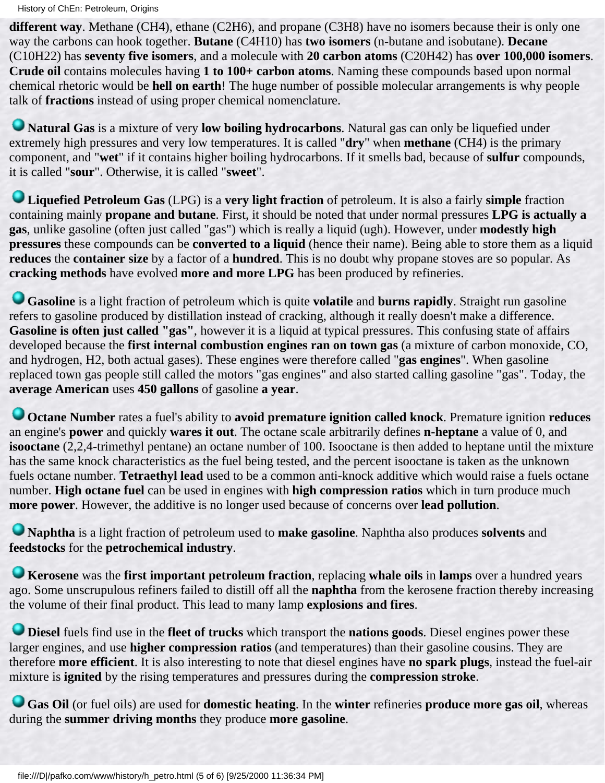History of ChEn: Petroleum, Origins

**different way**. Methane (CH4), ethane (C2H6), and propane (C3H8) have no isomers because their is only one way the carbons can hook together. **Butane** (C4H10) has **two isomers** (n-butane and isobutane). **Decane** (C10H22) has **seventy five isomers**, and a molecule with **20 carbon atoms** (C20H42) has **over 100,000 isomers**. **Crude oil** contains molecules having **1 to 100+ carbon atoms**. Naming these compounds based upon normal chemical rhetoric would be **hell on earth**! The huge number of possible molecular arrangements is why people talk of **fractions** instead of using proper chemical nomenclature.

**Natural Gas** is a mixture of very **low boiling hydrocarbons**. Natural gas can only be liquefied under extremely high pressures and very low temperatures. It is called "**dry**" when **methane** (CH4) is the primary component, and "**wet**" if it contains higher boiling hydrocarbons. If it smells bad, because of **sulfur** compounds, it is called "**sour**". Otherwise, it is called "**sweet**".

**Liquefied Petroleum Gas** (LPG) is a **very light fraction** of petroleum. It is also a fairly **simple** fraction containing mainly **propane and butane**. First, it should be noted that under normal pressures **LPG is actually a gas**, unlike gasoline (often just called "gas") which is really a liquid (ugh). However, under **modestly high pressures** these compounds can be **converted to a liquid** (hence their name). Being able to store them as a liquid **reduces** the **container size** by a factor of a **hundred**. This is no doubt why propane stoves are so popular. As **cracking methods** have evolved **more and more LPG** has been produced by refineries.

**Gasoline** is a light fraction of petroleum which is quite **volatile** and **burns rapidly**. Straight run gasoline refers to gasoline produced by distillation instead of cracking, although it really doesn't make a difference. **Gasoline is often just called "gas"**, however it is a liquid at typical pressures. This confusing state of affairs developed because the **first internal combustion engines ran on town gas** (a mixture of carbon monoxide, CO, and hydrogen, H2, both actual gases). These engines were therefore called "**gas engines**". When gasoline replaced town gas people still called the motors "gas engines" and also started calling gasoline "gas". Today, the **average American** uses **450 gallons** of gasoline **a year**.

**Octane Number** rates a fuel's ability to **avoid premature ignition called knock**. Premature ignition **reduces** an engine's **power** and quickly **wares it out**. The octane scale arbitrarily defines **n-heptane** a value of 0, and **isooctane** (2,2,4-trimethyl pentane) an octane number of 100. Isooctane is then added to heptane until the mixture has the same knock characteristics as the fuel being tested, and the percent isooctane is taken as the unknown fuels octane number. **Tetraethyl lead** used to be a common anti-knock additive which would raise a fuels octane number. **High octane fuel** can be used in engines with **high compression ratios** which in turn produce much **more power**. However, the additive is no longer used because of concerns over **lead pollution**.

**Naphtha** is a light fraction of petroleum used to **make gasoline**. Naphtha also produces **solvents** and **feedstocks** for the **petrochemical industry**.

**Kerosene** was the **first important petroleum fraction**, replacing **whale oils** in **lamps** over a hundred years ago. Some unscrupulous refiners failed to distill off all the **naphtha** from the kerosene fraction thereby increasing the volume of their final product. This lead to many lamp **explosions and fires**.

**Diesel** fuels find use in the **fleet of trucks** which transport the **nations goods**. Diesel engines power these larger engines, and use **higher compression ratios** (and temperatures) than their gasoline cousins. They are therefore **more efficient**. It is also interesting to note that diesel engines have **no spark plugs**, instead the fuel-air mixture is **ignited** by the rising temperatures and pressures during the **compression stroke**.

**Gas Oil** (or fuel oils) are used for **domestic heating**. In the **winter** refineries **produce more gas oil**, whereas during the **summer driving months** they produce **more gasoline**.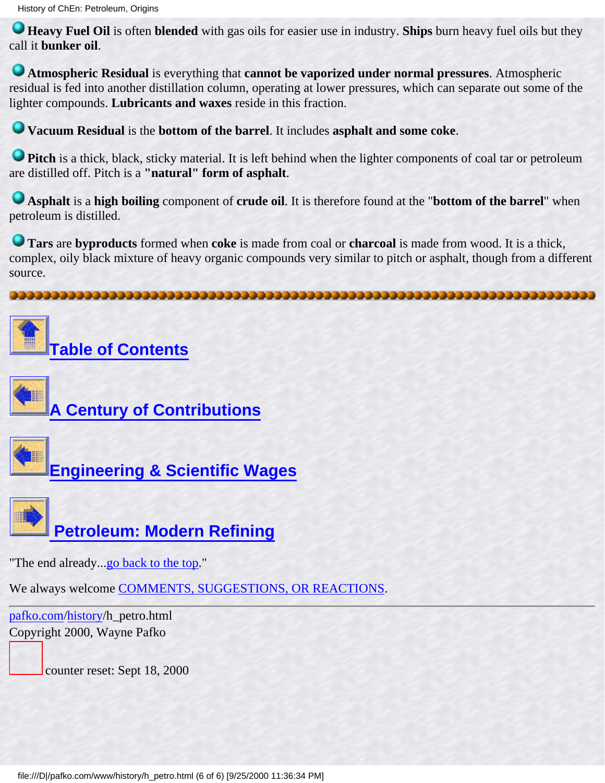**Heavy Fuel Oil** is often **blended** with gas oils for easier use in industry. **Ships** burn heavy fuel oils but they call it **bunker oil**.

**Atmospheric Residual** is everything that **cannot be vaporized under normal pressures**. Atmospheric residual is fed into another distillation column, operating at lower pressures, which can separate out some of the lighter compounds. **Lubricants and waxes** reside in this fraction.

**Vacuum Residual** is the **bottom of the barrel**. It includes **asphalt and some coke**.

**Pitch** is a thick, black, sticky material. It is left behind when the lighter components of coal tar or petroleum are distilled off. Pitch is a **"natural" form of asphalt**.

**Asphalt** is a **high boiling** component of **crude oil**. It is therefore found at the "**bottom of the barrel**" when petroleum is distilled.

**Tars** are **byproducts** formed when **coke** is made from coal or **charcoal** is made from wood. It is a thick, complex, oily black mixture of heavy organic compounds very similar to pitch or asphalt, though from a different source.

<span id="page-61-0"></span>





**[A Century of Contributions](#page-26-0)**



**[Engineering & Scientific Wages](#page-51-0)**



 **[Petroleum: Modern Refining](#page-62-0)**

"The end already...[go back to the top.](#page-56-1)"

We always welcome [COMMENTS, SUGGESTIONS, OR REACTIONS](#page-5-0).

[pafko.com](file:///)[/history](#page-0-0)/h\_petro.html Copyright 2000, Wayne Pafko

counter reset: Sept 18, 2000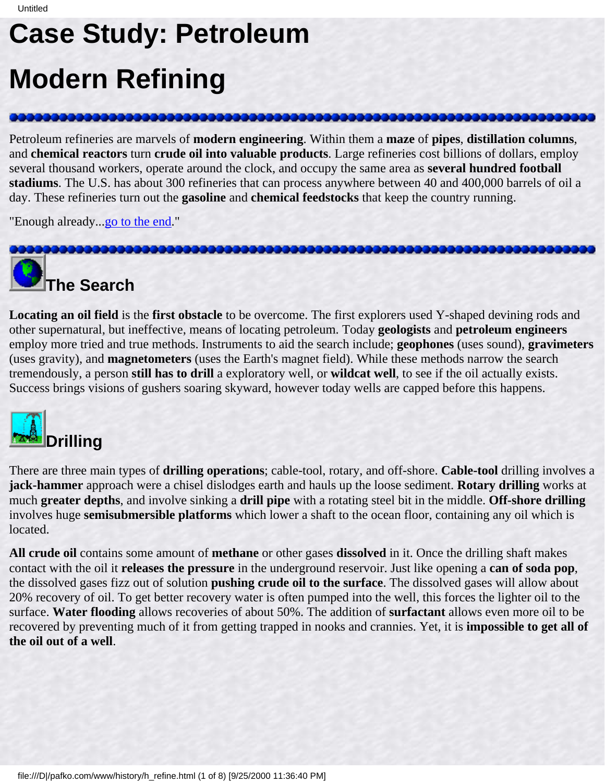# <span id="page-62-1"></span><span id="page-62-0"></span>**Case Study: Petroleum Modern Refining**

Petroleum refineries are marvels of **modern engineering**. Within them a **maze** of **pipes**, **distillation columns**, and **chemical reactors** turn **crude oil into valuable products**. Large refineries cost billions of dollars, employ several thousand workers, operate around the clock, and occupy the same area as **several hundred football stadiums**. The U.S. has about 300 refineries that can process anywhere between 40 and 400,000 barrels of oil a day. These refineries turn out the **gasoline** and **chemical feedstocks** that keep the country running.

"Enough already..[.go to the end.](#page-68-0)"



**Locating an oil field** is the **first obstacle** to be overcome. The first explorers used Y-shaped devining rods and other supernatural, but ineffective, means of locating petroleum. Today **geologists** and **petroleum engineers** employ more tried and true methods. Instruments to aid the search include; **geophones** (uses sound), **gravimeters** (uses gravity), and **magnetometers** (uses the Earth's magnet field). While these methods narrow the search tremendously, a person **still has to drill** a exploratory well, or **wildcat well**, to see if the oil actually exists. Success brings visions of gushers soaring skyward, however today wells are capped before this happens.



There are three main types of **drilling operations**; cable-tool, rotary, and off-shore. **Cable-tool** drilling involves a **jack-hammer** approach were a chisel dislodges earth and hauls up the loose sediment. **Rotary drilling** works at much **greater depths**, and involve sinking a **drill pipe** with a rotating steel bit in the middle. **Off-shore drilling** involves huge **semisubmersible platforms** which lower a shaft to the ocean floor, containing any oil which is located.

**All crude oil** contains some amount of **methane** or other gases **dissolved** in it. Once the drilling shaft makes contact with the oil it **releases the pressure** in the underground reservoir. Just like opening a **can of soda pop**, the dissolved gases fizz out of solution **pushing crude oil to the surface**. The dissolved gases will allow about 20% recovery of oil. To get better recovery water is often pumped into the well, this forces the lighter oil to the surface. **Water flooding** allows recoveries of about 50%. The addition of **surfactant** allows even more oil to be recovered by preventing much of it from getting trapped in nooks and crannies. Yet, it is **impossible to get all of the oil out of a well**.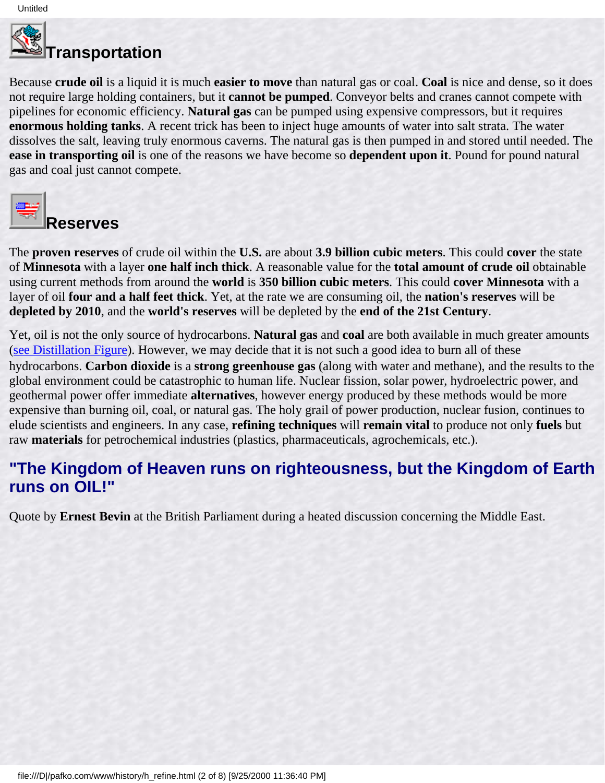

# <u>。</u><br>■Transportation

Because **crude oil** is a liquid it is much **easier to move** than natural gas or coal. **Coal** is nice and dense, so it does not require large holding containers, but it **cannot be pumped**. Conveyor belts and cranes cannot compete with pipelines for economic efficiency. **Natural gas** can be pumped using expensive compressors, but it requires **enormous holding tanks**. A recent trick has been to inject huge amounts of water into salt strata. The water dissolves the salt, leaving truly enormous caverns. The natural gas is then pumped in and stored until needed. The **ease in transporting oil** is one of the reasons we have become so **dependent upon it**. Pound for pound natural gas and coal just cannot compete.



### **Reserves**

The **proven reserves** of crude oil within the **U.S.** are about **3.9 billion cubic meters**. This could **cover** the state of **Minnesota** with a layer **one half inch thick**. A reasonable value for the **total amount of crude oil** obtainable using current methods from around the **world** is **350 billion cubic meters**. This could **cover Minnesota** with a layer of oil **four and a half feet thick**. Yet, at the rate we are consuming oil, the **nation's reserves** will be **depleted by 2010**, and the **world's reserves** will be depleted by the **end of the 21st Century**.

Yet, oil is not the only source of hydrocarbons. **Natural gas** and **coal** are both available in much greater amounts ([see Distillation Figure\)](#page-64-0). However, we may decide that it is not such a good idea to burn all of these

hydrocarbons. **Carbon dioxide** is a **strong greenhouse gas** (along with water and methane), and the results to the global environment could be catastrophic to human life. Nuclear fission, solar power, hydroelectric power, and geothermal power offer immediate **alternatives**, however energy produced by these methods would be more expensive than burning oil, coal, or natural gas. The holy grail of power production, nuclear fusion, continues to elude scientists and engineers. In any case, **refining techniques** will **remain vital** to produce not only **fuels** but raw **materials** for petrochemical industries (plastics, pharmaceuticals, agrochemicals, etc.).

#### **"The Kingdom of Heaven runs on righteousness, but the Kingdom of Earth runs on OIL!"**

Quote by **Ernest Bevin** at the British Parliament during a heated discussion concerning the Middle East.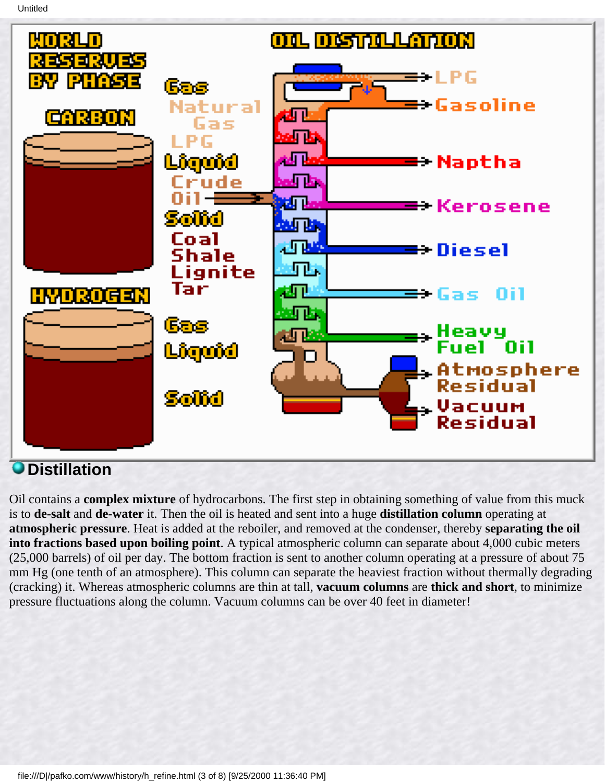<span id="page-64-0"></span>

### **Distillation**

Oil contains a **complex mixture** of hydrocarbons. The first step in obtaining something of value from this muck is to **de-salt** and **de-water** it. Then the oil is heated and sent into a huge **distillation column** operating at **atmospheric pressure**. Heat is added at the reboiler, and removed at the condenser, thereby **separating the oil into fractions based upon boiling point**. A typical atmospheric column can separate about 4,000 cubic meters (25,000 barrels) of oil per day. The bottom fraction is sent to another column operating at a pressure of about 75 mm Hg (one tenth of an atmosphere). This column can separate the heaviest fraction without thermally degrading (cracking) it. Whereas atmospheric columns are thin at tall, **vacuum columns** are **thick and short**, to minimize pressure fluctuations along the column. Vacuum columns can be over 40 feet in diameter!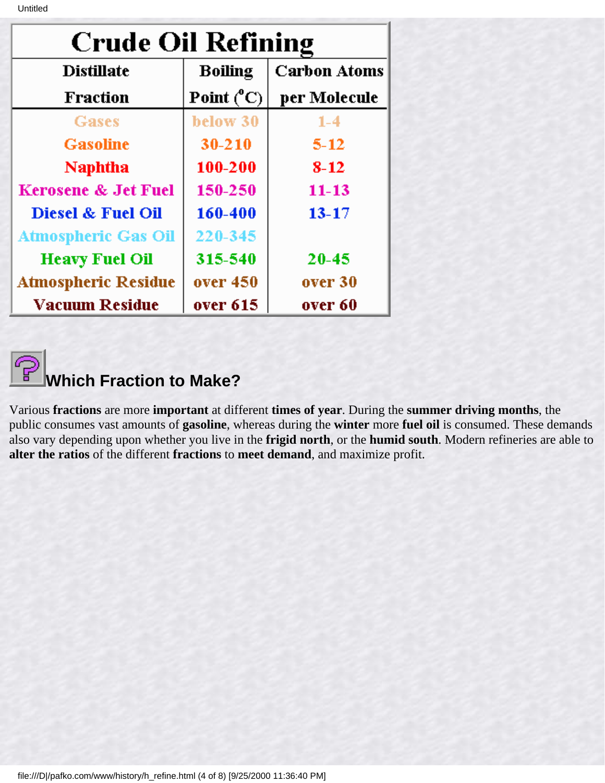| <b>Crude Oil Refining</b>      |                     |                     |
|--------------------------------|---------------------|---------------------|
| <b>Distillate</b>              | <b>Boiling</b>      | <b>Carbon Atoms</b> |
| <b>Fraction</b>                | Point $(^{\circ}C)$ | per Molecule        |
| Gases                          | below 30            | $1 - 4$             |
| <b>Gasoline</b>                | $30 - 210$          | $5 - 12$            |
| <b>Naphtha</b>                 | 100-200             | $8 - 12$            |
| <b>Kerosene &amp; Jet Fuel</b> | 150-250             | $11 - 13$           |
| Diesel & Fuel Oil              | 160-400             | $13 - 17$           |
| <b>Atmospheric Gas Oil</b>     | 220-345             |                     |
| <b>Heavy Fuel Oil</b>          | 315-540             | 20-45               |
| <b>Atmospheric Residue</b>     | over 450            | over 30             |
| <b>Vacuum Residue</b>          | over 615            | over 60             |

**Which Fraction to Make?**

Various **fractions** are more **important** at different **times of year**. During the **summer driving months**, the public consumes vast amounts of **gasoline**, whereas during the **winter** more **fuel oil** is consumed. These demands also vary depending upon whether you live in the **frigid north**, or the **humid south**. Modern refineries are able to **alter the ratios** of the different **fractions** to **meet demand**, and maximize profit.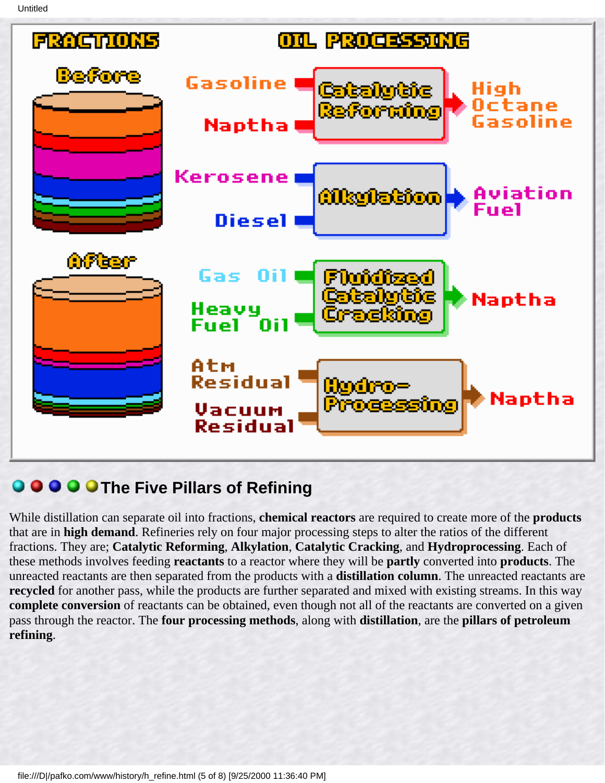

### **Q O O O The Five Pillars of Refining**

While distillation can separate oil into fractions, **chemical reactors** are required to create more of the **products** that are in **high demand**. Refineries rely on four major processing steps to alter the ratios of the different fractions. They are; **Catalytic Reforming**, **Alkylation**, **Catalytic Cracking**, and **Hydroprocessing**. Each of these methods involves feeding **reactants** to a reactor where they will be **partly** converted into **products**. The unreacted reactants are then separated from the products with a **distillation column**. The unreacted reactants are **recycled** for another pass, while the products are further separated and mixed with existing streams. In this way **complete conversion** of reactants can be obtained, even though not all of the reactants are converted on a given pass through the reactor. The **four processing methods**, along with **distillation**, are the **pillars of petroleum refining**.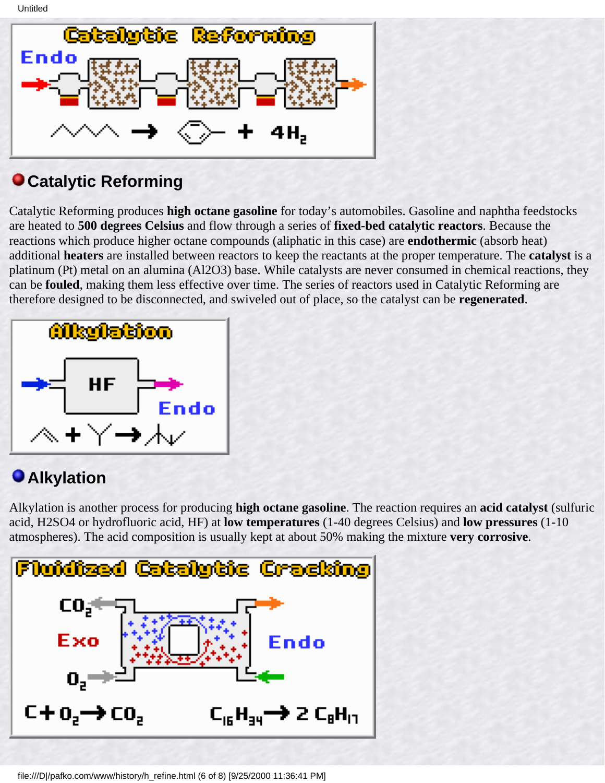

### **Catalytic Reforming**

Catalytic Reforming produces **high octane gasoline** for today's automobiles. Gasoline and naphtha feedstocks are heated to **500 degrees Celsius** and flow through a series of **fixed-bed catalytic reactors**. Because the reactions which produce higher octane compounds (aliphatic in this case) are **endothermic** (absorb heat) additional **heaters** are installed between reactors to keep the reactants at the proper temperature. The **catalyst** is a platinum (Pt) metal on an alumina (Al2O3) base. While catalysts are never consumed in chemical reactions, they can be **fouled**, making them less effective over time. The series of reactors used in Catalytic Reforming are therefore designed to be disconnected, and swiveled out of place, so the catalyst can be **regenerated**.



### **Alkylation**

Alkylation is another process for producing **high octane gasoline**. The reaction requires an **acid catalyst** (sulfuric acid, H2SO4 or hydrofluoric acid, HF) at **low temperatures** (1-40 degrees Celsius) and **low pressures** (1-10 atmospheres). The acid composition is usually kept at about 50% making the mixture **very corrosive**.

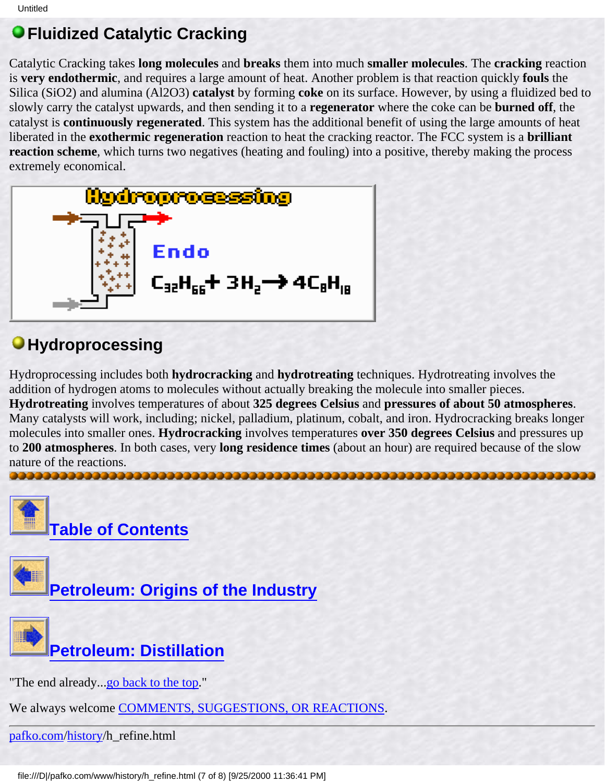### **Fluidized Catalytic Cracking**

Catalytic Cracking takes **long molecules** and **breaks** them into much **smaller molecules**. The **cracking** reaction is **very endothermic**, and requires a large amount of heat. Another problem is that reaction quickly **fouls** the Silica (SiO2) and alumina (Al2O3) **catalyst** by forming **coke** on its surface. However, by using a fluidized bed to slowly carry the catalyst upwards, and then sending it to a **regenerator** where the coke can be **burned off**, the catalyst is **continuously regenerated**. This system has the additional benefit of using the large amounts of heat liberated in the **exothermic regeneration** reaction to heat the cracking reactor. The FCC system is a **brilliant reaction scheme**, which turns two negatives (heating and fouling) into a positive, thereby making the process extremely economical.



### *<u>OHydroprocessing</u>*

Hydroprocessing includes both **hydrocracking** and **hydrotreating** techniques. Hydrotreating involves the addition of hydrogen atoms to molecules without actually breaking the molecule into smaller pieces. **Hydrotreating** involves temperatures of about **325 degrees Celsius** and **pressures of about 50 atmospheres**. Many catalysts will work, including; nickel, palladium, platinum, cobalt, and iron. Hydrocracking breaks longer molecules into smaller ones. **Hydrocracking** involves temperatures **over 350 degrees Celsius** and pressures up to **200 atmospheres**. In both cases, very **long residence times** (about an hour) are required because of the slow nature of the reactions. 

<span id="page-68-0"></span>





"The end already...[go back to the top.](#page-62-1)"

We always welcome [COMMENTS, SUGGESTIONS, OR REACTIONS](#page-5-0).

[pafko.com](file:///)[/history](#page-0-0)/h\_refine.html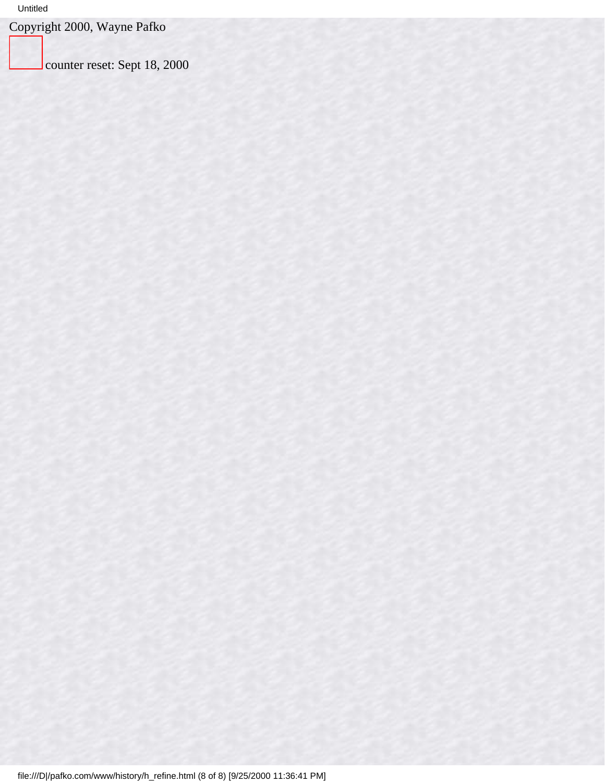#### Untitled

Copyright 2000, Wayne Pafko

counter reset: Sept 18, 2000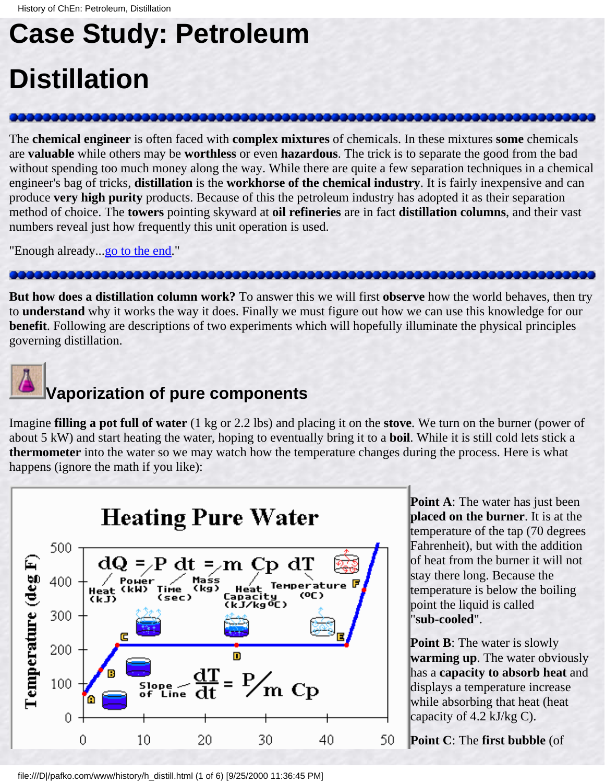# <span id="page-70-0"></span>**Case Study: Petroleum Distillation**

The **chemical engineer** is often faced with **complex mixtures** of chemicals. In these mixtures **some** chemicals are **valuable** while others may be **worthless** or even **hazardous**. The trick is to separate the good from the bad without spending too much money along the way. While there are quite a few separation techniques in a chemical engineer's bag of tricks, **distillation** is the **workhorse of the chemical industry**. It is fairly inexpensive and can produce **very high purity** products. Because of this the petroleum industry has adopted it as their separation method of choice. The **towers** pointing skyward at **oil refineries** are in fact **distillation columns**, and their vast numbers reveal just how frequently this unit operation is used.

"Enough already..[.go to the end.](#page-74-0)"

**But how does a distillation column work?** To answer this we will first **observe** how the world behaves, then try to **understand** why it works the way it does. Finally we must figure out how we can use this knowledge for our **benefit**. Following are descriptions of two experiments which will hopefully illuminate the physical principles governing distillation.



### **Vaporization of pure components**

Imagine **filling a pot full of water** (1 kg or 2.2 lbs) and placing it on the **stove**. We turn on the burner (power of about 5 kW) and start heating the water, hoping to eventually bring it to a **boil**. While it is still cold lets stick a **thermometer** into the water so we may watch how the temperature changes during the process. Here is what happens (ignore the math if you like):



**Point A**: The water has just been **placed on the burner**. It is at the temperature of the tap (70 degrees Fahrenheit), but with the addition of heat from the burner it will not stay there long. Because the temperature is below the boiling point the liquid is called "**sub-cooled**".

**Point B:** The water is slowly **warming up**. The water obviously has a **capacity to absorb heat** and displays a temperature increase while absorbing that heat (heat capacity of 4.2 kJ/kg C).

**Point C**: The **first bubble** (of

file:///D|/pafko.com/www/history/h\_distill.html (1 of 6) [9/25/2000 11:36:45 PM]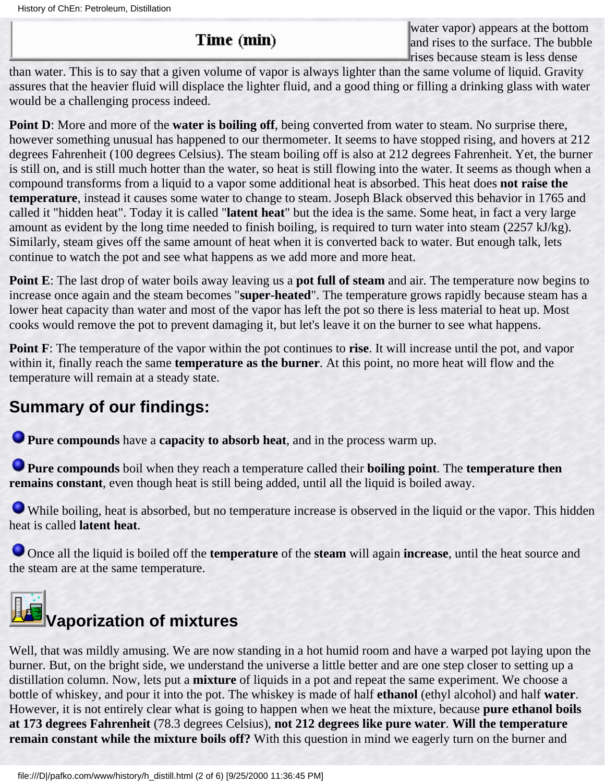#### Time (min)

water vapor) appears at the bottom and rises to the surface. The bubble rises because steam is less dense

than water. This is to say that a given volume of vapor is always lighter than the same volume of liquid. Gravity assures that the heavier fluid will displace the lighter fluid, and a good thing or filling a drinking glass with water would be a challenging process indeed.

**Point D**: More and more of the **water is boiling off**, being converted from water to steam. No surprise there, however something unusual has happened to our thermometer. It seems to have stopped rising, and hovers at 212 degrees Fahrenheit (100 degrees Celsius). The steam boiling off is also at 212 degrees Fahrenheit. Yet, the burner is still on, and is still much hotter than the water, so heat is still flowing into the water. It seems as though when a compound transforms from a liquid to a vapor some additional heat is absorbed. This heat does **not raise the temperature**, instead it causes some water to change to steam. Joseph Black observed this behavior in 1765 and called it "hidden heat". Today it is called "**latent heat**" but the idea is the same. Some heat, in fact a very large amount as evident by the long time needed to finish boiling, is required to turn water into steam (2257 kJ/kg). Similarly, steam gives off the same amount of heat when it is converted back to water. But enough talk, lets continue to watch the pot and see what happens as we add more and more heat.

**Point E**: The last drop of water boils away leaving us a **pot full of steam** and air. The temperature now begins to increase once again and the steam becomes "**super-heated**". The temperature grows rapidly because steam has a lower heat capacity than water and most of the vapor has left the pot so there is less material to heat up. Most cooks would remove the pot to prevent damaging it, but let's leave it on the burner to see what happens.

**Point F**: The temperature of the vapor within the pot continues to **rise**. It will increase until the pot, and vapor within it, finally reach the same **temperature as the burner**. At this point, no more heat will flow and the temperature will remain at a steady state.

### **Summary of our findings:**

**Pure compounds** have a **capacity to absorb heat**, and in the process warm up.

**Pure compounds** boil when they reach a temperature called their **boiling point**. The **temperature then remains constant**, even though heat is still being added, until all the liquid is boiled away.

While boiling, heat is absorbed, but no temperature increase is observed in the liquid or the vapor. This hidden heat is called **latent heat**.

Once all the liquid is boiled off the **temperature** of the **steam** will again **increase**, until the heat source and the steam are at the same temperature.



Well, that was mildly amusing. We are now standing in a hot humid room and have a warped pot laying upon the burner. But, on the bright side, we understand the universe a little better and are one step closer to setting up a distillation column. Now, lets put a **mixture** of liquids in a pot and repeat the same experiment. We choose a bottle of whiskey, and pour it into the pot. The whiskey is made of half **ethanol** (ethyl alcohol) and half **water**. However, it is not entirely clear what is going to happen when we heat the mixture, because **pure ethanol boils at 173 degrees Fahrenheit** (78.3 degrees Celsius), **not 212 degrees like pure water**. **Will the temperature remain constant while the mixture boils off?** With this question in mind we eagerly turn on the burner and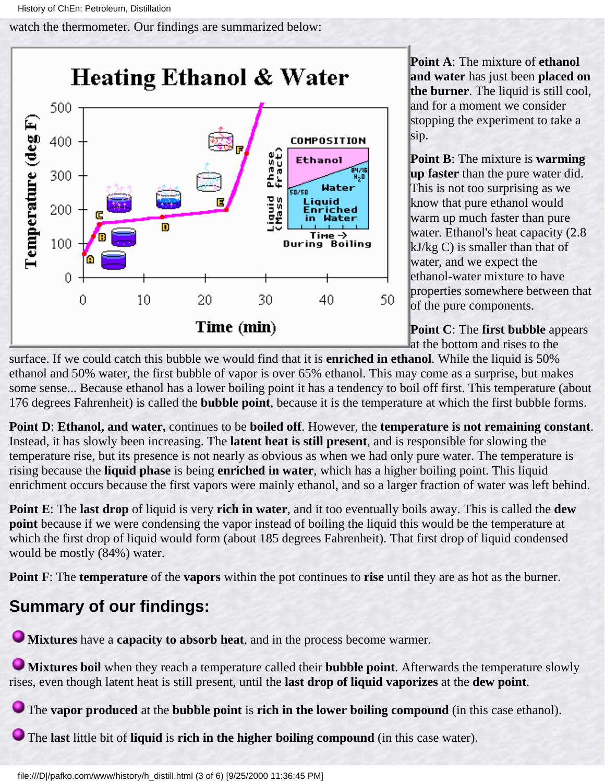watch the thermometer. Our findings are summarized below:



**Point A**: The mixture of **ethanol and water** has just been **placed on the burner**. The liquid is still cool, and for a moment we consider stopping the experiment to take a sip.

**Point B**: The mixture is **warming up faster** than the pure water did. This is not too surprising as we know that pure ethanol would warm up much faster than pure water. Ethanol's heat capacity (2.8 kJ/kg C) is smaller than that of water, and we expect the ethanol-water mixture to have properties somewhere between that of the pure components.

**Point C**: The **first bubble** appears at the bottom and rises to the

surface. If we could catch this bubble we would find that it is **enriched in ethanol**. While the liquid is 50% ethanol and 50% water, the first bubble of vapor is over 65% ethanol. This may come as a surprise, but makes some sense... Because ethanol has a lower boiling point it has a tendency to boil off first. This temperature (about 176 degrees Fahrenheit) is called the **bubble point**, because it is the temperature at which the first bubble forms.

**Point D**: **Ethanol, and water,** continues to be **boiled off**. However, the **temperature is not remaining constant**. Instead, it has slowly been increasing. The **latent heat is still present**, and is responsible for slowing the temperature rise, but its presence is not nearly as obvious as when we had only pure water. The temperature is rising because the **liquid phase** is being **enriched in water**, which has a higher boiling point. This liquid enrichment occurs because the first vapors were mainly ethanol, and so a larger fraction of water was left behind.

**Point E**: The **last drop** of liquid is very **rich in water**, and it too eventually boils away. This is called the **dew point** because if we were condensing the vapor instead of boiling the liquid this would be the temperature at which the first drop of liquid would form (about 185 degrees Fahrenheit). That first drop of liquid condensed would be mostly (84%) water.

**Point F**: The **temperature** of the **vapors** within the pot continues to **rise** until they are as hot as the burner.

## **Summary of our findings:**

**Mixtures** have a **capacity to absorb heat**, and in the process become warmer.

**Mixtures boil** when they reach a temperature called their **bubble point**. Afterwards the temperature slowly rises, even though latent heat is still present, until the **last drop of liquid vaporizes** at the **dew point**.

The **vapor produced** at the **bubble point** is **rich in the lower boiling compound** (in this case ethanol).

The **last** little bit of **liquid** is **rich in the higher boiling compound** (in this case water).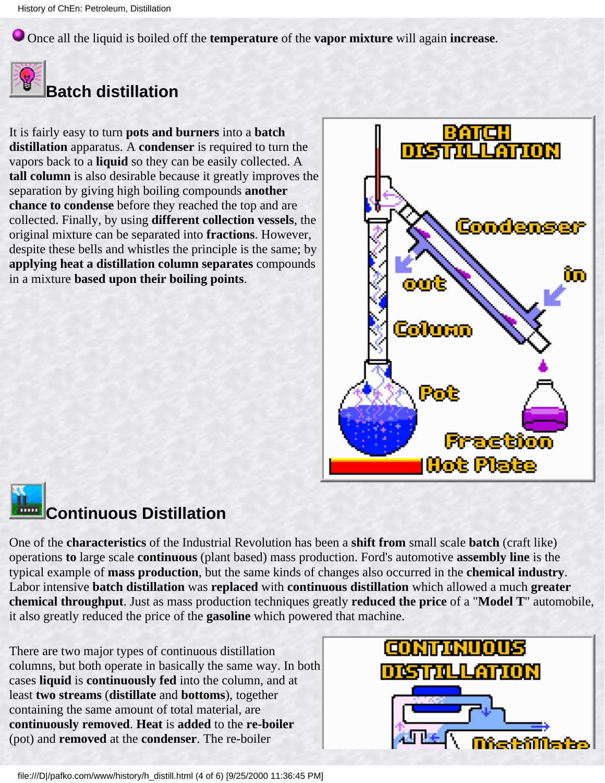Once all the liquid is boiled off the **temperature** of the **vapor mixture** will again **increase**.



## **Batch distillation**

It is fairly easy to turn **pots and burners** into a **batch distillation** apparatus. A **condenser** is required to turn the vapors back to a **liquid** so they can be easily collected. A **tall column** is also desirable because it greatly improves the separation by giving high boiling compounds **another chance to condense** before they reached the top and are collected. Finally, by using **different collection vessels**, the original mixture can be separated into **fractions**. However, despite these bells and whistles the principle is the same; by **applying heat a distillation column separates** compounds in a mixture **based upon their boiling points**.



# **Continuous Distillation**

One of the **characteristics** of the Industrial Revolution has been a **shift from** small scale **batch** (craft like) operations **to** large scale **continuous** (plant based) mass production. Ford's automotive **assembly line** is the typical example of **mass production**, but the same kinds of changes also occurred in the **chemical industry**. Labor intensive **batch distillation** was **replaced** with **continuous distillation** which allowed a much **greater chemical throughput**. Just as mass production techniques greatly **reduced the price** of a "**Model T**" automobile, it also greatly reduced the price of the **gasoline** which powered that machine.

There are two major types of continuous distillation columns, but both operate in basically the same way. In both cases **liquid** is **continuously fed** into the column, and at least **two streams** (**distillate** and **bottoms**), together containing the same amount of total material, are **continuously removed**. **Heat** is **added** to the **re-boiler** (pot) and **removed** at the **condenser**. The re-boiler

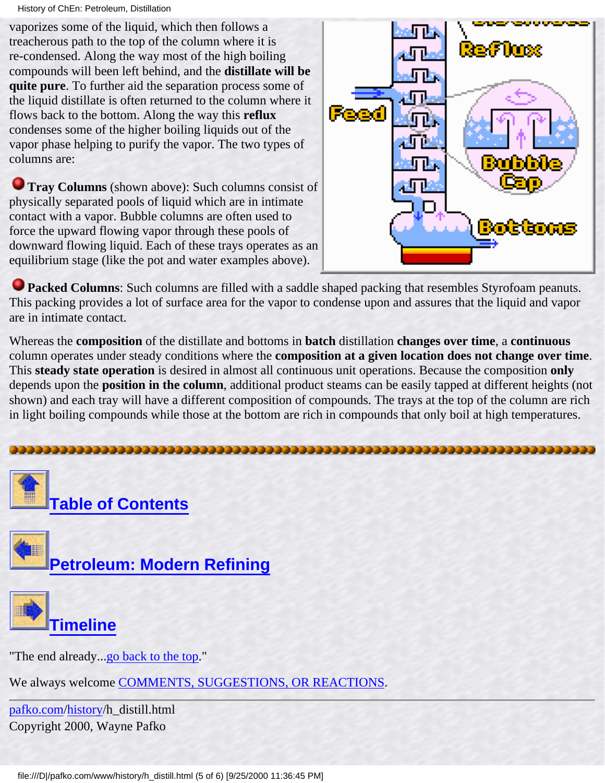History of ChEn: Petroleum, Distillation

vaporizes some of the liquid, which then follows a treacherous path to the top of the column where it is re-condensed. Along the way most of the high boiling compounds will been left behind, and the **distillate will be quite pure**. To further aid the separation process some of the liquid distillate is often returned to the column where it flows back to the bottom. Along the way this **reflux** condenses some of the higher boiling liquids out of the vapor phase helping to purify the vapor. The two types of columns are:

**Tray Columns** (shown above): Such columns consist of physically separated pools of liquid which are in intimate contact with a vapor. Bubble columns are often used to force the upward flowing vapor through these pools of downward flowing liquid. Each of these trays operates as an equilibrium stage (like the pot and water examples above).



**Packed Columns:** Such columns are filled with a saddle shaped packing that resembles Styrofoam peanuts. This packing provides a lot of surface area for the vapor to condense upon and assures that the liquid and vapor are in intimate contact.

Whereas the **composition** of the distillate and bottoms in **batch** distillation **changes over time**, a **continuous** column operates under steady conditions where the **composition at a given location does not change over time**. This **steady state operation** is desired in almost all continuous unit operations. Because the composition **only** depends upon the **position in the column**, additional product steams can be easily tapped at different heights (not shown) and each tray will have a different composition of compounds. The trays at the top of the column are rich in light boiling compounds while those at the bottom are rich in compounds that only boil at high temperatures.







"The end already...[go back to the top.](#page-70-0)"

We always welcome [COMMENTS, SUGGESTIONS, OR REACTIONS](#page-5-0).

[pafko.com](file:///)[/history](#page-0-0)/h\_distill.html Copyright 2000, Wayne Pafko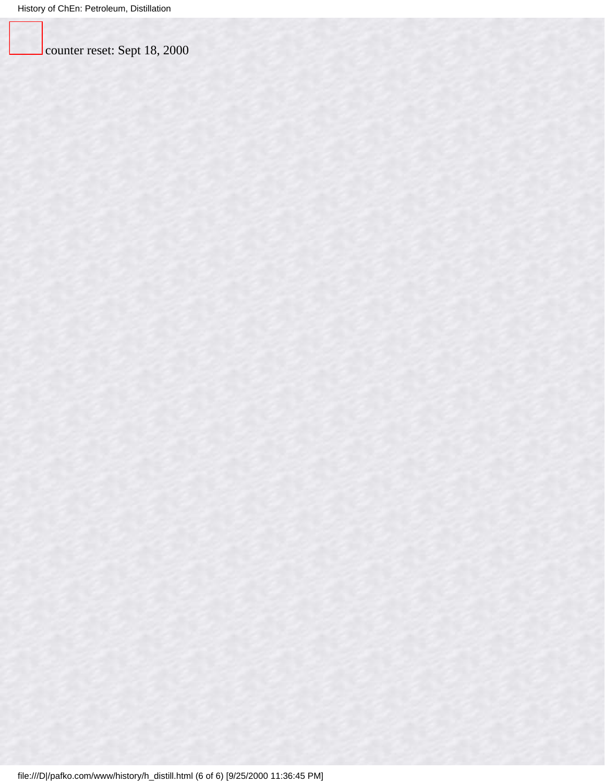counter reset: Sept 18, 2000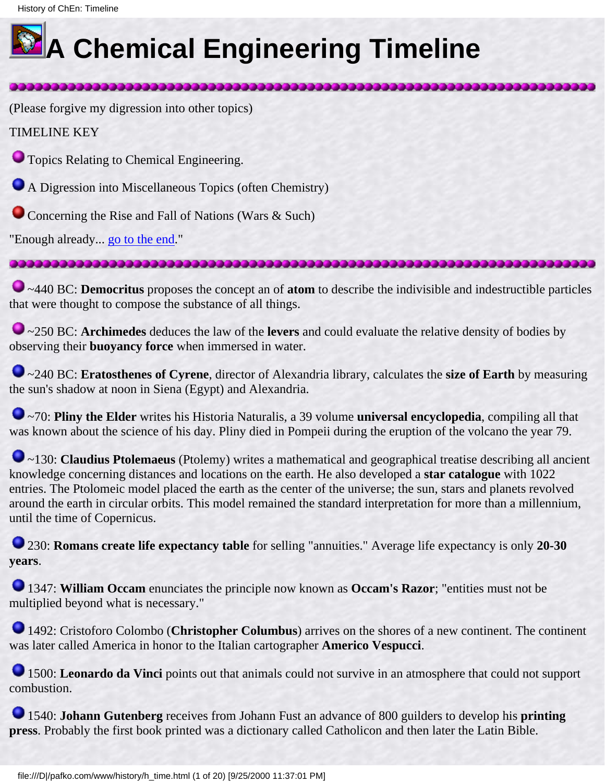<span id="page-76-0"></span>

# **A Chemical Engineering Timeline**

(Please forgive my digression into other topics)

TIMELINE KEY

**Topics Relating to Chemical Engineering.** 

A Digression into Miscellaneous Topics (often Chemistry)

Concerning the Rise and Fall of Nations (Wars & Such)

"Enough already... go to the end."

#### 

3333333333333333333333333

~440 BC: **Democritus** proposes the concept an of **atom** to describe the indivisible and indestructible particles that were thought to compose the substance of all things.

~250 BC: **Archimedes** deduces the law of the **levers** and could evaluate the relative density of bodies by observing their **buoyancy force** when immersed in water.

~240 BC: **Eratosthenes of Cyrene**, director of Alexandria library, calculates the **size of Earth** by measuring the sun's shadow at noon in Siena (Egypt) and Alexandria.

~70: **Pliny the Elder** writes his Historia Naturalis, a 39 volume **universal encyclopedia**, compiling all that was known about the science of his day. Pliny died in Pompeii during the eruption of the volcano the year 79.

~130: **Claudius Ptolemaeus** (Ptolemy) writes a mathematical and geographical treatise describing all ancient knowledge concerning distances and locations on the earth. He also developed a **star catalogue** with 1022 entries. The Ptolomeic model placed the earth as the center of the universe; the sun, stars and planets revolved around the earth in circular orbits. This model remained the standard interpretation for more than a millennium, until the time of Copernicus.

230: **Romans create life expectancy table** for selling "annuities." Average life expectancy is only **20-30 years**.

1347: **William Occam** enunciates the principle now known as **Occam's Razor**; "entities must not be multiplied beyond what is necessary."

1492: Cristoforo Colombo (**Christopher Columbus**) arrives on the shores of a new continent. The continent was later called America in honor to the Italian cartographer **Americo Vespucci**.

1500: **Leonardo da Vinci** points out that animals could not survive in an atmosphere that could not support combustion.

1540: **Johann Gutenberg** receives from Johann Fust an advance of 800 guilders to develop his **printing press**. Probably the first book printed was a dictionary called Catholicon and then later the Latin Bible.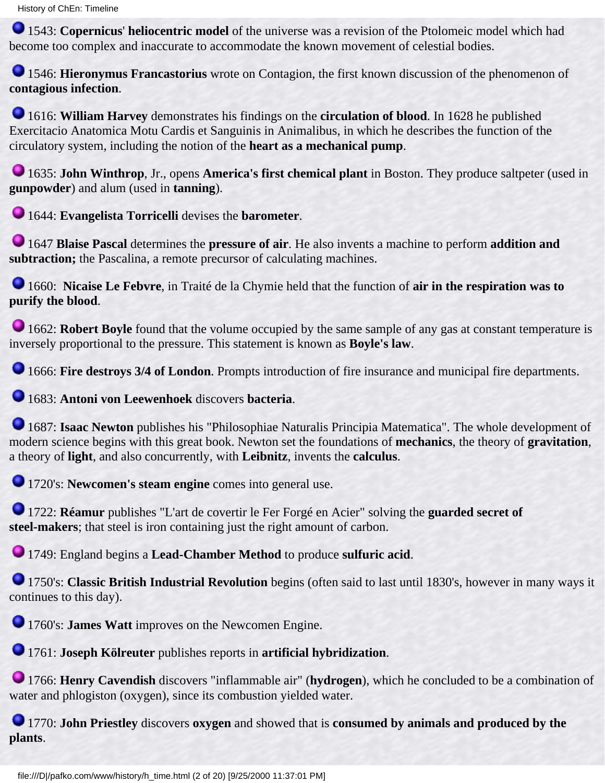1543: **Copernicus**' **heliocentric model** of the universe was a revision of the Ptolomeic model which had become too complex and inaccurate to accommodate the known movement of celestial bodies.

1546: **Hieronymus Francastorius** wrote on Contagion, the first known discussion of the phenomenon of **contagious infection**.

1616: **William Harvey** demonstrates his findings on the **circulation of blood**. In 1628 he published Exercitacio Anatomica Motu Cardis et Sanguinis in Animalibus, in which he describes the function of the circulatory system, including the notion of the **heart as a mechanical pump**.

1635: **John Winthrop**, Jr., opens **America's first chemical plant** in Boston. They produce saltpeter (used in **gunpowder**) and alum (used in **tanning**).

1644: **Evangelista Torricelli** devises the **barometer**.

1647 **Blaise Pascal** determines the **pressure of air**. He also invents a machine to perform **addition and subtraction;** the Pascalina, a remote precursor of calculating machines.

1660: **Nicaise Le Febvre**, in Traité de la Chymie held that the function of **air in the respiration was to purify the blood**.

**1662:** Robert Boyle found that the volume occupied by the same sample of any gas at constant temperature is inversely proportional to the pressure. This statement is known as **Boyle's law**.

1666: **Fire destroys 3/4 of London**. Prompts introduction of fire insurance and municipal fire departments.

1683: **Antoni von Leewenhoek** discovers **bacteria**.

1687: **Isaac Newton** publishes his "Philosophiae Naturalis Principia Matematica". The whole development of modern science begins with this great book. Newton set the foundations of **mechanics**, the theory of **gravitation**, a theory of **light**, and also concurrently, with **Leibnitz**, invents the **calculus**.

1720's: **Newcomen's steam engine** comes into general use.

1722: **Réamur** publishes "L'art de covertir le Fer Forgé en Acier" solving the **guarded secret of steel-makers**; that steel is iron containing just the right amount of carbon.

1749: England begins a **Lead-Chamber Method** to produce **sulfuric acid**.

1750's: **Classic British Industrial Revolution** begins (often said to last until 1830's, however in many ways it continues to this day).

**1760's: James Watt** improves on the Newcomen Engine.

1761: **Joseph Kölreuter** publishes reports in **artificial hybridization**.

1766: **Henry Cavendish** discovers "inflammable air" (**hydrogen**), which he concluded to be a combination of water and phlogiston (oxygen), since its combustion yielded water.

1770: **John Priestley** discovers **oxygen** and showed that is **consumed by animals and produced by the plants**.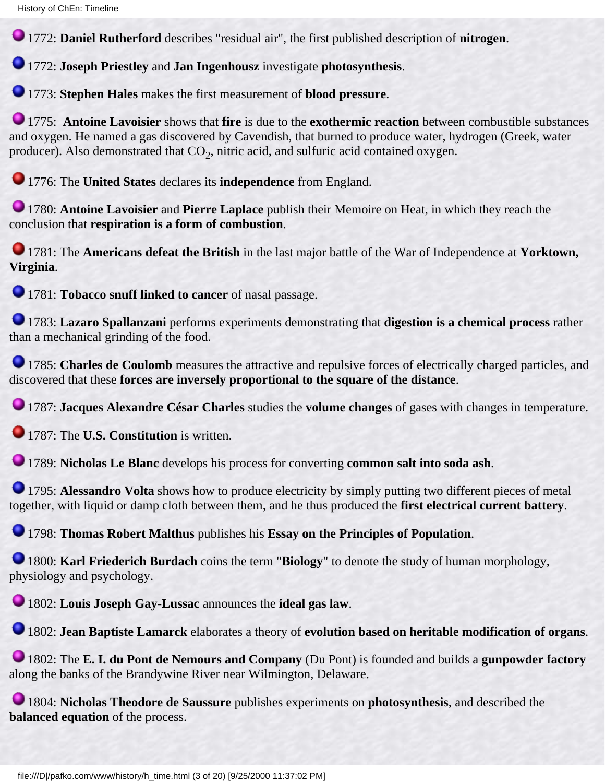1772: **Daniel Rutherford** describes "residual air", the first published description of **nitrogen**.

1772: **Joseph Priestley** and **Jan Ingenhousz** investigate **photosynthesis**.

1773: **Stephen Hales** makes the first measurement of **blood pressure**.

1775: **Antoine Lavoisier** shows that **fire** is due to the **exothermic reaction** between combustible substances and oxygen. He named a gas discovered by Cavendish, that burned to produce water, hydrogen (Greek, water producer). Also demonstrated that  $CO<sub>2</sub>$ , nitric acid, and sulfuric acid contained oxygen.

1776: The **United States** declares its **independence** from England.

1780: **Antoine Lavoisier** and **Pierre Laplace** publish their Memoire on Heat, in which they reach the conclusion that **respiration is a form of combustion**.

1781: The **Americans defeat the British** in the last major battle of the War of Independence at **Yorktown, Virginia**.

1781: **Tobacco snuff linked to cancer** of nasal passage.

1783: **Lazaro Spallanzani** performs experiments demonstrating that **digestion is a chemical process** rather than a mechanical grinding of the food.

**1785: Charles de Coulomb** measures the attractive and repulsive forces of electrically charged particles, and discovered that these **forces are inversely proportional to the square of the distance**.

1787: **Jacques Alexandre César Charles** studies the **volume changes** of gases with changes in temperature.

**1787: The U.S. Constitution** is written.

1789: **Nicholas Le Blanc** develops his process for converting **common salt into soda ash**.

**1795: Alessandro Volta** shows how to produce electricity by simply putting two different pieces of metal together, with liquid or damp cloth between them, and he thus produced the **first electrical current battery**.

1798: **Thomas Robert Malthus** publishes his **Essay on the Principles of Population**.

1800: **Karl Friederich Burdach** coins the term "**Biology**" to denote the study of human morphology, physiology and psychology.

1802: **Louis Joseph Gay-Lussac** announces the **ideal gas law**.

1802: **Jean Baptiste Lamarck** elaborates a theory of **evolution based on heritable modification of organs**.

1802: The **E. I. du Pont de Nemours and Company** (Du Pont) is founded and builds a **gunpowder factory** along the banks of the Brandywine River near Wilmington, Delaware.

1804: **Nicholas Theodore de Saussure** publishes experiments on **photosynthesis**, and described the **balanced equation** of the process.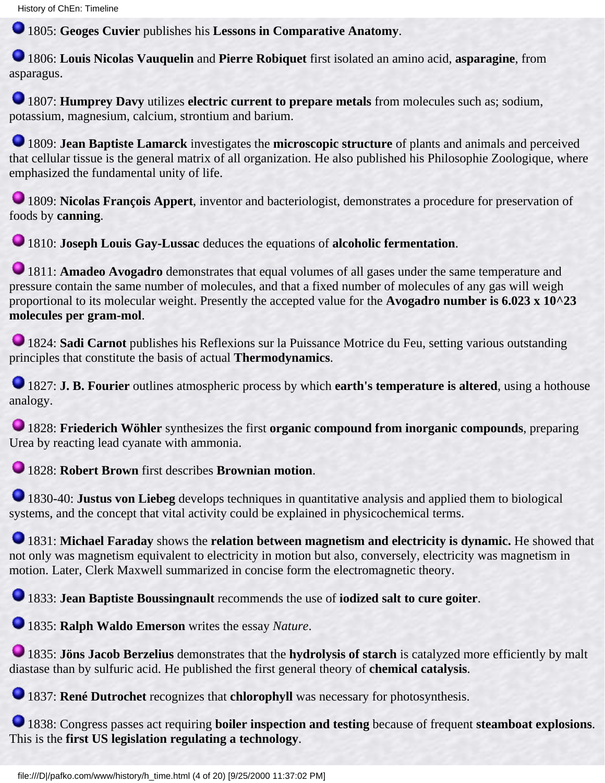1805: **Geoges Cuvier** publishes his **Lessons in Comparative Anatomy**.

1806: **Louis Nicolas Vauquelin** and **Pierre Robiquet** first isolated an amino acid, **asparagine**, from asparagus.

1807: **Humprey Davy** utilizes **electric current to prepare metals** from molecules such as; sodium, potassium, magnesium, calcium, strontium and barium.

1809: **Jean Baptiste Lamarck** investigates the **microscopic structure** of plants and animals and perceived that cellular tissue is the general matrix of all organization. He also published his Philosophie Zoologique, where emphasized the fundamental unity of life.

1809: **Nicolas François Appert**, inventor and bacteriologist, demonstrates a procedure for preservation of foods by **canning**.

1810: **Joseph Louis Gay-Lussac** deduces the equations of **alcoholic fermentation**.

1811: **Amadeo Avogadro** demonstrates that equal volumes of all gases under the same temperature and pressure contain the same number of molecules, and that a fixed number of molecules of any gas will weigh proportional to its molecular weight. Presently the accepted value for the **Avogadro number is 6.023 x 10^23 molecules per gram-mol**.

1824: **Sadi Carnot** publishes his Reflexions sur la Puissance Motrice du Feu, setting various outstanding principles that constitute the basis of actual **Thermodynamics**.

1827: **J. B. Fourier** outlines atmospheric process by which **earth's temperature is altered**, using a hothouse analogy.

1828: **Friederich Wöhler** synthesizes the first **organic compound from inorganic compounds**, preparing Urea by reacting lead cyanate with ammonia.

1828: **Robert Brown** first describes **Brownian motion**.

1830-40: **Justus von Liebeg** develops techniques in quantitative analysis and applied them to biological systems, and the concept that vital activity could be explained in physicochemical terms.

1831: **Michael Faraday** shows the **relation between magnetism and electricity is dynamic.** He showed that not only was magnetism equivalent to electricity in motion but also, conversely, electricity was magnetism in motion. Later, Clerk Maxwell summarized in concise form the electromagnetic theory.

1833: **Jean Baptiste Boussingnault** recommends the use of **iodized salt to cure goiter**.

1835: **Ralph Waldo Emerson** writes the essay *Nature*.

1835: **Jöns Jacob Berzelius** demonstrates that the **hydrolysis of starch** is catalyzed more efficiently by malt diastase than by sulfuric acid. He published the first general theory of **chemical catalysis**.

**1837: René Dutrochet** recognizes that **chlorophyll** was necessary for photosynthesis.

1838: Congress passes act requiring **boiler inspection and testing** because of frequent **steamboat explosions**. This is the **first US legislation regulating a technology**.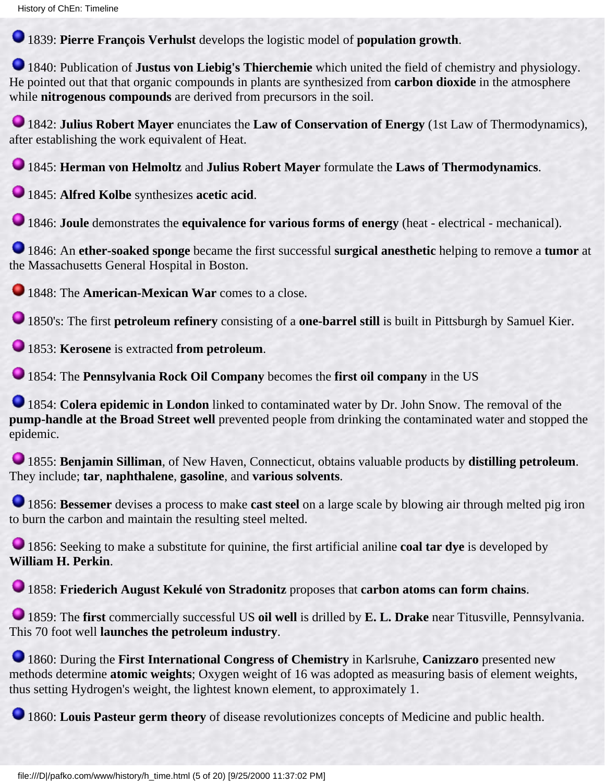1839: **Pierre François Verhulst** develops the logistic model of **population growth**.

1840: Publication of **Justus von Liebig's Thierchemie** which united the field of chemistry and physiology. He pointed out that that organic compounds in plants are synthesized from **carbon dioxide** in the atmosphere while **nitrogenous compounds** are derived from precursors in the soil.

1842: **Julius Robert Mayer** enunciates the **Law of Conservation of Energy** (1st Law of Thermodynamics), after establishing the work equivalent of Heat.

1845: **Herman von Helmoltz** and **Julius Robert Mayer** formulate the **Laws of Thermodynamics**.

1845: **Alfred Kolbe** synthesizes **acetic acid**.

1846: **Joule** demonstrates the **equivalence for various forms of energy** (heat - electrical - mechanical).

1846: An **ether-soaked sponge** became the first successful **surgical anesthetic** helping to remove a **tumor** at the Massachusetts General Hospital in Boston.

**1848: The American-Mexican War** comes to a close.

1850's: The first **petroleum refinery** consisting of a **one-barrel still** is built in Pittsburgh by Samuel Kier.

1853: **Kerosene** is extracted **from petroleum**.

1854: The **Pennsylvania Rock Oil Company** becomes the **first oil company** in the US

1854: **Colera epidemic in London** linked to contaminated water by Dr. John Snow. The removal of the **pump-handle at the Broad Street well** prevented people from drinking the contaminated water and stopped the epidemic.

1855: **Benjamin Silliman**, of New Haven, Connecticut, obtains valuable products by **distilling petroleum**. They include; **tar**, **naphthalene**, **gasoline**, and **various solvents**.

1856: **Bessemer** devises a process to make **cast steel** on a large scale by blowing air through melted pig iron to burn the carbon and maintain the resulting steel melted.

1856: Seeking to make a substitute for quinine, the first artificial aniline **coal tar dye** is developed by **William H. Perkin**.

1858: **Friederich August Kekulé von Stradonitz** proposes that **carbon atoms can form chains**.

1859: The **first** commercially successful US **oil well** is drilled by **E. L. Drake** near Titusville, Pennsylvania. This 70 foot well **launches the petroleum industry**.

1860: During the **First International Congress of Chemistry** in Karlsruhe, **Canizzaro** presented new methods determine **atomic weights**; Oxygen weight of 16 was adopted as measuring basis of element weights, thus setting Hydrogen's weight, the lightest known element, to approximately 1.

1860: Louis Pasteur germ theory of disease revolutionizes concepts of Medicine and public health.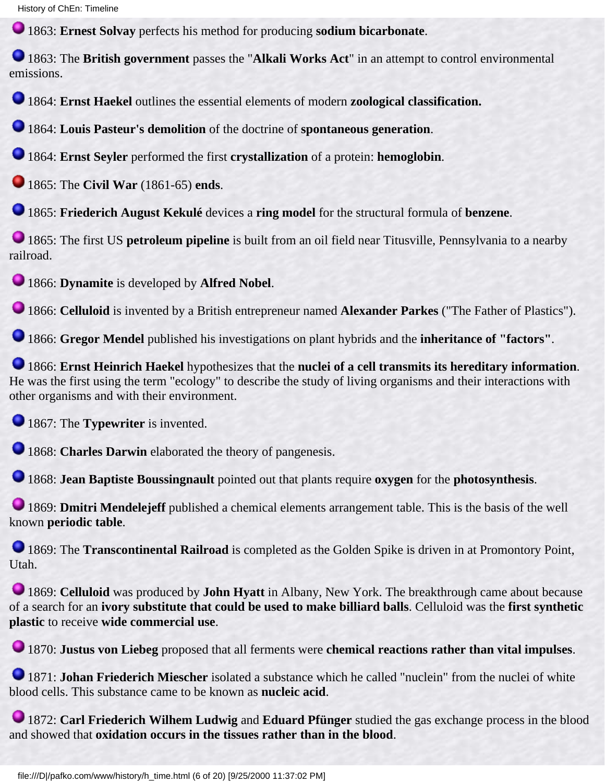History of ChEn: Timeline

1863: **Ernest Solvay** perfects his method for producing **sodium bicarbonate**.

1863: The **British government** passes the "**Alkali Works Act**" in an attempt to control environmental emissions.

1864: **Ernst Haekel** outlines the essential elements of modern **zoological classification.**

1864: **Louis Pasteur's demolition** of the doctrine of **spontaneous generation**.

1864: **Ernst Seyler** performed the first **crystallization** of a protein: **hemoglobin**.

1865: The **Civil War** (1861-65) **ends**.

1865: **Friederich August Kekulé** devices a **ring model** for the structural formula of **benzene**.

1865: The first US **petroleum pipeline** is built from an oil field near Titusville, Pennsylvania to a nearby railroad.

1866: **Dynamite** is developed by **Alfred Nobel**.

1866: **Celluloid** is invented by a British entrepreneur named **Alexander Parkes** ("The Father of Plastics").

1866: **Gregor Mendel** published his investigations on plant hybrids and the **inheritance of "factors"**.

1866: **Ernst Heinrich Haekel** hypothesizes that the **nuclei of a cell transmits its hereditary information**. He was the first using the term "ecology" to describe the study of living organisms and their interactions with other organisms and with their environment.

**1867: The Typewriter** is invented.

**1868: Charles Darwin** elaborated the theory of pangenesis.

1868: **Jean Baptiste Boussingnault** pointed out that plants require **oxygen** for the **photosynthesis**.

1869: **Dmitri Mendelejeff** published a chemical elements arrangement table. This is the basis of the well known **periodic table**.

1869: The **Transcontinental Railroad** is completed as the Golden Spike is driven in at Promontory Point, Utah.

1869: **Celluloid** was produced by **John Hyatt** in Albany, New York. The breakthrough came about because of a search for an **ivory substitute that could be used to make billiard balls**. Celluloid was the **first synthetic plastic** to receive **wide commercial use**.

1870: **Justus von Liebeg** proposed that all ferments were **chemical reactions rather than vital impulses**.

**1871: Johan Friederich Miescher** isolated a substance which he called "nuclein" from the nuclei of white blood cells. This substance came to be known as **nucleic acid**.

1872: **Carl Friederich Wilhem Ludwig** and **Eduard Pfünger** studied the gas exchange process in the blood and showed that **oxidation occurs in the tissues rather than in the blood**.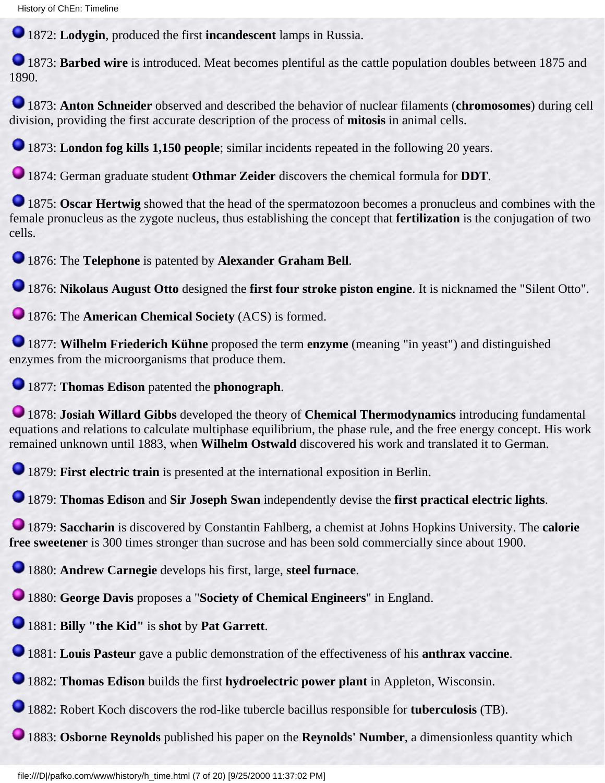1872: **Lodygin**, produced the first **incandescent** lamps in Russia.

**1873: Barbed wire** is introduced. Meat becomes plentiful as the cattle population doubles between 1875 and 1890.

1873: **Anton Schneider** observed and described the behavior of nuclear filaments (**chromosomes**) during cell division, providing the first accurate description of the process of **mitosis** in animal cells.

1873: **London fog kills 1,150 people**; similar incidents repeated in the following 20 years.

1874: German graduate student **Othmar Zeider** discovers the chemical formula for **DDT**.

**1875: Oscar Hertwig** showed that the head of the spermatozoon becomes a pronucleus and combines with the female pronucleus as the zygote nucleus, thus establishing the concept that **fertilization** is the conjugation of two cells.

1876: The **Telephone** is patented by **Alexander Graham Bell**.

1876: **Nikolaus August Otto** designed the **first four stroke piston engine**. It is nicknamed the "Silent Otto".

1876: The **American Chemical Society** (ACS) is formed.

1877: **Wilhelm Friederich Kühne** proposed the term **enzyme** (meaning "in yeast") and distinguished enzymes from the microorganisms that produce them.

1877: **Thomas Edison** patented the **phonograph**.

1878: **Josiah Willard Gibbs** developed the theory of **Chemical Thermodynamics** introducing fundamental equations and relations to calculate multiphase equilibrium, the phase rule, and the free energy concept. His work remained unknown until 1883, when **Wilhelm Ostwald** discovered his work and translated it to German.

1879: **First electric train** is presented at the international exposition in Berlin.

1879: **Thomas Edison** and **Sir Joseph Swan** independently devise the **first practical electric lights**.

1879: **Saccharin** is discovered by Constantin Fahlberg, a chemist at Johns Hopkins University. The **calorie free sweetener** is 300 times stronger than sucrose and has been sold commercially since about 1900.

1880: **Andrew Carnegie** develops his first, large, **steel furnace**.

1880: **George Davis** proposes a "**Society of Chemical Engineers**" in England.

1881: **Billy "the Kid"** is **shot** by **Pat Garrett**.

1881: **Louis Pasteur** gave a public demonstration of the effectiveness of his **anthrax vaccine**.

1882: **Thomas Edison** builds the first **hydroelectric power plant** in Appleton, Wisconsin.

1882: Robert Koch discovers the rod-like tubercle bacillus responsible for **tuberculosis** (TB).

1883: **Osborne Reynolds** published his paper on the **Reynolds' Number**, a dimensionless quantity which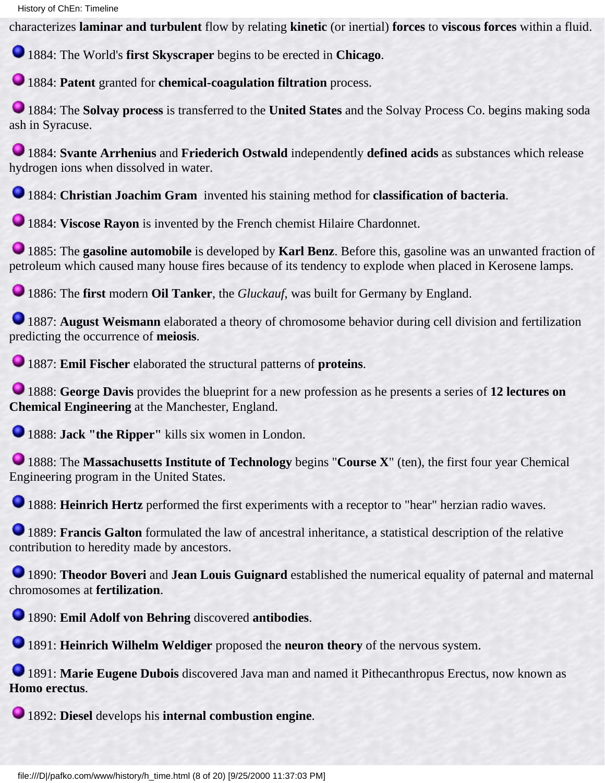characterizes **laminar and turbulent** flow by relating **kinetic** (or inertial) **forces** to **viscous forces** within a fluid.

1884: The World's **first Skyscraper** begins to be erected in **Chicago**.

1884: **Patent** granted for **chemical-coagulation filtration** process.

1884: The **Solvay process** is transferred to the **United States** and the Solvay Process Co. begins making soda ash in Syracuse.

1884: **Svante Arrhenius** and **Friederich Ostwald** independently **defined acids** as substances which release hydrogen ions when dissolved in water.

1884: **Christian Joachim Gram** invented his staining method for **classification of bacteria**.

1884: **Viscose Rayon** is invented by the French chemist Hilaire Chardonnet.

1885: The **gasoline automobile** is developed by **Karl Benz**. Before this, gasoline was an unwanted fraction of petroleum which caused many house fires because of its tendency to explode when placed in Kerosene lamps.

1886: The **first** modern **Oil Tanker**, the *Gluckauf*, was built for Germany by England.

1887: **August Weismann** elaborated a theory of chromosome behavior during cell division and fertilization predicting the occurrence of **meiosis**.

1887: **Emil Fischer** elaborated the structural patterns of **proteins**.

1888: **George Davis** provides the blueprint for a new profession as he presents a series of **12 lectures on Chemical Engineering** at the Manchester, England.

1888: **Jack "the Ripper"** kills six women in London.

1888: The **Massachusetts Institute of Technology** begins "**Course X**" (ten), the first four year Chemical Engineering program in the United States.

1888: **Heinrich Hertz** performed the first experiments with a receptor to "hear" herzian radio waves.

1889: **Francis Galton** formulated the law of ancestral inheritance, a statistical description of the relative contribution to heredity made by ancestors.

1890: **Theodor Boveri** and **Jean Louis Guignard** established the numerical equality of paternal and maternal chromosomes at **fertilization**.

1890: **Emil Adolf von Behring** discovered **antibodies**.

1891: **Heinrich Wilhelm Weldiger** proposed the **neuron theory** of the nervous system.

1891: **Marie Eugene Dubois** discovered Java man and named it Pithecanthropus Erectus, now known as **Homo erectus**.

1892: **Diesel** develops his **internal combustion engine**.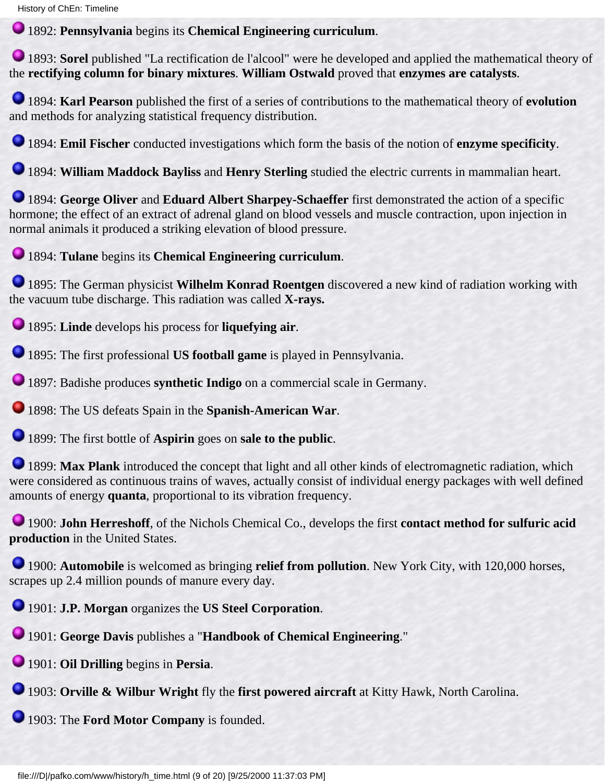History of ChEn: Timeline

1892: **Pennsylvania** begins its **Chemical Engineering curriculum**.

1893: **Sorel** published "La rectification de l'alcool" were he developed and applied the mathematical theory of the **rectifying column for binary mixtures**. **William Ostwald** proved that **enzymes are catalysts**.

1894: **Karl Pearson** published the first of a series of contributions to the mathematical theory of **evolution** and methods for analyzing statistical frequency distribution.

1894: **Emil Fischer** conducted investigations which form the basis of the notion of **enzyme specificity**.

1894: **William Maddock Bayliss** and **Henry Sterling** studied the electric currents in mammalian heart.

1894: **George Oliver** and **Eduard Albert Sharpey-Schaeffer** first demonstrated the action of a specific hormone; the effect of an extract of adrenal gland on blood vessels and muscle contraction, upon injection in normal animals it produced a striking elevation of blood pressure.

1894: **Tulane** begins its **Chemical Engineering curriculum**.

1895: The German physicist **Wilhelm Konrad Roentgen** discovered a new kind of radiation working with the vacuum tube discharge. This radiation was called **X-rays.**

1895: **Linde** develops his process for **liquefying air**.

1895: The first professional **US football game** is played in Pennsylvania.

1897: Badishe produces **synthetic Indigo** on a commercial scale in Germany.

1898: The US defeats Spain in the **Spanish-American War**.

1899: The first bottle of **Aspirin** goes on **sale to the public**.

1899: **Max Plank** introduced the concept that light and all other kinds of electromagnetic radiation, which were considered as continuous trains of waves, actually consist of individual energy packages with well defined amounts of energy **quanta**, proportional to its vibration frequency.

1900: **John Herreshoff**, of the Nichols Chemical Co., develops the first **contact method for sulfuric acid production** in the United States.

1900: **Automobile** is welcomed as bringing **relief from pollution**. New York City, with 120,000 horses, scrapes up 2.4 million pounds of manure every day.

1901: **J.P. Morgan** organizes the **US Steel Corporation**.

1901: **George Davis** publishes a "**Handbook of Chemical Engineering**."

1901: **Oil Drilling** begins in **Persia**.

1903: **Orville & Wilbur Wright** fly the **first powered aircraft** at Kitty Hawk, North Carolina.

1903: The **Ford Motor Company** is founded.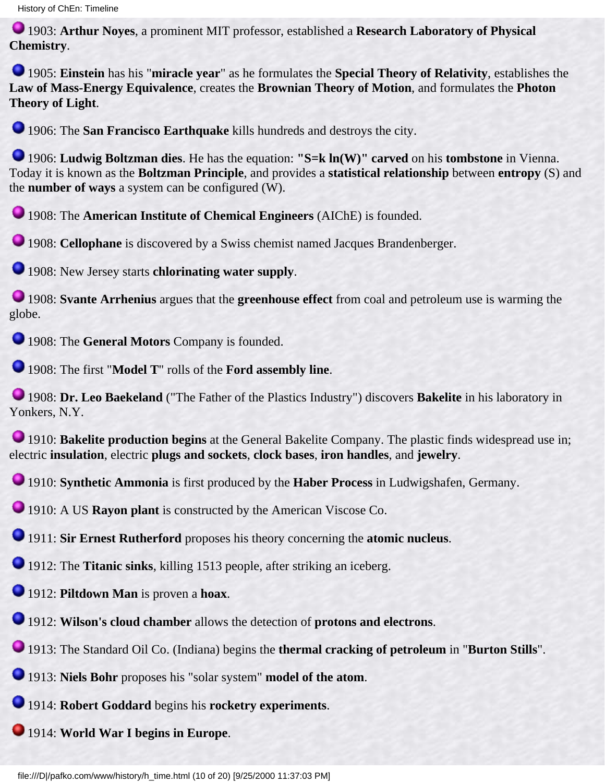1903: **Arthur Noyes**, a prominent MIT professor, established a **Research Laboratory of Physical Chemistry**.

1905: **Einstein** has his "**miracle year**" as he formulates the **Special Theory of Relativity**, establishes the **Law of Mass-Energy Equivalence**, creates the **Brownian Theory of Motion**, and formulates the **Photon Theory of Light**.

1906: The **San Francisco Earthquake** kills hundreds and destroys the city.

1906: **Ludwig Boltzman dies**. He has the equation: **"S=k ln(W)" carved** on his **tombstone** in Vienna. Today it is known as the **Boltzman Principle**, and provides a **statistical relationship** between **entropy** (S) and the **number of ways** a system can be configured (W).

1908: The **American Institute of Chemical Engineers** (AIChE) is founded.

**1908: Cellophane** is discovered by a Swiss chemist named Jacques Brandenberger.

1908: New Jersey starts **chlorinating water supply**.

1908: **Svante Arrhenius** argues that the **greenhouse effect** from coal and petroleum use is warming the globe.

1908: The **General Motors** Company is founded.

1908: The first "**Model T**" rolls of the **Ford assembly line**.

1908: **Dr. Leo Baekeland** ("The Father of the Plastics Industry") discovers **Bakelite** in his laboratory in Yonkers, N.Y.

**1910: Bakelite production begins** at the General Bakelite Company. The plastic finds widespread use in; electric **insulation**, electric **plugs and sockets**, **clock bases**, **iron handles**, and **jewelry**.

1910: **Synthetic Ammonia** is first produced by the **Haber Process** in Ludwigshafen, Germany.

1910: A US **Rayon plant** is constructed by the American Viscose Co.

1911: **Sir Ernest Rutherford** proposes his theory concerning the **atomic nucleus**.

1912: The **Titanic sinks**, killing 1513 people, after striking an iceberg.

1912: **Piltdown Man** is proven a **hoax**.

1912: **Wilson's cloud chamber** allows the detection of **protons and electrons**.

1913: The Standard Oil Co. (Indiana) begins the **thermal cracking of petroleum** in "**Burton Stills**".

1913: **Niels Bohr** proposes his "solar system" **model of the atom**.

1914: **Robert Goddard** begins his **rocketry experiments**.

1914: **World War I begins in Europe**.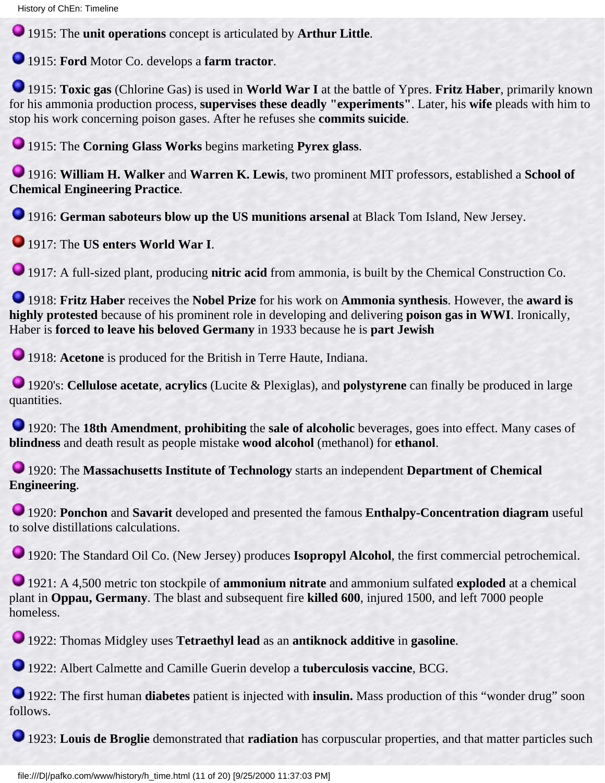1915: The **unit operations** concept is articulated by **Arthur Little**.

1915: **Ford** Motor Co. develops a **farm tractor**.

1915: **Toxic gas** (Chlorine Gas) is used in **World War I** at the battle of Ypres. **Fritz Haber**, primarily known for his ammonia production process, **supervises these deadly "experiments"**. Later, his **wife** pleads with him to stop his work concerning poison gases. After he refuses she **commits suicide**.

1915: The **Corning Glass Works** begins marketing **Pyrex glass**.

1916: **William H. Walker** and **Warren K. Lewis**, two prominent MIT professors, established a **School of Chemical Engineering Practice**.

1916: **German saboteurs blow up the US munitions arsenal** at Black Tom Island, New Jersey.

1917: The **US enters World War I**.

1917: A full-sized plant, producing **nitric acid** from ammonia, is built by the Chemical Construction Co.

1918: **Fritz Haber** receives the **Nobel Prize** for his work on **Ammonia synthesis**. However, the **award is highly protested** because of his prominent role in developing and delivering **poison gas in WWI**. Ironically, Haber is **forced to leave his beloved Germany** in 1933 because he is **part Jewish**

1918: **Acetone** is produced for the British in Terre Haute, Indiana.

1920's: **Cellulose acetate**, **acrylics** (Lucite & Plexiglas), and **polystyrene** can finally be produced in large quantities.

1920: The **18th Amendment**, **prohibiting** the **sale of alcoholic** beverages, goes into effect. Many cases of **blindness** and death result as people mistake **wood alcohol** (methanol) for **ethanol**.

1920: The **Massachusetts Institute of Technology** starts an independent **Department of Chemical Engineering**.

1920: **Ponchon** and **Savarit** developed and presented the famous **Enthalpy-Concentration diagram** useful to solve distillations calculations.

1920: The Standard Oil Co. (New Jersey) produces **Isopropyl Alcohol**, the first commercial petrochemical.

1921: A 4,500 metric ton stockpile of **ammonium nitrate** and ammonium sulfated **exploded** at a chemical plant in **Oppau, Germany**. The blast and subsequent fire **killed 600**, injured 1500, and left 7000 people homeless.

1922: Thomas Midgley uses **Tetraethyl lead** as an **antiknock additive** in **gasoline**.

1922: Albert Calmette and Camille Guerin develop a **tuberculosis vaccine**, BCG.

1922: The first human **diabetes** patient is injected with **insulin.** Mass production of this "wonder drug" soon follows.

1923: **Louis de Broglie** demonstrated that **radiation** has corpuscular properties, and that matter particles such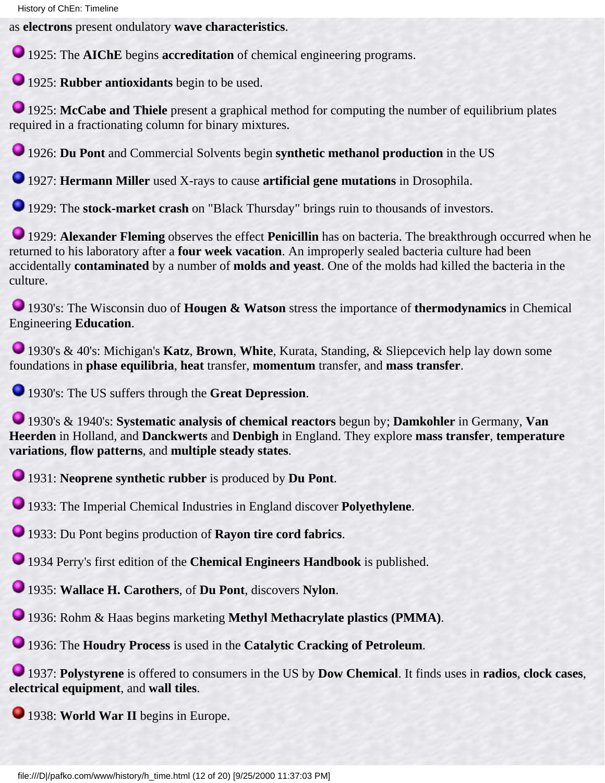as **electrons** present ondulatory **wave characteristics**.

1925: The **AIChE** begins **accreditation** of chemical engineering programs.

1925: **Rubber antioxidants** begin to be used.

**1925: McCabe and Thiele** present a graphical method for computing the number of equilibrium plates required in a fractionating column for binary mixtures.

1926: **Du Pont** and Commercial Solvents begin **synthetic methanol production** in the US

1927: **Hermann Miller** used X-rays to cause **artificial gene mutations** in Drosophila.

1929: The **stock-market crash** on "Black Thursday" brings ruin to thousands of investors.

1929: **Alexander Fleming** observes the effect **Penicillin** has on bacteria. The breakthrough occurred when he returned to his laboratory after a **four week vacation**. An improperly sealed bacteria culture had been accidentally **contaminated** by a number of **molds and yeast**. One of the molds had killed the bacteria in the culture.

1930's: The Wisconsin duo of **Hougen & Watson** stress the importance of **thermodynamics** in Chemical Engineering **Education**.

1930's & 40's: Michigan's **Katz**, **Brown**, **White**, Kurata, Standing, & Sliepcevich help lay down some foundations in **phase equilibria**, **heat** transfer, **momentum** transfer, and **mass transfer**.

1930's: The US suffers through the **Great Depression**.

1930's & 1940's: **Systematic analysis of chemical reactors** begun by; **Damkohler** in Germany, **Van Heerden** in Holland, and **Danckwerts** and **Denbigh** in England. They explore **mass transfer**, **temperature variations**, **flow patterns**, and **multiple steady states**.

1931: **Neoprene synthetic rubber** is produced by **Du Pont**.

1933: The Imperial Chemical Industries in England discover **Polyethylene**.

1933: Du Pont begins production of **Rayon tire cord fabrics**.

1934 Perry's first edition of the **Chemical Engineers Handbook** is published.

1935: **Wallace H. Carothers**, of **Du Pont**, discovers **Nylon**.

1936: Rohm & Haas begins marketing **Methyl Methacrylate plastics (PMMA)**.

1936: The **Houdry Process** is used in the **Catalytic Cracking of Petroleum**.

1937: **Polystyrene** is offered to consumers in the US by **Dow Chemical**. It finds uses in **radios**, **clock cases**, **electrical equipment**, and **wall tiles**.

1938: **World War II** begins in Europe.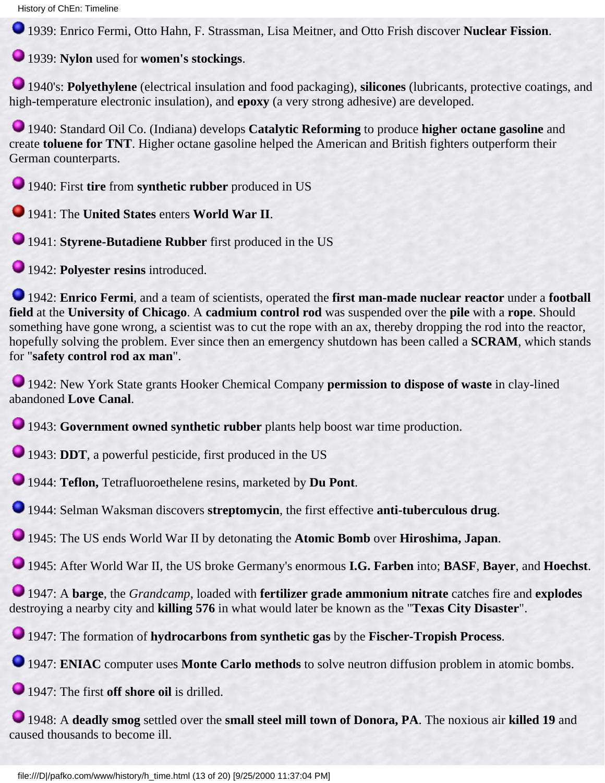History of ChEn: Timeline

1939: Enrico Fermi, Otto Hahn, F. Strassman, Lisa Meitner, and Otto Frish discover **Nuclear Fission**.

1939: **Nylon** used for **women's stockings**.

1940's: **Polyethylene** (electrical insulation and food packaging), **silicones** (lubricants, protective coatings, and high-temperature electronic insulation), and **epoxy** (a very strong adhesive) are developed.

1940: Standard Oil Co. (Indiana) develops **Catalytic Reforming** to produce **higher octane gasoline** and create **toluene for TNT**. Higher octane gasoline helped the American and British fighters outperform their German counterparts.

1940: First **tire** from **synthetic rubber** produced in US

1941: The **United States** enters **World War II**.

1941: **Styrene-Butadiene Rubber** first produced in the US

1942: **Polyester resins** introduced.

1942: **Enrico Fermi**, and a team of scientists, operated the **first man-made nuclear reactor** under a **football field** at the **University of Chicago**. A **cadmium control rod** was suspended over the **pile** with a **rope**. Should something have gone wrong, a scientist was to cut the rope with an ax, thereby dropping the rod into the reactor, hopefully solving the problem. Ever since then an emergency shutdown has been called a **SCRAM**, which stands for "**safety control rod ax man**".

1942: New York State grants Hooker Chemical Company **permission to dispose of waste** in clay-lined abandoned **Love Canal**.

1943: **Government owned synthetic rubber** plants help boost war time production.

1943: **DDT**, a powerful pesticide, first produced in the US

1944: **Teflon,** Tetrafluoroethelene resins, marketed by **Du Pont**.

1944: Selman Waksman discovers **streptomycin**, the first effective **anti-tuberculous drug**.

1945: The US ends World War II by detonating the **Atomic Bomb** over **Hiroshima, Japan**.

1945: After World War II, the US broke Germany's enormous **I.G. Farben** into; **BASF**, **Bayer**, and **Hoechst**.

1947: A **barge**, the *Grandcamp*, loaded with **fertilizer grade ammonium nitrate** catches fire and **explodes** destroying a nearby city and **killing 576** in what would later be known as the "**Texas City Disaster**".

1947: The formation of **hydrocarbons from synthetic gas** by the **Fischer-Tropish Process**.

1947: **ENIAC** computer uses **Monte Carlo methods** to solve neutron diffusion problem in atomic bombs.

1947: The first **off shore oil** is drilled.

1948: A **deadly smog** settled over the **small steel mill town of Donora, PA**. The noxious air **killed 19** and caused thousands to become ill.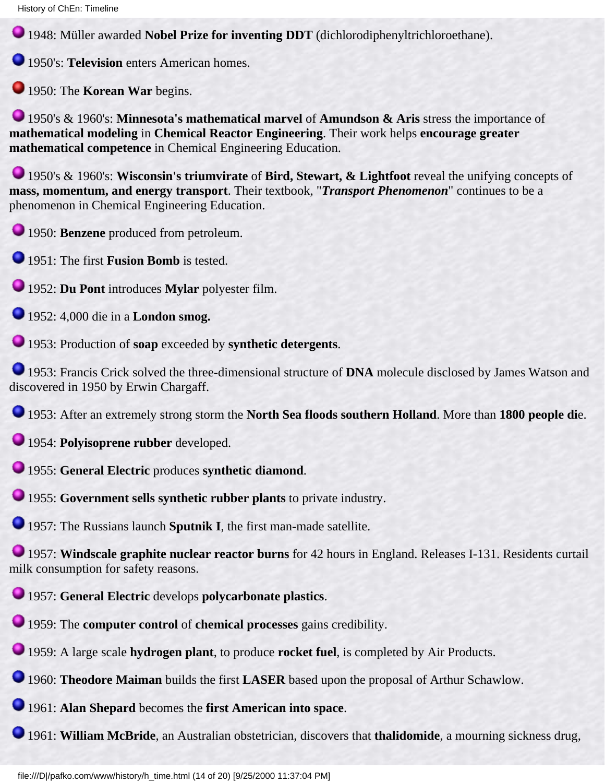1948: Müller awarded **Nobel Prize for inventing DDT** (dichlorodiphenyltrichloroethane).

**1950's: Television** enters American homes.

**1950: The Korean War begins.** 

1950's & 1960's: **Minnesota's mathematical marvel** of **Amundson & Aris** stress the importance of **mathematical modeling** in **Chemical Reactor Engineering**. Their work helps **encourage greater mathematical competence** in Chemical Engineering Education.

1950's & 1960's: **Wisconsin's triumvirate** of **Bird, Stewart, & Lightfoot** reveal the unifying concepts of **mass, momentum, and energy transport**. Their textbook, "*Transport Phenomenon*" continues to be a phenomenon in Chemical Engineering Education.

1950: **Benzene** produced from petroleum.

1951: The first **Fusion Bomb** is tested.

1952: **Du Pont** introduces **Mylar** polyester film.

1952: 4,000 die in a **London smog.**

1953: Production of **soap** exceeded by **synthetic detergents**.

1953: Francis Crick solved the three-dimensional structure of **DNA** molecule disclosed by James Watson and discovered in 1950 by Erwin Chargaff.

1953: After an extremely strong storm the **North Sea floods southern Holland**. More than **1800 people di**e.

1954: **Polyisoprene rubber** developed.

1955: **General Electric** produces **synthetic diamond**.

1955: **Government sells synthetic rubber plants** to private industry.

1957: The Russians launch **Sputnik I**, the first man-made satellite.

1957: **Windscale graphite nuclear reactor burns** for 42 hours in England. Releases I-131. Residents curtail milk consumption for safety reasons.

1957: **General Electric** develops **polycarbonate plastics**.

1959: The **computer control** of **chemical processes** gains credibility.

1959: A large scale **hydrogen plant**, to produce **rocket fuel**, is completed by Air Products.

1960: **Theodore Maiman** builds the first **LASER** based upon the proposal of Arthur Schawlow.

1961: **Alan Shepard** becomes the **first American into space**.

1961: **William McBride**, an Australian obstetrician, discovers that **thalidomide**, a mourning sickness drug,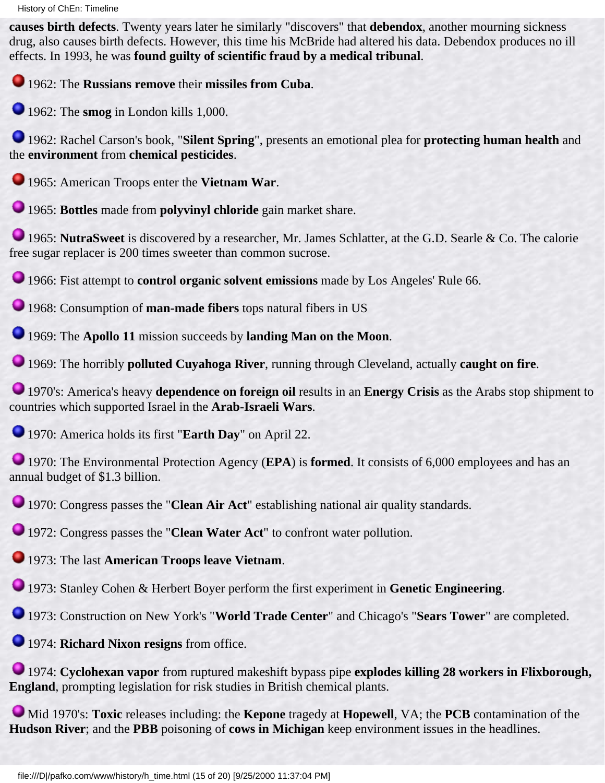**causes birth defects**. Twenty years later he similarly "discovers" that **debendox**, another mourning sickness drug, also causes birth defects. However, this time his McBride had altered his data. Debendox produces no ill effects. In 1993, he was **found guilty of scientific fraud by a medical tribunal**.

1962: The **Russians remove** their **missiles from Cuba**.

1962: The **smog** in London kills 1,000.

1962: Rachel Carson's book, "**Silent Spring**", presents an emotional plea for **protecting human health** and the **environment** from **chemical pesticides**.

1965: American Troops enter the **Vietnam War**.

1965: **Bottles** made from **polyvinyl chloride** gain market share.

1965: **NutraSweet** is discovered by a researcher, Mr. James Schlatter, at the G.D. Searle & Co. The calorie free sugar replacer is 200 times sweeter than common sucrose.

1966: Fist attempt to **control organic solvent emissions** made by Los Angeles' Rule 66.

1968: Consumption of **man-made fibers** tops natural fibers in US

1969: The **Apollo 11** mission succeeds by **landing Man on the Moon**.

1969: The horribly **polluted Cuyahoga River**, running through Cleveland, actually **caught on fire**.

1970's: America's heavy **dependence on foreign oil** results in an **Energy Crisis** as the Arabs stop shipment to countries which supported Israel in the **Arab-Israeli Wars**.

1970: America holds its first "**Earth Day**" on April 22.

1970: The Environmental Protection Agency (**EPA**) is **formed**. It consists of 6,000 employees and has an annual budget of \$1.3 billion.

1970: Congress passes the "**Clean Air Act**" establishing national air quality standards.

1972: Congress passes the "**Clean Water Act**" to confront water pollution.

1973: The last **American Troops leave Vietnam**.

1973: Stanley Cohen & Herbert Boyer perform the first experiment in **Genetic Engineering**.

1973: Construction on New York's "**World Trade Center**" and Chicago's "**Sears Tower**" are completed.

1974: **Richard Nixon resigns** from office.

1974: **Cyclohexan vapor** from ruptured makeshift bypass pipe **explodes killing 28 workers in Flixborough, England**, prompting legislation for risk studies in British chemical plants.

Mid 1970's: **Toxic** releases including: the **Kepone** tragedy at **Hopewell**, VA; the **PCB** contamination of the **Hudson River**; and the **PBB** poisoning of **cows in Michigan** keep environment issues in the headlines.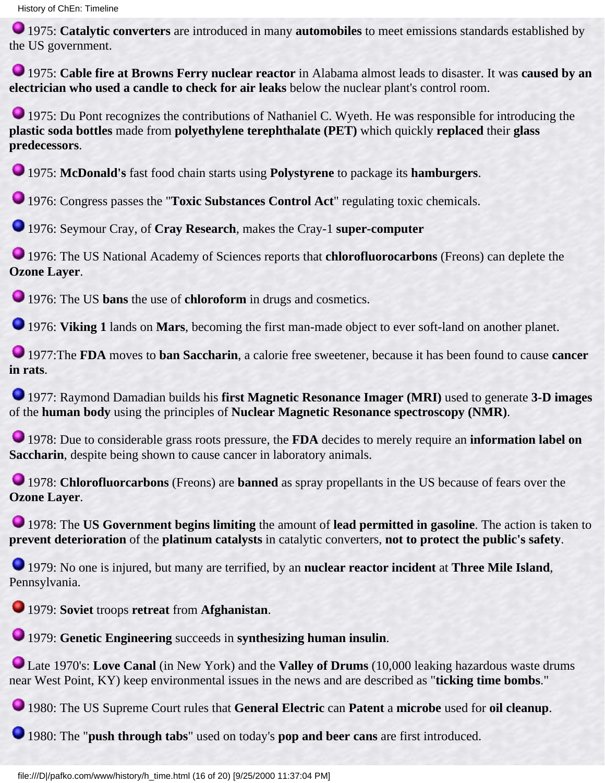1975: **Catalytic converters** are introduced in many **automobiles** to meet emissions standards established by the US government.

1975: **Cable fire at Browns Ferry nuclear reactor** in Alabama almost leads to disaster. It was **caused by an electrician who used a candle to check for air leaks** below the nuclear plant's control room.

1975: Du Pont recognizes the contributions of Nathaniel C. Wyeth. He was responsible for introducing the **plastic soda bottles** made from **polyethylene terephthalate (PET)** which quickly **replaced** their **glass predecessors**.

1975: **McDonald's** fast food chain starts using **Polystyrene** to package its **hamburgers**.

1976: Congress passes the "**Toxic Substances Control Act**" regulating toxic chemicals.

1976: Seymour Cray, of **Cray Research**, makes the Cray-1 **super-computer**

1976: The US National Academy of Sciences reports that **chlorofluorocarbons** (Freons) can deplete the **Ozone Layer**.

1976: The US **bans** the use of **chloroform** in drugs and cosmetics.

1976: **Viking 1** lands on **Mars**, becoming the first man-made object to ever soft-land on another planet.

1977:The **FDA** moves to **ban Saccharin**, a calorie free sweetener, because it has been found to cause **cancer in rats**.

1977: Raymond Damadian builds his **first Magnetic Resonance Imager (MRI)** used to generate **3-D images** of the **human body** using the principles of **Nuclear Magnetic Resonance spectroscopy (NMR)**.

1978: Due to considerable grass roots pressure, the **FDA** decides to merely require an **information label on Saccharin**, despite being shown to cause cancer in laboratory animals.

**1978: Chlorofluorcarbons** (Freons) are **banned** as spray propellants in the US because of fears over the **Ozone Layer**.

1978: The **US Government begins limiting** the amount of **lead permitted in gasoline**. The action is taken to **prevent deterioration** of the **platinum catalysts** in catalytic converters, **not to protect the public's safety**.

1979: No one is injured, but many are terrified, by an **nuclear reactor incident** at **Three Mile Island**, Pennsylvania.

1979: **Soviet** troops **retreat** from **Afghanistan**.

1979: **Genetic Engineering** succeeds in **synthesizing human insulin**.

Late 1970's: **Love Canal** (in New York) and the **Valley of Drums** (10,000 leaking hazardous waste drums near West Point, KY) keep environmental issues in the news and are described as "**ticking time bombs**."

1980: The US Supreme Court rules that **General Electric** can **Patent** a **microbe** used for **oil cleanup**.

1980: The "**push through tabs**" used on today's **pop and beer cans** are first introduced.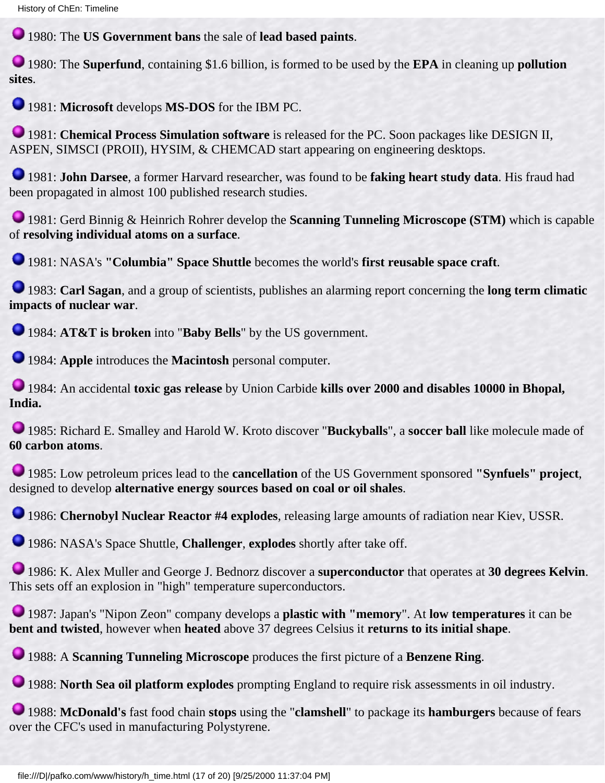1980: The **US Government bans** the sale of **lead based paints**.

1980: The **Superfund**, containing \$1.6 billion, is formed to be used by the **EPA** in cleaning up **pollution sites**.

1981: **Microsoft** develops **MS-DOS** for the IBM PC.

1981: **Chemical Process Simulation software** is released for the PC. Soon packages like DESIGN II, ASPEN, SIMSCI (PROII), HYSIM, & CHEMCAD start appearing on engineering desktops.

1981: **John Darsee**, a former Harvard researcher, was found to be **faking heart study data**. His fraud had been propagated in almost 100 published research studies.

1981: Gerd Binnig & Heinrich Rohrer develop the **Scanning Tunneling Microscope (STM)** which is capable of **resolving individual atoms on a surface**.

1981: NASA's **"Columbia" Space Shuttle** becomes the world's **first reusable space craft**.

1983: **Carl Sagan**, and a group of scientists, publishes an alarming report concerning the **long term climatic impacts of nuclear war**.

1984: **AT&T is broken** into "**Baby Bells**" by the US government.

1984: **Apple** introduces the **Macintosh** personal computer.

1984: An accidental **toxic gas release** by Union Carbide **kills over 2000 and disables 10000 in Bhopal, India.**

1985: Richard E. Smalley and Harold W. Kroto discover "**Buckyballs**", a **soccer ball** like molecule made of **60 carbon atoms**.

1985: Low petroleum prices lead to the **cancellation** of the US Government sponsored **"Synfuels" project**, designed to develop **alternative energy sources based on coal or oil shales**.

1986: **Chernobyl Nuclear Reactor #4 explodes**, releasing large amounts of radiation near Kiev, USSR.

1986: NASA's Space Shuttle, **Challenger**, **explodes** shortly after take off.

1986: K. Alex Muller and George J. Bednorz discover a **superconductor** that operates at **30 degrees Kelvin**. This sets off an explosion in "high" temperature superconductors.

1987: Japan's "Nipon Zeon" company develops a **plastic with "memory**". At **low temperatures** it can be **bent and twisted**, however when **heated** above 37 degrees Celsius it **returns to its initial shape**.

1988: A **Scanning Tunneling Microscope** produces the first picture of a **Benzene Ring**.

1988: **North Sea oil platform explodes** prompting England to require risk assessments in oil industry.

1988: **McDonald's** fast food chain **stops** using the "**clamshell**" to package its **hamburgers** because of fears over the CFC's used in manufacturing Polystyrene.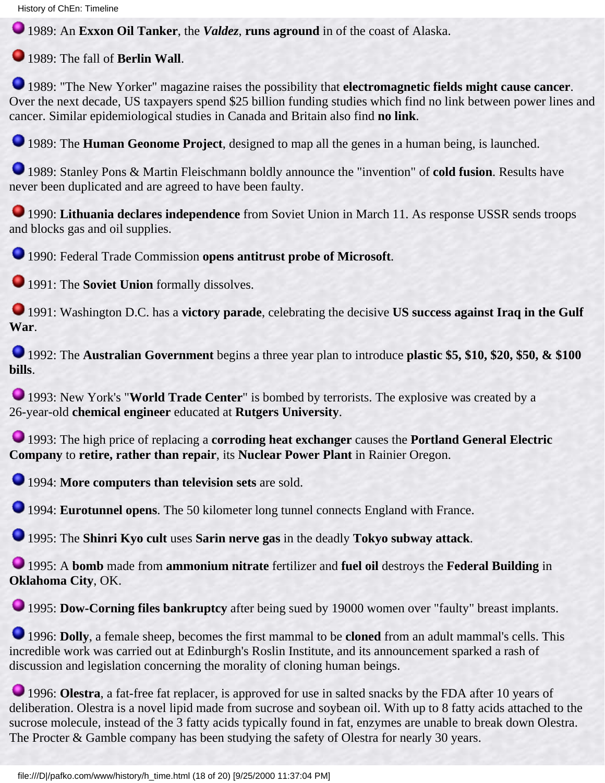1989: An **Exxon Oil Tanker**, the *Valdez*, **runs aground** in of the coast of Alaska.

1989: The fall of **Berlin Wall**.

1989: "The New Yorker" magazine raises the possibility that **electromagnetic fields might cause cancer**. Over the next decade, US taxpayers spend \$25 billion funding studies which find no link between power lines and cancer. Similar epidemiological studies in Canada and Britain also find **no link**.

**1989: The Human Geonome Project**, designed to map all the genes in a human being, is launched.

1989: Stanley Pons & Martin Fleischmann boldly announce the "invention" of **cold fusion**. Results have never been duplicated and are agreed to have been faulty.

1990: **Lithuania declares independence** from Soviet Union in March 11. As response USSR sends troops and blocks gas and oil supplies.

1990: Federal Trade Commission **opens antitrust probe of Microsoft**.

1991: The **Soviet Union** formally dissolves.

1991: Washington D.C. has a **victory parade**, celebrating the decisive **US success against Iraq in the Gulf War**.

1992: The **Australian Government** begins a three year plan to introduce **plastic \$5, \$10, \$20, \$50, & \$100 bills**.

**1993: New York's "World Trade Center"** is bombed by terrorists. The explosive was created by a 26-year-old **chemical engineer** educated at **Rutgers University**.

1993: The high price of replacing a **corroding heat exchanger** causes the **Portland General Electric Company** to **retire, rather than repair**, its **Nuclear Power Plant** in Rainier Oregon.

1994: **More computers than television sets** are sold.

1994: **Eurotunnel opens**. The 50 kilometer long tunnel connects England with France.

1995: The **Shinri Kyo cult** uses **Sarin nerve gas** in the deadly **Tokyo subway attack**.

1995: A **bomb** made from **ammonium nitrate** fertilizer and **fuel oil** destroys the **Federal Building** in **Oklahoma City**, OK.

**1995: Dow-Corning files bankruptcy** after being sued by 19000 women over "faulty" breast implants.

1996: **Dolly**, a female sheep, becomes the first mammal to be **cloned** from an adult mammal's cells. This incredible work was carried out at Edinburgh's Roslin Institute, and its announcement sparked a rash of discussion and legislation concerning the morality of cloning human beings.

**1996: Olestra**, a fat-free fat replacer, is approved for use in salted snacks by the FDA after 10 years of deliberation. Olestra is a novel lipid made from sucrose and soybean oil. With up to 8 fatty acids attached to the sucrose molecule, instead of the 3 fatty acids typically found in fat, enzymes are unable to break down Olestra. The Procter & Gamble company has been studying the safety of Olestra for nearly 30 years.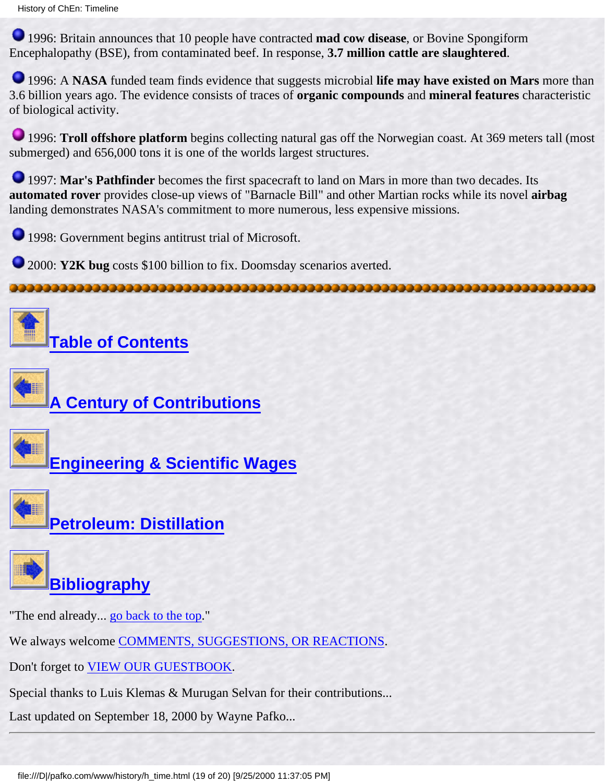1996: Britain announces that 10 people have contracted **mad cow disease**, or Bovine Spongiform Encephalopathy (BSE), from contaminated beef. In response, **3.7 million cattle are slaughtered**.

1996: A **NASA** funded team finds evidence that suggests microbial **life may have existed on Mars** more than 3.6 billion years ago. The evidence consists of traces of **organic compounds** and **mineral features** characteristic of biological activity.

1996: **Troll offshore platform** begins collecting natural gas off the Norwegian coast. At 369 meters tall (most submerged) and 656,000 tons it is one of the worlds largest structures.

**1997: Mar's Pathfinder** becomes the first spacecraft to land on Mars in more than two decades. Its **automated rover** provides close-up views of "Barnacle Bill" and other Martian rocks while its novel **airbag** landing demonstrates NASA's commitment to more numerous, less expensive missions.

1998: Government begins antitrust trial of Microsoft.

**2000: Y2K bug** costs \$100 billion to fix. Doomsday scenarios averted.

**[Table of Contents](#page-3-0)**







**[Petroleum: Distillation](#page-70-1)**



"The end already... go back to the top."

We always welcome [COMMENTS, SUGGESTIONS, OR REACTIONS](#page-5-0).

Don't forget to [VIEW OUR GUESTBOOK.](http://www.pafko.com/vbpro/htdocs/guestbook/history/entries.html)

Special thanks to Luis Klemas & Murugan Selvan for their contributions...

Last updated on September 18, 2000 by Wayne Pafko...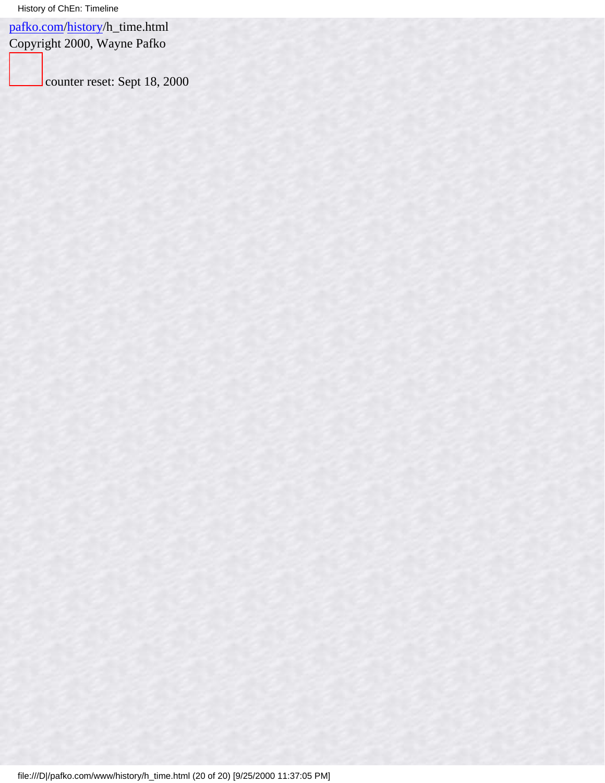[pafko.com](file:///)[/history](#page-0-0)/h\_time.html

Copyright 2000, Wayne Pafko

counter reset: Sept 18, 2000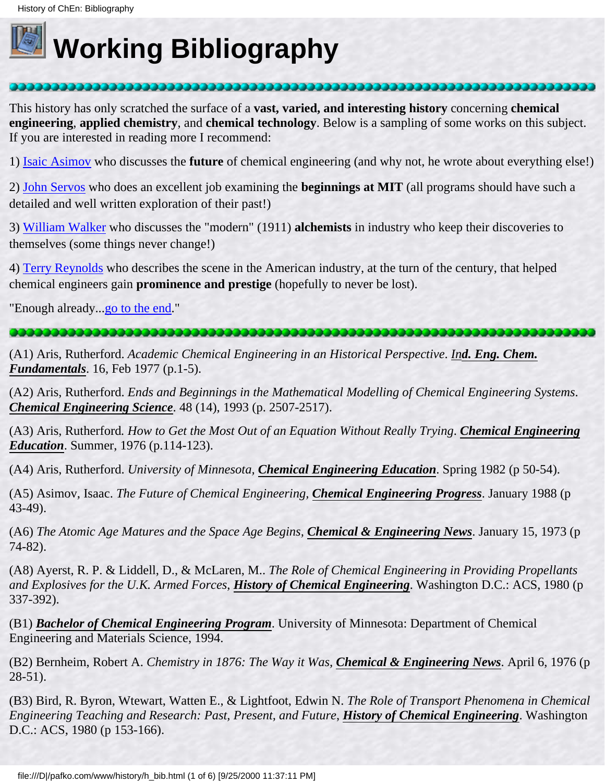<span id="page-96-0"></span>

## **Working Bibliography**

This history has only scratched the surface of a **vast, varied, and interesting history** concerning **chemical engineering**, **applied chemistry**, and **chemical technology**. Below is a sampling of some works on this subject. If you are interested in reading more I recommend:

1) [Isaic Asimov](#page-96-1) who discusses the **future** of chemical engineering (and why not, he wrote about everything else!)

2) [John Servos](#page-100-0) who does an excellent job examining the **beginnings at MIT** (all programs should have such a detailed and well written exploration of their past!)

3) [William Walker](#page-100-1) who discusses the "modern" (1911) **alchemists** in industry who keep their discoveries to themselves (some things never change!)

4) [Terry Reynolds](#page-99-0) who describes the scene in the American industry, at the turn of the century, that helped chemical engineers gain **prominence and prestige** (hopefully to never be lost).

"Enough already..[.go to the end.](#page-101-0)"

### 

(A1) Aris, Rutherford. *Academic Chemical Engineering in an Historical Perspective*. *Ind. Eng. Chem. Fundamentals*. 16, Feb 1977 (p.1-5).

(A2) Aris, Rutherford. *Ends and Beginnings in the Mathematical Modelling of Chemical Engineering Systems*. *Chemical Engineering Science*. 48 (14), 1993 (p. 2507-2517).

(A3) Aris, Rutherford*. How to Get the Most Out of an Equation Without Really Trying*. *Chemical Engineering Education*. Summer, 1976 (p.114-123).

(A4) Aris, Rutherford. *University of Minnesota, Chemical Engineering Education*. Spring 1982 (p 50-54).

<span id="page-96-1"></span>(A5) Asimov, Isaac. *The Future of Chemical Engineering, Chemical Engineering Progress*. January 1988 (p 43-49).

(A6) *The Atomic Age Matures and the Space Age Begins, Chemical & Engineering News*. January 15, 1973 (p 74-82).

(A8) Ayerst, R. P. & Liddell, D., & McLaren, M.. *The Role of Chemical Engineering in Providing Propellants and Explosives for the U.K. Armed Forces*, *History of Chemical Engineering*. Washington D.C.: ACS, 1980 (p 337-392).

(B1) *Bachelor of Chemical Engineering Program*. University of Minnesota: Department of Chemical Engineering and Materials Science, 1994.

(B2) Bernheim, Robert A. *Chemistry in 1876: The Way it Was, Chemical & Engineering News*. April 6, 1976 (p 28-51).

(B3) Bird, R. Byron, Wtewart, Watten E., & Lightfoot, Edwin N. *The Role of Transport Phenomena in Chemical Engineering Teaching and Research: Past, Present, and Future*, *History of Chemical Engineering*. Washington D.C.: ACS, 1980 (p 153-166).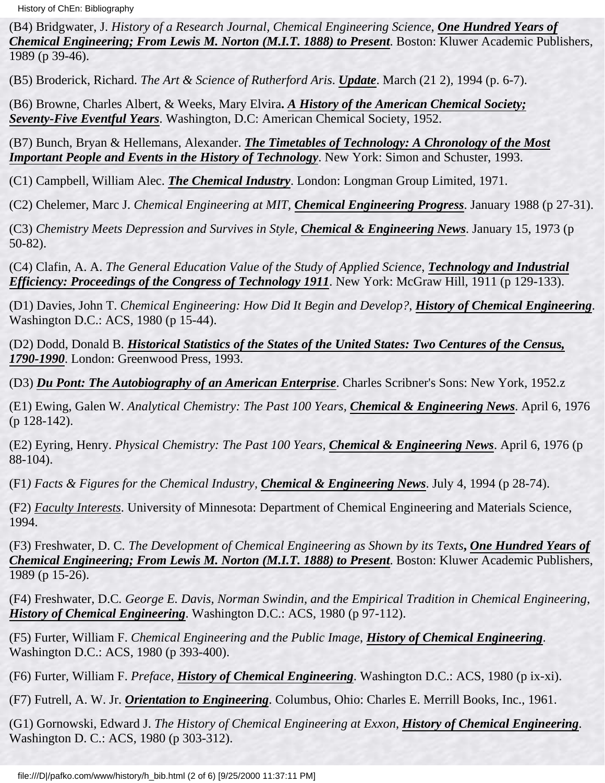History of ChEn: Bibliography

(B4) Bridgwater, J. *History of a Research Journal, Chemical Engineering Science*, *One Hundred Years of Chemical Engineering; From Lewis M. Norton (M.I.T. 1888) to Present*. Boston: Kluwer Academic Publishers, 1989 (p 39-46).

(B5) Broderick, Richard. *The Art & Science of Rutherford Aris*. *Update*. March (21 2), 1994 (p. 6-7).

(B6) Browne, Charles Albert, & Weeks, Mary Elvira**.** *A History of the American Chemical Society; Seventy-Five Eventful Years*. Washington, D.C: American Chemical Society, 1952.

(B7) Bunch, Bryan & Hellemans, Alexander. *The Timetables of Technology: A Chronology of the Most Important People and Events in the History of Technology*. New York: Simon and Schuster, 1993.

(C1) Campbell, William Alec. *The Chemical Industry*. London: Longman Group Limited, 1971.

(C2) Chelemer, Marc J. *Chemical Engineering at MIT, Chemical Engineering Progress*. January 1988 (p 27-31).

(C3) *Chemistry Meets Depression and Survives in Style, Chemical & Engineering News*. January 15, 1973 (p 50-82).

(C4) Clafin, A. A. *The General Education Value of the Study of Applied Science*, *Technology and Industrial Efficiency: Proceedings of the Congress of Technology 1911*. New York: McGraw Hill, 1911 (p 129-133).

(D1) Davies, John T. *Chemical Engineering: How Did It Begin and Develop?*, *History of Chemical Engineering*. Washington D.C.: ACS, 1980 (p 15-44).

(D2) Dodd, Donald B. *Historical Statistics of the States of the United States: Two Centures of the Census, 1790-1990*. London: Greenwood Press, 1993.

(D3) *Du Pont: The Autobiography of an American Enterprise*. Charles Scribner's Sons: New York, 1952.z

(E1) Ewing, Galen W. *Analytical Chemistry: The Past 100 Years, Chemical & Engineering News*. April 6, 1976 (p 128-142).

(E2) Eyring, Henry. *Physical Chemistry: The Past 100 Years, Chemical & Engineering News*. April 6, 1976 (p 88-104).

(F1*) Facts & Figures for the Chemical Industry, Chemical & Engineering News*. July 4, 1994 (p 28-74).

(F2) *Faculty Interests*. University of Minnesota: Department of Chemical Engineering and Materials Science, 1994.

(F3) Freshwater, D. C*. The Development of Chemical Engineering as Shown by its Texts***,** *One Hundred Years of Chemical Engineering; From Lewis M. Norton (M.I.T. 1888) to Present*. Boston: Kluwer Academic Publishers, 1989 (p 15-26).

(F4) Freshwater, D.C*. George E. Davis, Norman Swindin, and the Empirical Tradition in Chemical Engineering*, *History of Chemical Engineering*. Washington D.C.: ACS, 1980 (p 97-112).

(F5) Furter, William F. *Chemical Engineering and the Public Image*, *History of Chemical Engineering*. Washington D.C.: ACS, 1980 (p 393-400).

(F6) Furter, William F. *Preface*, *History of Chemical Engineering*. Washington D.C.: ACS, 1980 (p ix-xi).

(F7) Futrell, A. W. Jr. *Orientation to Engineering*. Columbus, Ohio: Charles E. Merrill Books, Inc., 1961.

(G1) Gornowski, Edward J. *The History of Chemical Engineering at Exxon*, *History of Chemical Engineering*. Washington D. C.: ACS, 1980 (p 303-312).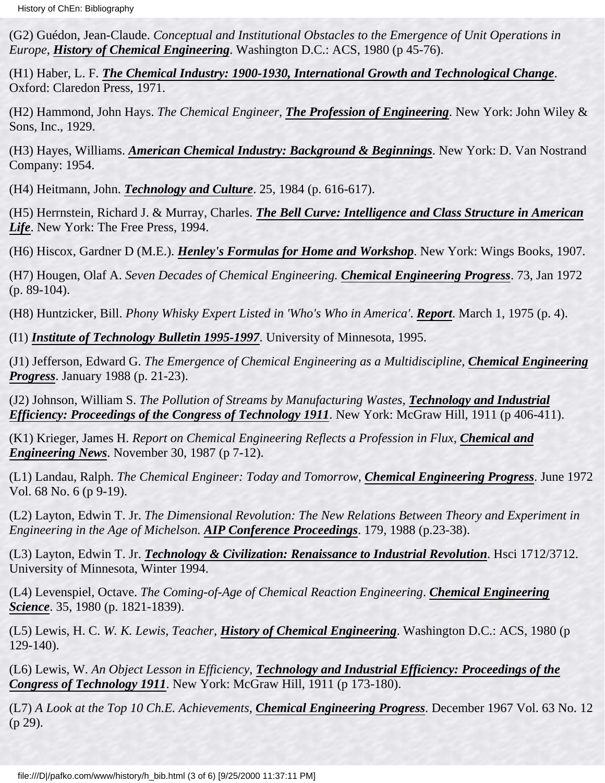(G2) Guédon, Jean-Claude. *Conceptual and Institutional Obstacles to the Emergence of Unit Operations in Europe*, *History of Chemical Engineering*. Washington D.C.: ACS, 1980 (p 45-76).

(H1) Haber, L. F. *The Chemical Industry: 1900-1930, International Growth and Technological Change*. Oxford: Claredon Press, 1971.

(H2) Hammond, John Hays. *The Chemical Engineer*, *The Profession of Engineering*. New York: John Wiley & Sons, Inc., 1929.

(H3) Hayes, Williams. *American Chemical Industry: Background & Beginnings*. New York: D. Van Nostrand Company: 1954.

(H4) Heitmann, John. *Technology and Culture*. 25, 1984 (p. 616-617).

(H5) Herrnstein, Richard J. & Murray, Charles. *The Bell Curve: Intelligence and Class Structure in American Life*. New York: The Free Press, 1994.

(H6) Hiscox, Gardner D (M.E.). *Henley's Formulas for Home and Workshop*. New York: Wings Books, 1907.

(H7) Hougen, Olaf A. *Seven Decades of Chemical Engineering. Chemical Engineering Progress*. 73, Jan 1972 (p. 89-104).

(H8) Huntzicker, Bill. *Phony Whisky Expert Listed in 'Who's Who in America'*. *Report*. March 1, 1975 (p. 4).

(I1) *Institute of Technology Bulletin 1995-1997*. University of Minnesota, 1995.

(J1) Jefferson, Edward G. *The Emergence of Chemical Engineering as a Multidiscipline, Chemical Engineering Progress*. January 1988 (p. 21-23).

(J2) Johnson, William S. *The Pollution of Streams by Manufacturing Wastes*, *Technology and Industrial Efficiency: Proceedings of the Congress of Technology 1911*. New York: McGraw Hill, 1911 (p 406-411).

(K1) Krieger, James H. *Report on Chemical Engineering Reflects a Profession in Flux, Chemical and Engineering News*. November 30, 1987 (p 7-12).

(L1) Landau, Ralph. *The Chemical Engineer: Today and Tomorrow, Chemical Engineering Progress*. June 1972 Vol. 68 No. 6 (p 9-19).

(L2) Layton, Edwin T. Jr. *The Dimensional Revolution: The New Relations Between Theory and Experiment in Engineering in the Age of Michelson. AIP Conference Proceedings*. 179, 1988 (p.23-38).

(L3) Layton, Edwin T. Jr. *Technology & Civilization: Renaissance to Industrial Revolution*. Hsci 1712/3712. University of Minnesota, Winter 1994.

(L4) Levenspiel, Octave. *The Coming-of-Age of Chemical Reaction Engineering*. *Chemical Engineering Science*. 35, 1980 (p. 1821-1839).

(L5) Lewis, H. C. *W. K. Lewis, Teacher*, *History of Chemical Engineering*. Washington D.C.: ACS, 1980 (p 129-140).

(L6) Lewis, W. *An Object Lesson in Efficiency*, *Technology and Industrial Efficiency: Proceedings of the Congress of Technology 1911*. New York: McGraw Hill, 1911 (p 173-180).

(L7) *A Look at the Top 10 Ch.E. Achievements, Chemical Engineering Progress*. December 1967 Vol. 63 No. 12 (p 29).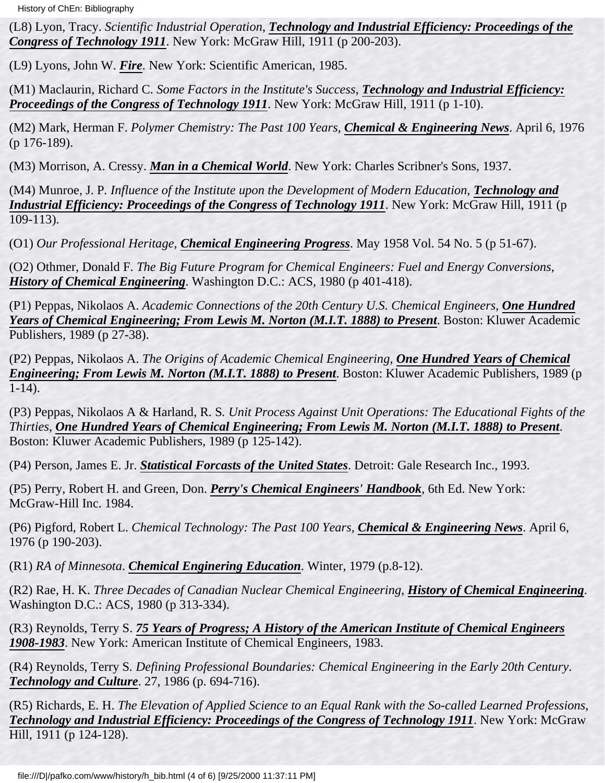(L8) Lyon, Tracy. *Scientific Industrial Operation*, *Technology and Industrial Efficiency: Proceedings of the Congress of Technology 1911*. New York: McGraw Hill, 1911 (p 200-203).

(L9) Lyons, John W. *Fire*. New York: Scientific American, 1985.

(M1) Maclaurin, Richard C. *Some Factors in the Institute's Success*, *Technology and Industrial Efficiency: Proceedings of the Congress of Technology 1911.* New York: McGraw Hill, 1911 (p 1-10).

(M2) Mark, Herman F. *Polymer Chemistry: The Past 100 Years, Chemical & Engineering News*. April 6, 1976 (p 176-189).

(M3) Morrison, A. Cressy. *Man in a Chemical World*. New York: Charles Scribner's Sons, 1937.

(M4) Munroe, J. P*. Influence of the Institute upon the Development of Modern Education*, *Technology and Industrial Efficiency: Proceedings of the Congress of Technology 1911*. New York: McGraw Hill, 1911 (p 109-113).

(O1) *Our Professional Heritage, Chemical Engineering Progress*. May 1958 Vol. 54 No. 5 (p 51-67).

(O2) Othmer, Donald F. *The Big Future Program for Chemical Engineers: Fuel and Energy Conversions*, *History of Chemical Engineering*. Washington D.C.: ACS, 1980 (p 401-418).

(P1) Peppas, Nikolaos A. *Academic Connections of the 20th Century U.S. Chemical Engineers*, *One Hundred Years of Chemical Engineering; From Lewis M. Norton (M.I.T. 1888) to Present*. Boston: Kluwer Academic Publishers, 1989 (p 27-38).

(P2) Peppas, Nikolaos A. *The Origins of Academic Chemical Engineering, One Hundred Years of Chemical Engineering; From Lewis M. Norton (M.I.T. 1888) to Present*. Boston: Kluwer Academic Publishers, 1989 (p 1-14).

(P3) Peppas, Nikolaos A & Harland, R. S*. Unit Process Against Unit Operations: The Educational Fights of the Thirties*, *One Hundred Years of Chemical Engineering; From Lewis M. Norton (M.I.T. 1888) to Present*. Boston: Kluwer Academic Publishers, 1989 (p 125-142).

(P4) Person, James E. Jr. *Statistical Forcasts of the United States*. Detroit: Gale Research Inc., 1993.

(P5) Perry, Robert H. and Green, Don. *Perry's Chemical Engineers' Handbook*, 6th Ed. New York: McGraw-Hill Inc. 1984.

(P6) Pigford, Robert L. *Chemical Technology: The Past 100 Years, Chemical & Engineering News*. April 6, 1976 (p 190-203).

(R1) *RA of Minnesota*. *Chemical Enginering Education*. Winter, 1979 (p.8-12).

(R2) Rae, H. K. *Three Decades of Canadian Nuclear Chemical Engineering*, *History of Chemical Engineering*. Washington D.C.: ACS, 1980 (p 313-334).

(R3) Reynolds, Terry S. *75 Years of Progress; A History of the American Institute of Chemical Engineers 1908-1983*. New York: American Institute of Chemical Engineers, 1983.

<span id="page-99-0"></span>(R4) Reynolds, Terry S*. Defining Professional Boundaries: Chemical Engineering in the Early 20th Century*. *Technology and Culture*. 27, 1986 (p. 694-716).

(R5) Richards, E. H. *The Elevation of Applied Science to an Equal Rank with the So-called Learned Professions*, *Technology and Industrial Efficiency: Proceedings of the Congress of Technology 1911*. New York: McGraw Hill, 1911 (p 124-128).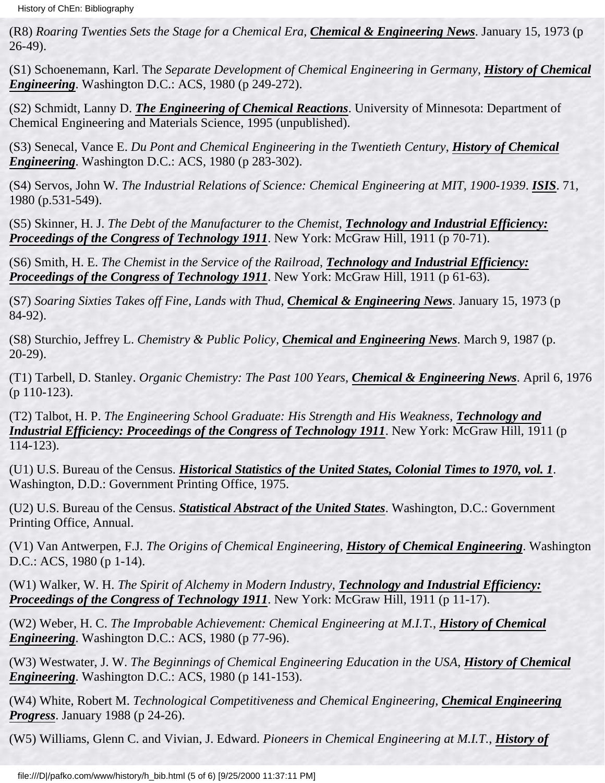(R8) *Roaring Twenties Sets the Stage for a Chemical Era, Chemical & Engineering News*. January 15, 1973 (p 26-49).

(S1) Schoenemann, Karl. Th*e Separate Development of Chemical Engineering in Germany*, *History of Chemical Engineering*. Washington D.C.: ACS, 1980 (p 249-272).

(S2) Schmidt, Lanny D. *The Engineering of Chemical Reactions*. University of Minnesota: Department of Chemical Engineering and Materials Science, 1995 (unpublished).

(S3) Senecal, Vance E. *Du Pont and Chemical Engineering in the Twentieth Century*, *History of Chemical Engineering*. Washington D.C.: ACS, 1980 (p 283-302).

<span id="page-100-0"></span>(S4) Servos, John W*. The Industrial Relations of Science: Chemical Engineering at MIT, 1900-1939*. *ISIS*. 71, 1980 (p.531-549).

(S5) Skinner, H. J. *The Debt of the Manufacturer to the Chemist*, *Technology and Industrial Efficiency: Proceedings of the Congress of Technology 1911*. New York: McGraw Hill, 1911 (p 70-71).

(S6) Smith, H. E. *The Chemist in the Service of the Railroad*, *Technology and Industrial Efficiency: Proceedings of the Congress of Technology 1911*. New York: McGraw Hill, 1911 (p 61-63).

(S7) *Soaring Sixties Takes off Fine, Lands with Thud, Chemical & Engineering News*. January 15, 1973 (p 84-92).

(S8) Sturchio, Jeffrey L. *Chemistry & Public Policy, Chemical and Engineering News*. March 9, 1987 (p. 20-29).

(T1) Tarbell, D. Stanley. *Organic Chemistry: The Past 100 Years, Chemical & Engineering News*. April 6, 1976 (p 110-123).

(T2) Talbot, H. P. *The Engineering School Graduate: His Strength and His Weakness*, *Technology and Industrial Efficiency: Proceedings of the Congress of Technology 1911*. New York: McGraw Hill, 1911 (p 114-123).

(U1) U.S. Bureau of the Census. *Historical Statistics of the United States, Colonial Times to 1970, vol. 1*. Washington, D.D.: Government Printing Office, 1975.

(U2) U.S. Bureau of the Census. *Statistical Abstract of the United States*. Washington, D.C.: Government Printing Office, Annual.

(V1) Van Antwerpen, F.J. *The Origins of Chemical Engineering*, *History of Chemical Engineering*. Washington D.C.: ACS, 1980 (p 1-14).

<span id="page-100-1"></span>(W1) Walker, W. H. *The Spirit of Alchemy in Modern Industry*, *Technology and Industrial Efficiency: Proceedings of the Congress of Technology 1911.* New York: McGraw Hill, 1911 (p 11-17).

(W2) Weber, H. C. *The Improbable Achievement: Chemical Engineering at M.I.T.*, *History of Chemical Engineering*. Washington D.C.: ACS, 1980 (p 77-96).

(W3) Westwater, J. W. *The Beginnings of Chemical Engineering Education in the USA*, *History of Chemical Engineering*. Washington D.C.: ACS, 1980 (p 141-153).

(W4) White, Robert M. *Technological Competitiveness and Chemical Engineering, Chemical Engineering Progress*. January 1988 (p 24-26).

(W5) Williams, Glenn C. and Vivian, J. Edward. *Pioneers in Chemical Engineering at M.I.T.*, *History of*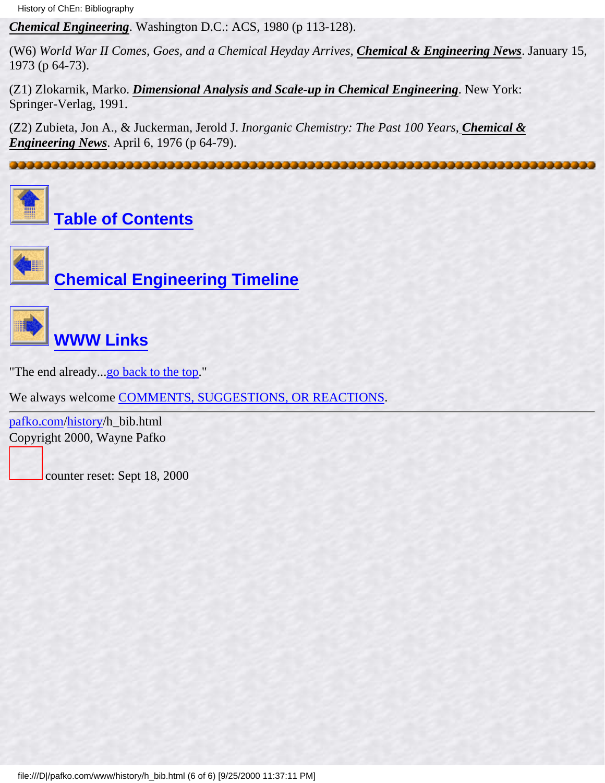History of ChEn: Bibliography

*Chemical Engineering*. Washington D.C.: ACS, 1980 (p 113-128).

(W6) *World War II Comes, Goes, and a Chemical Heyday Arrives, Chemical & Engineering News*. January 15, 1973 (p 64-73).

(Z1) Zlokarnik, Marko. *Dimensional Analysis and Scale-up in Chemical Engineering*. New York: Springer-Verlag, 1991.

(Z2) Zubieta, Jon A., & Juckerman, Jerold J. *Inorganic Chemistry: The Past 100 Years, Chemical & Engineering News*. April 6, 1976 (p 64-79).

<span id="page-101-0"></span>



**[Table of Contents](#page-3-0)**



**[Chemical Engineering Timeline](#page-76-0)**



## **[WWW Links](#page-102-0)**

"The end already...[go back to the top.](#page-96-0)"

We always welcome [COMMENTS, SUGGESTIONS, OR REACTIONS](#page-5-0).

[pafko.com](file:///)[/history](#page-0-0)/h\_bib.html Copyright 2000, Wayne Pafko

counter reset: Sept 18, 2000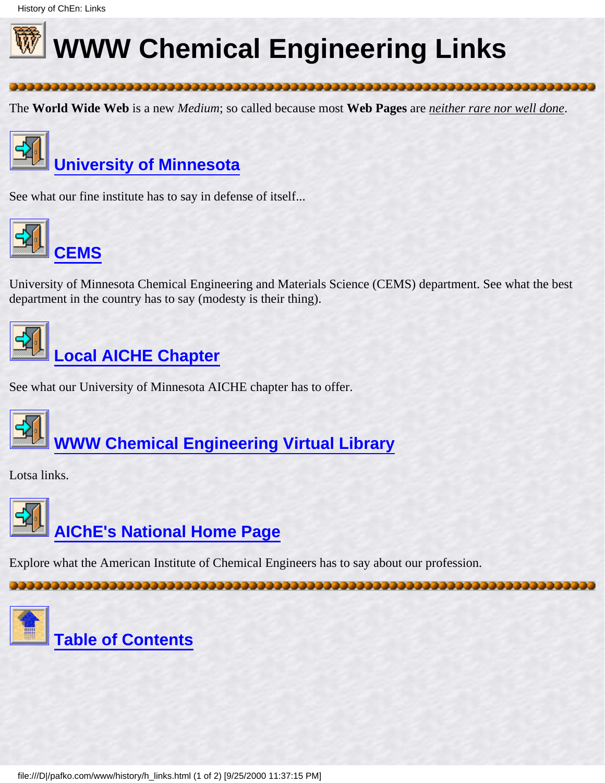<span id="page-102-1"></span><span id="page-102-0"></span>

# **WWW Chemical Engineering Links**

The **World Wide Web** is a new *Medium*; so called because most **Web Pages** are *neither rare nor well done*.



See what our fine institute has to say in defense of itself...



University of Minnesota Chemical Engineering and Materials Science (CEMS) department. See what the best department in the country has to say (modesty is their thing).



## **[Local AICHE Chapter](http://www.cems.umn.edu/orgs/aiche/)**

See what our University of Minnesota AICHE chapter has to offer.



**[WWW Chemical Engineering Virtual Library](http://www.che.ufl.edu/WWW-CHE/#TOP)**

Lotsa links.



Explore what the American Institute of Chemical Engineers has to say about our profession.